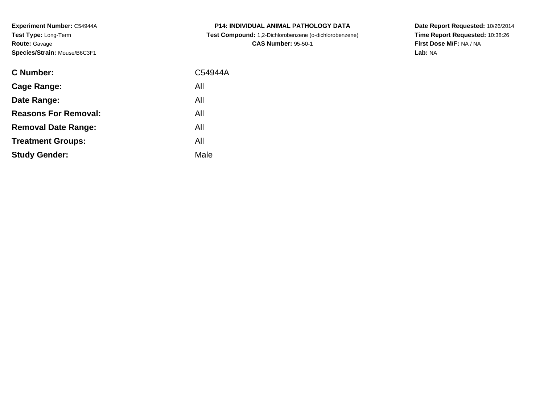**Experiment Number:** C54944A**Test Type:** Long-Term**Route:** Gavage**Species/Strain:** Mouse/B6C3F1

| <b>C Number:</b>            | C54944A |
|-----------------------------|---------|
| <b>Cage Range:</b>          | All     |
| Date Range:                 | All     |
| <b>Reasons For Removal:</b> | All     |
| <b>Removal Date Range:</b>  | All     |
| <b>Treatment Groups:</b>    | All     |
| <b>Study Gender:</b>        | Male    |
|                             |         |

**P14: INDIVIDUAL ANIMAL PATHOLOGY DATA Test Compound:** 1,2-Dichlorobenzene (o-dichlorobenzene)**CAS Number:** 95-50-1

**Date Report Requested:** 10/26/2014 **Time Report Requested:** 10:38:26**First Dose M/F:** NA / NA**Lab:** NA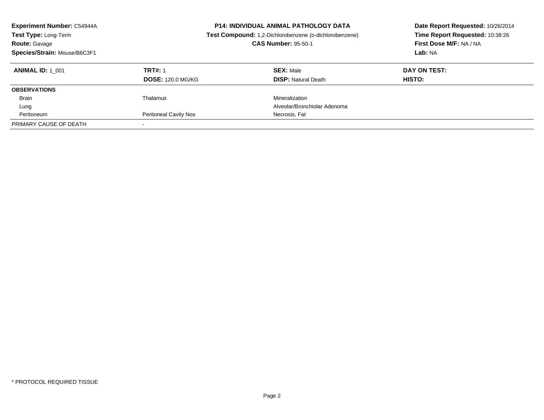| <b>Experiment Number: C54944A</b><br>Test Type: Long-Term<br><b>Route: Gavage</b><br>Species/Strain: Mouse/B6C3F1 |                                            | <b>P14: INDIVIDUAL ANIMAL PATHOLOGY DATA</b><br>Test Compound: 1,2-Dichlorobenzene (o-dichlorobenzene)<br><b>CAS Number: 95-50-1</b> | Date Report Requested: 10/26/2014<br>Time Report Requested: 10:38:26<br>First Dose M/F: NA / NA<br>Lab: NA |
|-------------------------------------------------------------------------------------------------------------------|--------------------------------------------|--------------------------------------------------------------------------------------------------------------------------------------|------------------------------------------------------------------------------------------------------------|
| <b>ANIMAL ID: 1 001</b>                                                                                           | <b>TRT#: 1</b><br><b>DOSE: 120.0 MG/KG</b> | <b>SEX: Male</b><br><b>DISP:</b> Natural Death                                                                                       | DAY ON TEST:<br>HISTO:                                                                                     |
| <b>OBSERVATIONS</b>                                                                                               |                                            |                                                                                                                                      |                                                                                                            |
| <b>Brain</b>                                                                                                      | Thalamus                                   | Mineralization                                                                                                                       |                                                                                                            |
| Lung                                                                                                              |                                            | Alveolar/Bronchiolar Adenoma                                                                                                         |                                                                                                            |
| Peritoneum                                                                                                        | <b>Peritoneal Cavity Nos</b>               | Necrosis, Fat                                                                                                                        |                                                                                                            |
| PRIMARY CAUSE OF DEATH                                                                                            |                                            |                                                                                                                                      |                                                                                                            |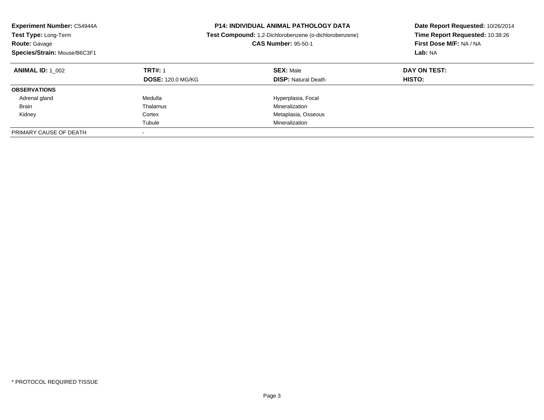| Experiment Number: C54944A<br>Test Type: Long-Term<br><b>Route: Gavage</b><br>Species/Strain: Mouse/B6C3F1 | <b>P14: INDIVIDUAL ANIMAL PATHOLOGY DATA</b><br>Test Compound: 1,2-Dichlorobenzene (o-dichlorobenzene)<br><b>CAS Number: 95-50-1</b> | Date Report Requested: 10/26/2014<br>Time Report Requested: 10:38:26<br>First Dose M/F: NA / NA<br>Lab: NA |                               |
|------------------------------------------------------------------------------------------------------------|--------------------------------------------------------------------------------------------------------------------------------------|------------------------------------------------------------------------------------------------------------|-------------------------------|
| <b>ANIMAL ID: 1 002</b>                                                                                    | <b>TRT#: 1</b><br><b>DOSE: 120.0 MG/KG</b>                                                                                           | <b>SEX: Male</b><br><b>DISP:</b> Natural Death                                                             | DAY ON TEST:<br><b>HISTO:</b> |
| <b>OBSERVATIONS</b>                                                                                        |                                                                                                                                      |                                                                                                            |                               |
| Adrenal gland                                                                                              | Medulla                                                                                                                              | Hyperplasia, Focal                                                                                         |                               |
| <b>Brain</b>                                                                                               | Thalamus                                                                                                                             | Mineralization                                                                                             |                               |
| Kidney                                                                                                     | Cortex                                                                                                                               | Metaplasia, Osseous                                                                                        |                               |
|                                                                                                            | Tubule                                                                                                                               | Mineralization                                                                                             |                               |
| PRIMARY CAUSE OF DEATH                                                                                     |                                                                                                                                      |                                                                                                            |                               |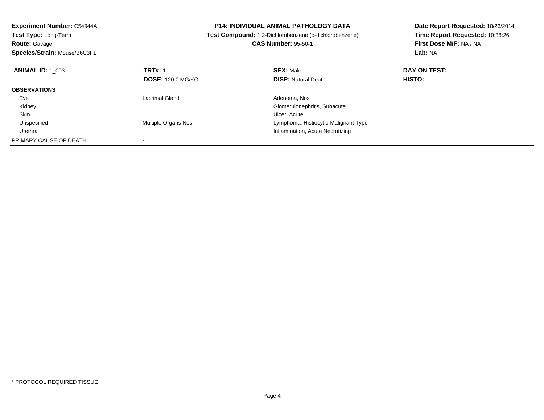| <b>Experiment Number: C54944A</b> |                            | <b>P14: INDIVIDUAL ANIMAL PATHOLOGY DATA</b><br>Date Report Requested: 10/26/2014 |                                 |
|-----------------------------------|----------------------------|-----------------------------------------------------------------------------------|---------------------------------|
| Test Type: Long-Term              |                            | Test Compound: 1,2-Dichlorobenzene (o-dichlorobenzene)                            | Time Report Requested: 10:38:26 |
| <b>Route: Gavage</b>              |                            | <b>CAS Number: 95-50-1</b>                                                        | First Dose M/F: NA / NA         |
| Species/Strain: Mouse/B6C3F1      |                            |                                                                                   | Lab: NA                         |
| <b>ANIMAL ID: 1 003</b>           | <b>TRT#: 1</b>             | <b>SEX: Male</b>                                                                  | DAY ON TEST:                    |
|                                   | <b>DOSE: 120.0 MG/KG</b>   | <b>DISP: Natural Death</b>                                                        | <b>HISTO:</b>                   |
| <b>OBSERVATIONS</b>               |                            |                                                                                   |                                 |
| Eye                               | Lacrimal Gland             | Adenoma, Nos                                                                      |                                 |
| Kidney                            |                            | Glomerulonephritis, Subacute                                                      |                                 |
| Skin                              |                            | Ulcer, Acute                                                                      |                                 |
| Unspecified                       | <b>Multiple Organs Nos</b> | Lymphoma, Histiocytic-Malignant Type                                              |                                 |
| Urethra                           |                            | Inflammation, Acute Necrotizing                                                   |                                 |
| PRIMARY CAUSE OF DEATH            |                            |                                                                                   |                                 |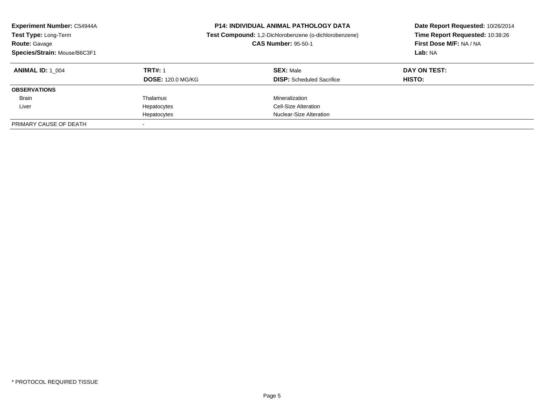| <b>Experiment Number: C54944A</b><br>Test Type: Long-Term<br><b>Route: Gavage</b><br>Species/Strain: Mouse/B6C3F1 |                          | <b>P14: INDIVIDUAL ANIMAL PATHOLOGY DATA</b><br>Test Compound: 1,2-Dichlorobenzene (o-dichlorobenzene)<br><b>CAS Number: 95-50-1</b> | Date Report Requested: 10/26/2014<br>Time Report Requested: 10:38:26<br>First Dose M/F: NA / NA<br>Lab: NA |
|-------------------------------------------------------------------------------------------------------------------|--------------------------|--------------------------------------------------------------------------------------------------------------------------------------|------------------------------------------------------------------------------------------------------------|
| <b>ANIMAL ID:</b> 1 004                                                                                           | <b>TRT#: 1</b>           | <b>SEX: Male</b>                                                                                                                     | DAY ON TEST:                                                                                               |
|                                                                                                                   | <b>DOSE: 120.0 MG/KG</b> | <b>DISP:</b> Scheduled Sacrifice                                                                                                     | HISTO:                                                                                                     |
| <b>OBSERVATIONS</b>                                                                                               |                          |                                                                                                                                      |                                                                                                            |
| <b>Brain</b>                                                                                                      | Thalamus                 | Mineralization                                                                                                                       |                                                                                                            |
| Liver                                                                                                             | Hepatocytes              | Cell-Size Alteration                                                                                                                 |                                                                                                            |
|                                                                                                                   | Hepatocytes              | <b>Nuclear-Size Alteration</b>                                                                                                       |                                                                                                            |
| PRIMARY CAUSE OF DEATH                                                                                            |                          |                                                                                                                                      |                                                                                                            |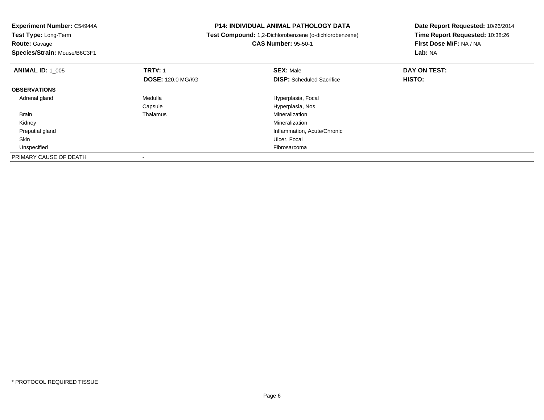**Experiment Number:** C54944A**Test Type:** Long-Term**Route:** Gavage **Species/Strain:** Mouse/B6C3F1**P14: INDIVIDUAL ANIMAL PATHOLOGY DATA Test Compound:** 1,2-Dichlorobenzene (o-dichlorobenzene)**CAS Number:** 95-50-1**Date Report Requested:** 10/26/2014**Time Report Requested:** 10:38:26**First Dose M/F:** NA / NA**Lab:** NA**ANIMAL ID:** 1\_005 **TRT#:** <sup>1</sup> **SEX:** Male **DAY ON TEST: DOSE:** 120.0 MG/KG**DISP:** Scheduled Sacrifice **HISTO: OBSERVATIONS** Adrenal glandMedulla **Manuel Accord Medulla** Hyperplasia, Focal CapsuleCapsule **Capsulation**<br>
Thalamus **Capsulation**<br>
Mineralization Brain Thalamus Mineralization Kidneyy with the control of the control of the control of the control of the control of the control of the control of the control of the control of the control of the control of the control of the control of the control of the c d
and
the contract of the contract of the contract of the contract of the contract of the contract of the contract of the contract of the contract of the contract of the contract of the contract of the contract of the cont Preputial gland Skinn and the control of the control of the control of the control of the control of the control of the control of the control of the control of the control of the control of the control of the control of the control of the co Unspecifiedd **Expedition Control** of the Control of the Control of the Control of the Control of The Control of the Control of the Control of the Control of the Control of the Control of the Control of the Control of the Control of t PRIMARY CAUSE OF DEATH-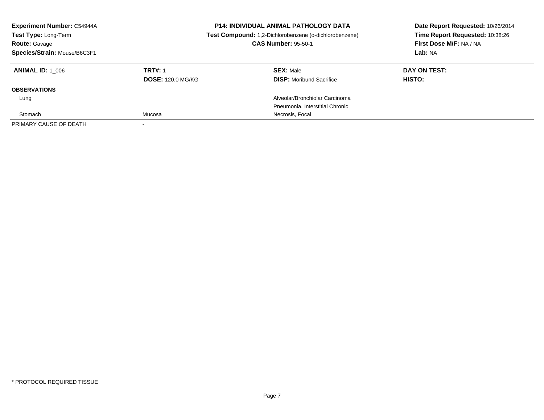| <b>Experiment Number: C54944A</b><br>Test Type: Long-Term<br><b>Route: Gavage</b><br>Species/Strain: Mouse/B6C3F1 |                          | <b>P14: INDIVIDUAL ANIMAL PATHOLOGY DATA</b><br>Test Compound: 1,2-Dichlorobenzene (o-dichlorobenzene)<br><b>CAS Number: 95-50-1</b> | Date Report Requested: 10/26/2014<br>Time Report Requested: 10:38:26<br>First Dose M/F: NA / NA<br>Lab: NA |
|-------------------------------------------------------------------------------------------------------------------|--------------------------|--------------------------------------------------------------------------------------------------------------------------------------|------------------------------------------------------------------------------------------------------------|
| <b>ANIMAL ID: 1 006</b>                                                                                           | <b>TRT#: 1</b>           | <b>SEX: Male</b>                                                                                                                     | DAY ON TEST:                                                                                               |
|                                                                                                                   | <b>DOSE: 120.0 MG/KG</b> | <b>DISP:</b> Moribund Sacrifice                                                                                                      | <b>HISTO:</b>                                                                                              |
| <b>OBSERVATIONS</b>                                                                                               |                          |                                                                                                                                      |                                                                                                            |
| Lung                                                                                                              |                          | Alveolar/Bronchiolar Carcinoma                                                                                                       |                                                                                                            |
|                                                                                                                   |                          | Pneumonia, Interstitial Chronic                                                                                                      |                                                                                                            |
| Stomach                                                                                                           | Mucosa                   | Necrosis, Focal                                                                                                                      |                                                                                                            |
| PRIMARY CAUSE OF DEATH                                                                                            |                          |                                                                                                                                      |                                                                                                            |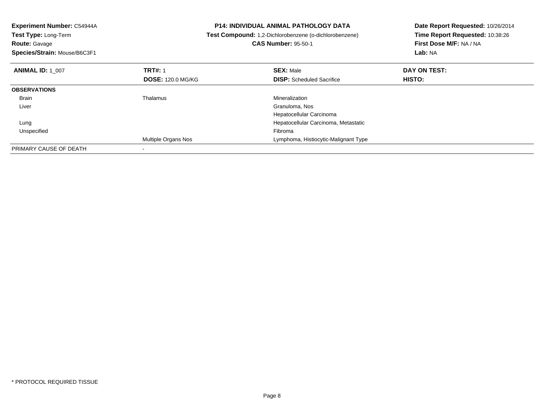| Experiment Number: C54944A<br>Test Type: Long-Term<br><b>Route: Gavage</b> |                          | <b>P14: INDIVIDUAL ANIMAL PATHOLOGY DATA</b><br>Test Compound: 1,2-Dichlorobenzene (o-dichlorobenzene)<br><b>CAS Number: 95-50-1</b> | Date Report Requested: 10/26/2014<br>Time Report Requested: 10:38:26<br>First Dose M/F: NA / NA |  |
|----------------------------------------------------------------------------|--------------------------|--------------------------------------------------------------------------------------------------------------------------------------|-------------------------------------------------------------------------------------------------|--|
| Species/Strain: Mouse/B6C3F1                                               |                          |                                                                                                                                      | Lab: NA                                                                                         |  |
| <b>ANIMAL ID: 1 007</b>                                                    | <b>TRT#: 1</b>           | <b>SEX: Male</b>                                                                                                                     | DAY ON TEST:                                                                                    |  |
|                                                                            | <b>DOSE: 120.0 MG/KG</b> | <b>DISP:</b> Scheduled Sacrifice                                                                                                     | <b>HISTO:</b>                                                                                   |  |
| <b>OBSERVATIONS</b>                                                        |                          |                                                                                                                                      |                                                                                                 |  |
| <b>Brain</b>                                                               | Thalamus                 | Mineralization                                                                                                                       |                                                                                                 |  |
| Liver                                                                      |                          | Granuloma, Nos                                                                                                                       |                                                                                                 |  |
|                                                                            |                          | Hepatocellular Carcinoma                                                                                                             |                                                                                                 |  |
| Lung                                                                       |                          | Hepatocellular Carcinoma, Metastatic                                                                                                 |                                                                                                 |  |
| Unspecified                                                                |                          | Fibroma                                                                                                                              |                                                                                                 |  |
|                                                                            | Multiple Organs Nos      | Lymphoma, Histiocytic-Malignant Type                                                                                                 |                                                                                                 |  |
| PRIMARY CAUSE OF DEATH                                                     |                          |                                                                                                                                      |                                                                                                 |  |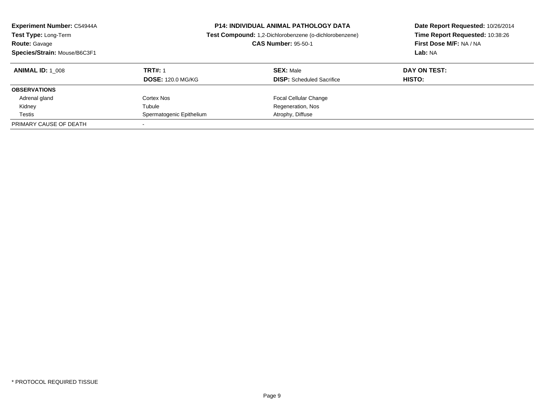| <b>Experiment Number: C54944A</b><br>Test Type: Long-Term<br><b>Route: Gavage</b><br>Species/Strain: Mouse/B6C3F1 |                          | <b>P14: INDIVIDUAL ANIMAL PATHOLOGY DATA</b><br>Test Compound: 1,2-Dichlorobenzene (o-dichlorobenzene)<br><b>CAS Number: 95-50-1</b> | Date Report Requested: 10/26/2014<br>Time Report Requested: 10:38:26<br>First Dose M/F: NA / NA<br>Lab: NA |
|-------------------------------------------------------------------------------------------------------------------|--------------------------|--------------------------------------------------------------------------------------------------------------------------------------|------------------------------------------------------------------------------------------------------------|
| <b>ANIMAL ID:</b> 1 008                                                                                           | <b>TRT#: 1</b>           | <b>SEX: Male</b>                                                                                                                     | DAY ON TEST:                                                                                               |
|                                                                                                                   | <b>DOSE: 120.0 MG/KG</b> | <b>DISP:</b> Scheduled Sacrifice                                                                                                     | <b>HISTO:</b>                                                                                              |
| <b>OBSERVATIONS</b>                                                                                               |                          |                                                                                                                                      |                                                                                                            |
| Adrenal gland                                                                                                     | Cortex Nos               | <b>Focal Cellular Change</b>                                                                                                         |                                                                                                            |
| Kidney                                                                                                            | Tubule                   | Regeneration, Nos                                                                                                                    |                                                                                                            |
| Testis                                                                                                            | Spermatogenic Epithelium | Atrophy, Diffuse                                                                                                                     |                                                                                                            |
| PRIMARY CAUSE OF DEATH                                                                                            |                          |                                                                                                                                      |                                                                                                            |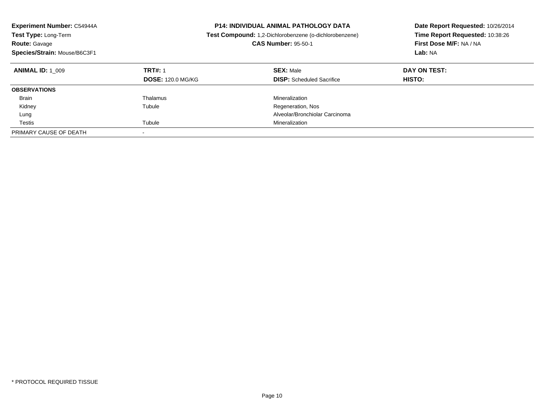| <b>Experiment Number: C54944A</b><br><b>Test Type: Long-Term</b><br><b>Route: Gavage</b><br>Species/Strain: Mouse/B6C3F1 |                                            | <b>P14: INDIVIDUAL ANIMAL PATHOLOGY DATA</b><br><b>Test Compound:</b> 1,2-Dichlorobenzene (o-dichlorobenzene)<br><b>CAS Number: 95-50-1</b> | Date Report Requested: 10/26/2014<br>Time Report Requested: 10:38:26<br>First Dose M/F: NA / NA<br>Lab: NA |
|--------------------------------------------------------------------------------------------------------------------------|--------------------------------------------|---------------------------------------------------------------------------------------------------------------------------------------------|------------------------------------------------------------------------------------------------------------|
| <b>ANIMAL ID: 1 009</b>                                                                                                  | <b>TRT#: 1</b><br><b>DOSE: 120.0 MG/KG</b> | <b>SEX: Male</b><br><b>DISP:</b> Scheduled Sacrifice                                                                                        | DAY ON TEST:<br>HISTO:                                                                                     |
| <b>OBSERVATIONS</b>                                                                                                      |                                            |                                                                                                                                             |                                                                                                            |
| <b>Brain</b>                                                                                                             | Thalamus                                   | Mineralization                                                                                                                              |                                                                                                            |
| Kidney                                                                                                                   | Tubule                                     | Regeneration, Nos                                                                                                                           |                                                                                                            |
| Lung                                                                                                                     |                                            | Alveolar/Bronchiolar Carcinoma                                                                                                              |                                                                                                            |
| Testis                                                                                                                   | Tubule                                     | Mineralization                                                                                                                              |                                                                                                            |
| PRIMARY CAUSE OF DEATH                                                                                                   | $\overline{\phantom{a}}$                   |                                                                                                                                             |                                                                                                            |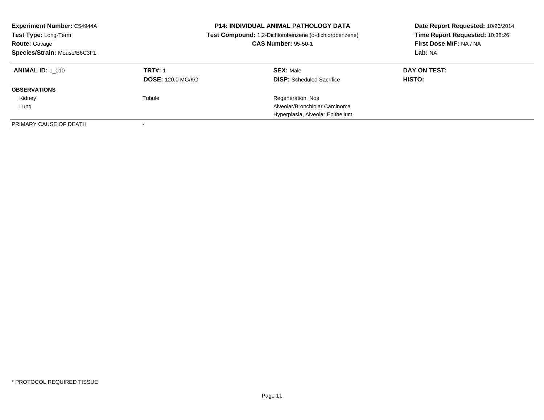| <b>Experiment Number: C54944A</b><br>Test Type: Long-Term<br><b>Route: Gavage</b><br>Species/Strain: Mouse/B6C3F1 |                                            | <b>P14: INDIVIDUAL ANIMAL PATHOLOGY DATA</b><br>Test Compound: 1,2-Dichlorobenzene (o-dichlorobenzene)<br><b>CAS Number: 95-50-1</b> | Date Report Requested: 10/26/2014<br>Time Report Requested: 10:38:26<br>First Dose M/F: NA / NA<br>Lab: NA |
|-------------------------------------------------------------------------------------------------------------------|--------------------------------------------|--------------------------------------------------------------------------------------------------------------------------------------|------------------------------------------------------------------------------------------------------------|
| <b>ANIMAL ID: 1 010</b>                                                                                           | <b>TRT#: 1</b><br><b>DOSE: 120.0 MG/KG</b> | <b>SEX: Male</b><br><b>DISP:</b> Scheduled Sacrifice                                                                                 | DAY ON TEST:<br><b>HISTO:</b>                                                                              |
| <b>OBSERVATIONS</b>                                                                                               |                                            |                                                                                                                                      |                                                                                                            |
| Kidney                                                                                                            | Tubule                                     | Regeneration, Nos                                                                                                                    |                                                                                                            |
| Lung                                                                                                              |                                            | Alveolar/Bronchiolar Carcinoma                                                                                                       |                                                                                                            |
|                                                                                                                   |                                            | Hyperplasia, Alveolar Epithelium                                                                                                     |                                                                                                            |
| PRIMARY CAUSE OF DEATH                                                                                            |                                            |                                                                                                                                      |                                                                                                            |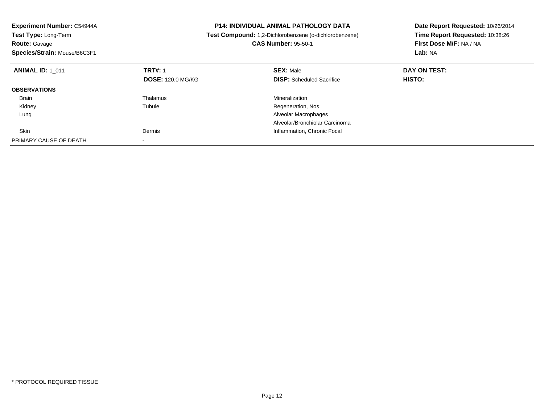| <b>Experiment Number: C54944A</b><br>Test Type: Long-Term<br><b>Route: Gavage</b><br>Species/Strain: Mouse/B6C3F1 |                          | <b>P14: INDIVIDUAL ANIMAL PATHOLOGY DATA</b><br>Test Compound: 1,2-Dichlorobenzene (o-dichlorobenzene)<br><b>CAS Number: 95-50-1</b> | Date Report Requested: 10/26/2014<br>Time Report Requested: 10:38:26<br>First Dose M/F: NA / NA<br>Lab: NA |
|-------------------------------------------------------------------------------------------------------------------|--------------------------|--------------------------------------------------------------------------------------------------------------------------------------|------------------------------------------------------------------------------------------------------------|
| <b>ANIMAL ID: 1 011</b>                                                                                           | <b>TRT#: 1</b>           | <b>SEX: Male</b>                                                                                                                     | DAY ON TEST:                                                                                               |
|                                                                                                                   | <b>DOSE: 120.0 MG/KG</b> | <b>DISP:</b> Scheduled Sacrifice                                                                                                     | HISTO:                                                                                                     |
| <b>OBSERVATIONS</b>                                                                                               |                          |                                                                                                                                      |                                                                                                            |
| <b>Brain</b>                                                                                                      | Thalamus                 | Mineralization                                                                                                                       |                                                                                                            |
| Kidney                                                                                                            | Tubule                   | Regeneration, Nos                                                                                                                    |                                                                                                            |
| Lung                                                                                                              |                          | Alveolar Macrophages                                                                                                                 |                                                                                                            |
|                                                                                                                   |                          | Alveolar/Bronchiolar Carcinoma                                                                                                       |                                                                                                            |
| Skin                                                                                                              | Dermis                   | Inflammation, Chronic Focal                                                                                                          |                                                                                                            |
| PRIMARY CAUSE OF DEATH                                                                                            |                          |                                                                                                                                      |                                                                                                            |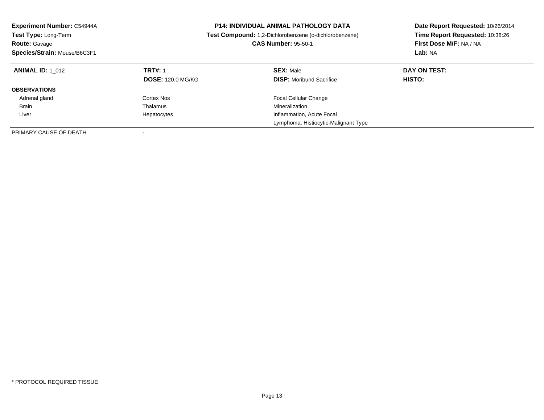| Experiment Number: C54944A<br><b>Test Type: Long-Term</b><br><b>Route: Gavage</b><br>Species/Strain: Mouse/B6C3F1 |                                            | <b>P14: INDIVIDUAL ANIMAL PATHOLOGY DATA</b><br>Test Compound: 1,2-Dichlorobenzene (o-dichlorobenzene)<br><b>CAS Number: 95-50-1</b> | Date Report Requested: 10/26/2014<br>Time Report Requested: 10:38:26<br>First Dose M/F: NA / NA<br>Lab: NA |
|-------------------------------------------------------------------------------------------------------------------|--------------------------------------------|--------------------------------------------------------------------------------------------------------------------------------------|------------------------------------------------------------------------------------------------------------|
| <b>ANIMAL ID:</b> 1 012                                                                                           | <b>TRT#: 1</b><br><b>DOSE: 120.0 MG/KG</b> | <b>SEX: Male</b><br><b>DISP:</b> Moribund Sacrifice                                                                                  | DAY ON TEST:<br>HISTO:                                                                                     |
| <b>OBSERVATIONS</b>                                                                                               |                                            |                                                                                                                                      |                                                                                                            |
| Adrenal gland                                                                                                     | Cortex Nos                                 | Focal Cellular Change                                                                                                                |                                                                                                            |
| <b>Brain</b>                                                                                                      | Thalamus                                   | Mineralization                                                                                                                       |                                                                                                            |
| Liver                                                                                                             | Hepatocytes                                | Inflammation, Acute Focal                                                                                                            |                                                                                                            |
|                                                                                                                   |                                            | Lymphoma, Histiocytic-Malignant Type                                                                                                 |                                                                                                            |
| PRIMARY CAUSE OF DEATH                                                                                            |                                            |                                                                                                                                      |                                                                                                            |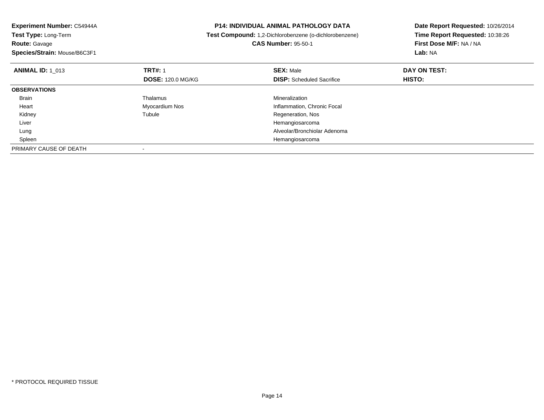| Experiment Number: C54944A<br><b>Test Type: Long-Term</b> |                          | <b>P14: INDIVIDUAL ANIMAL PATHOLOGY DATA</b>           | Date Report Requested: 10/26/2014 |
|-----------------------------------------------------------|--------------------------|--------------------------------------------------------|-----------------------------------|
|                                                           |                          | Test Compound: 1,2-Dichlorobenzene (o-dichlorobenzene) | Time Report Requested: 10:38:26   |
| <b>Route: Gavage</b>                                      |                          | <b>CAS Number: 95-50-1</b>                             | First Dose M/F: NA / NA           |
| Species/Strain: Mouse/B6C3F1                              |                          |                                                        | Lab: NA                           |
| <b>ANIMAL ID: 1 013</b>                                   | <b>TRT#: 1</b>           | <b>SEX: Male</b>                                       | DAY ON TEST:                      |
|                                                           | <b>DOSE: 120.0 MG/KG</b> | <b>DISP:</b> Scheduled Sacrifice                       | HISTO:                            |
| <b>OBSERVATIONS</b>                                       |                          |                                                        |                                   |
| Brain                                                     | Thalamus                 | Mineralization                                         |                                   |
| Heart                                                     | Myocardium Nos           | Inflammation, Chronic Focal                            |                                   |
| Kidney                                                    | Tubule                   | Regeneration, Nos                                      |                                   |
| Liver                                                     |                          | Hemangiosarcoma                                        |                                   |
| Lung                                                      |                          | Alveolar/Bronchiolar Adenoma                           |                                   |
| Spleen                                                    |                          | Hemangiosarcoma                                        |                                   |
| PRIMARY CAUSE OF DEATH                                    |                          |                                                        |                                   |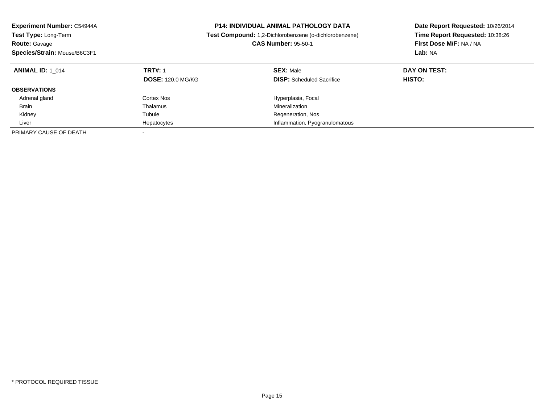| <b>Experiment Number: C54944A</b><br>Test Type: Long-Term<br><b>Route: Gavage</b> |                          | <b>P14: INDIVIDUAL ANIMAL PATHOLOGY DATA</b><br><b>Test Compound:</b> 1,2-Dichlorobenzene (o-dichlorobenzene)<br><b>CAS Number: 95-50-1</b> | Date Report Requested: 10/26/2014<br>Time Report Requested: 10:38:26<br>First Dose M/F: NA / NA |
|-----------------------------------------------------------------------------------|--------------------------|---------------------------------------------------------------------------------------------------------------------------------------------|-------------------------------------------------------------------------------------------------|
| Species/Strain: Mouse/B6C3F1                                                      |                          |                                                                                                                                             | Lab: NA                                                                                         |
| <b>ANIMAL ID: 1 014</b>                                                           | <b>TRT#: 1</b>           | <b>SEX: Male</b>                                                                                                                            | DAY ON TEST:                                                                                    |
|                                                                                   | <b>DOSE: 120.0 MG/KG</b> | <b>DISP:</b> Scheduled Sacrifice                                                                                                            | <b>HISTO:</b>                                                                                   |
| <b>OBSERVATIONS</b>                                                               |                          |                                                                                                                                             |                                                                                                 |
| Adrenal gland                                                                     | Cortex Nos               | Hyperplasia, Focal                                                                                                                          |                                                                                                 |
| <b>Brain</b>                                                                      | Thalamus                 | Mineralization                                                                                                                              |                                                                                                 |
| Kidney                                                                            | Tubule                   | Regeneration, Nos                                                                                                                           |                                                                                                 |
| Liver                                                                             | Hepatocytes              | Inflammation, Pyogranulomatous                                                                                                              |                                                                                                 |
| PRIMARY CAUSE OF DEATH                                                            |                          |                                                                                                                                             |                                                                                                 |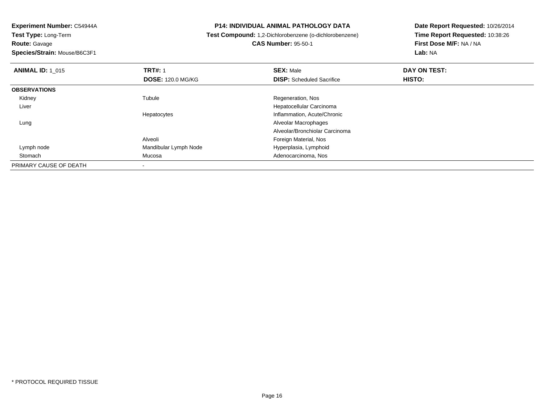**Experiment Number:** C54944A**Test Type:** Long-Term

**Route:** Gavage

**Species/Strain:** Mouse/B6C3F1

## **P14: INDIVIDUAL ANIMAL PATHOLOGY DATA**

## **Test Compound:** 1,2-Dichlorobenzene (o-dichlorobenzene)

**CAS Number:** 95-50-1

**Date Report Requested:** 10/26/2014**Time Report Requested:** 10:38:26**First Dose M/F:** NA / NA**Lab:** NA

| <b>ANIMAL ID: 1 015</b> | <b>TRT#: 1</b>           | <b>SEX: Male</b>                 | DAY ON TEST: |  |
|-------------------------|--------------------------|----------------------------------|--------------|--|
|                         | <b>DOSE: 120.0 MG/KG</b> | <b>DISP:</b> Scheduled Sacrifice | HISTO:       |  |
| <b>OBSERVATIONS</b>     |                          |                                  |              |  |
| Kidney                  | Tubule                   | Regeneration, Nos                |              |  |
| Liver                   |                          | Hepatocellular Carcinoma         |              |  |
|                         | Hepatocytes              | Inflammation, Acute/Chronic      |              |  |
| Lung                    |                          | Alveolar Macrophages             |              |  |
|                         |                          | Alveolar/Bronchiolar Carcinoma   |              |  |
|                         | Alveoli                  | Foreign Material, Nos            |              |  |
| Lymph node              | Mandibular Lymph Node    | Hyperplasia, Lymphoid            |              |  |
| Stomach                 | Mucosa                   | Adenocarcinoma, Nos              |              |  |
| PRIMARY CAUSE OF DEATH  |                          |                                  |              |  |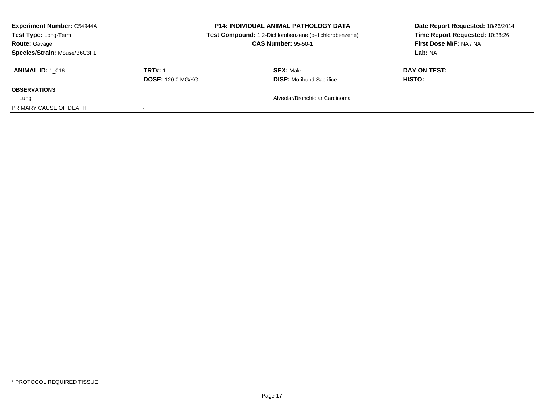| <b>Experiment Number: C54944A</b><br>Test Type: Long-Term<br><b>Route: Gavage</b><br>Species/Strain: Mouse/B6C3F1 |                          | <b>P14: INDIVIDUAL ANIMAL PATHOLOGY DATA</b><br><b>Test Compound:</b> 1,2-Dichlorobenzene (o-dichlorobenzene)<br><b>CAS Number: 95-50-1</b> | Date Report Requested: 10/26/2014<br>Time Report Requested: 10:38:26<br>First Dose M/F: NA / NA<br>Lab: NA |  |
|-------------------------------------------------------------------------------------------------------------------|--------------------------|---------------------------------------------------------------------------------------------------------------------------------------------|------------------------------------------------------------------------------------------------------------|--|
| <b>ANIMAL ID:</b> 1 016                                                                                           | <b>TRT#: 1</b>           | <b>SEX: Male</b>                                                                                                                            | DAY ON TEST:                                                                                               |  |
|                                                                                                                   | <b>DOSE: 120.0 MG/KG</b> | <b>DISP:</b> Moribund Sacrifice                                                                                                             | HISTO:                                                                                                     |  |
| <b>OBSERVATIONS</b>                                                                                               |                          |                                                                                                                                             |                                                                                                            |  |
| Lung                                                                                                              |                          | Alveolar/Bronchiolar Carcinoma                                                                                                              |                                                                                                            |  |
| PRIMARY CAUSE OF DEATH                                                                                            |                          |                                                                                                                                             |                                                                                                            |  |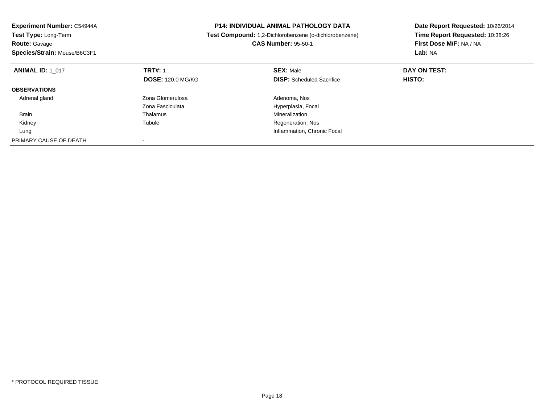| Experiment Number: C54944A<br>Test Type: Long-Term<br><b>Route: Gavage</b><br>Species/Strain: Mouse/B6C3F1 |                          | <b>P14: INDIVIDUAL ANIMAL PATHOLOGY DATA</b><br>Test Compound: 1,2-Dichlorobenzene (o-dichlorobenzene)<br><b>CAS Number: 95-50-1</b> | Date Report Requested: 10/26/2014<br>Time Report Requested: 10:38:26<br>First Dose M/F: NA / NA<br>Lab: NA |
|------------------------------------------------------------------------------------------------------------|--------------------------|--------------------------------------------------------------------------------------------------------------------------------------|------------------------------------------------------------------------------------------------------------|
| <b>ANIMAL ID: 1 017</b>                                                                                    | <b>TRT#: 1</b>           | <b>SEX: Male</b>                                                                                                                     | DAY ON TEST:                                                                                               |
|                                                                                                            | <b>DOSE: 120.0 MG/KG</b> | <b>DISP:</b> Scheduled Sacrifice                                                                                                     | HISTO:                                                                                                     |
| <b>OBSERVATIONS</b>                                                                                        |                          |                                                                                                                                      |                                                                                                            |
| Adrenal gland                                                                                              | Zona Glomerulosa         | Adenoma, Nos                                                                                                                         |                                                                                                            |
|                                                                                                            | Zona Fasciculata         | Hyperplasia, Focal                                                                                                                   |                                                                                                            |
| <b>Brain</b>                                                                                               | Thalamus                 | Mineralization                                                                                                                       |                                                                                                            |
| Kidney                                                                                                     | Tubule                   | Regeneration, Nos                                                                                                                    |                                                                                                            |
| Lung                                                                                                       |                          | Inflammation, Chronic Focal                                                                                                          |                                                                                                            |
| PRIMARY CAUSE OF DEATH                                                                                     |                          |                                                                                                                                      |                                                                                                            |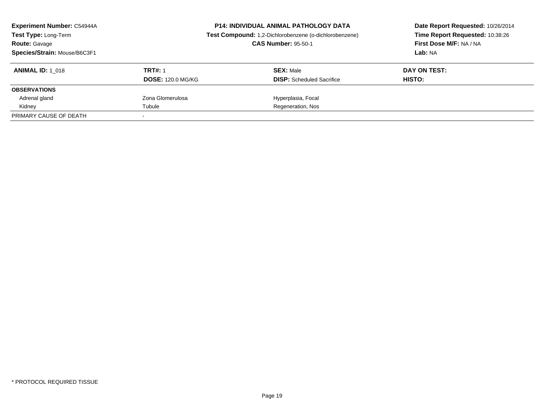| <b>Experiment Number: C54944A</b><br>Test Type: Long-Term<br><b>Route: Gavage</b><br>Species/Strain: Mouse/B6C3F1 | <b>P14: INDIVIDUAL ANIMAL PATHOLOGY DATA</b><br>Test Compound: 1,2-Dichlorobenzene (o-dichlorobenzene)<br><b>CAS Number: 95-50-1</b> |                                                      | Date Report Requested: 10/26/2014<br>Time Report Requested: 10:38:26<br>First Dose M/F: NA / NA<br>Lab: NA |
|-------------------------------------------------------------------------------------------------------------------|--------------------------------------------------------------------------------------------------------------------------------------|------------------------------------------------------|------------------------------------------------------------------------------------------------------------|
| <b>ANIMAL ID: 1 018</b>                                                                                           | <b>TRT#: 1</b><br><b>DOSE: 120.0 MG/KG</b>                                                                                           | <b>SEX: Male</b><br><b>DISP:</b> Scheduled Sacrifice | DAY ON TEST:<br>HISTO:                                                                                     |
| <b>OBSERVATIONS</b>                                                                                               |                                                                                                                                      |                                                      |                                                                                                            |
| Adrenal gland                                                                                                     | Zona Glomerulosa                                                                                                                     | Hyperplasia, Focal                                   |                                                                                                            |
| Kidney                                                                                                            | Tubule                                                                                                                               | Regeneration, Nos                                    |                                                                                                            |
| PRIMARY CAUSE OF DEATH                                                                                            |                                                                                                                                      |                                                      |                                                                                                            |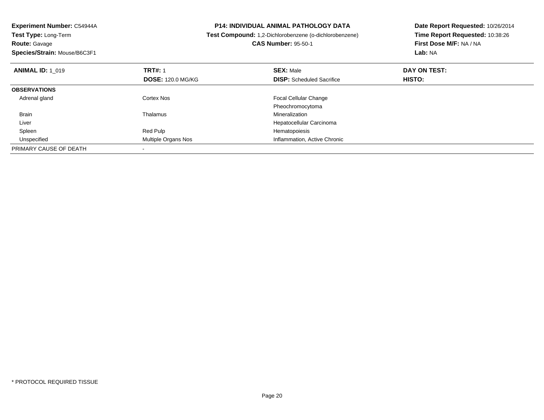| Experiment Number: C54944A   | <b>P14: INDIVIDUAL ANIMAL PATHOLOGY DATA</b> |                                                        | Date Report Requested: 10/26/2014 |  |
|------------------------------|----------------------------------------------|--------------------------------------------------------|-----------------------------------|--|
| Test Type: Long-Term         |                                              | Test Compound: 1,2-Dichlorobenzene (o-dichlorobenzene) | Time Report Requested: 10:38:26   |  |
| <b>Route: Gavage</b>         |                                              | <b>CAS Number: 95-50-1</b>                             | First Dose M/F: NA / NA           |  |
| Species/Strain: Mouse/B6C3F1 |                                              |                                                        | Lab: NA                           |  |
| <b>ANIMAL ID: 1 019</b>      | <b>TRT#: 1</b>                               | <b>SEX: Male</b>                                       | DAY ON TEST:                      |  |
|                              | <b>DOSE: 120.0 MG/KG</b>                     | <b>DISP:</b> Scheduled Sacrifice                       | <b>HISTO:</b>                     |  |
| <b>OBSERVATIONS</b>          |                                              |                                                        |                                   |  |
| Adrenal gland                | Cortex Nos                                   | <b>Focal Cellular Change</b>                           |                                   |  |
|                              |                                              | Pheochromocytoma                                       |                                   |  |
| <b>Brain</b>                 | Thalamus                                     | Mineralization                                         |                                   |  |
| Liver                        |                                              | Hepatocellular Carcinoma                               |                                   |  |
| Spleen                       | Red Pulp                                     | Hematopoiesis                                          |                                   |  |
| Unspecified                  | <b>Multiple Organs Nos</b>                   | Inflammation, Active Chronic                           |                                   |  |
| PRIMARY CAUSE OF DEATH       |                                              |                                                        |                                   |  |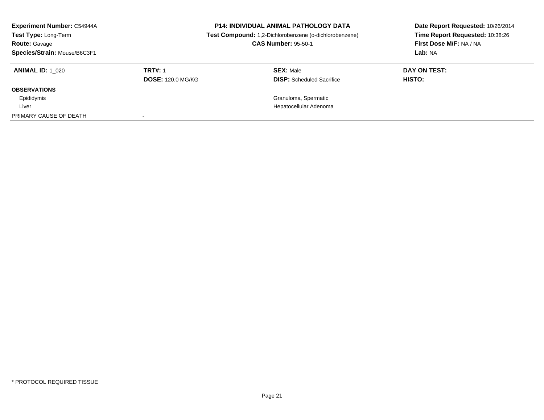| <b>Experiment Number: C54944A</b><br><b>Test Type: Long-Term</b><br><b>Route: Gavage</b><br>Species/Strain: Mouse/B6C3F1 |                                            | <b>P14: INDIVIDUAL ANIMAL PATHOLOGY DATA</b><br>Test Compound: 1,2-Dichlorobenzene (o-dichlorobenzene)<br><b>CAS Number: 95-50-1</b> | Date Report Requested: 10/26/2014<br>Time Report Requested: 10:38:26<br>First Dose M/F: NA / NA<br>Lab: NA |
|--------------------------------------------------------------------------------------------------------------------------|--------------------------------------------|--------------------------------------------------------------------------------------------------------------------------------------|------------------------------------------------------------------------------------------------------------|
| <b>ANIMAL ID:</b> 1 020                                                                                                  | <b>TRT#: 1</b><br><b>DOSE: 120.0 MG/KG</b> | <b>SEX: Male</b><br><b>DISP:</b> Scheduled Sacrifice                                                                                 | DAY ON TEST:<br>HISTO:                                                                                     |
| <b>OBSERVATIONS</b>                                                                                                      |                                            |                                                                                                                                      |                                                                                                            |
| Epididymis                                                                                                               |                                            | Granuloma, Spermatic                                                                                                                 |                                                                                                            |
| Liver                                                                                                                    |                                            | Hepatocellular Adenoma                                                                                                               |                                                                                                            |
| PRIMARY CAUSE OF DEATH                                                                                                   |                                            |                                                                                                                                      |                                                                                                            |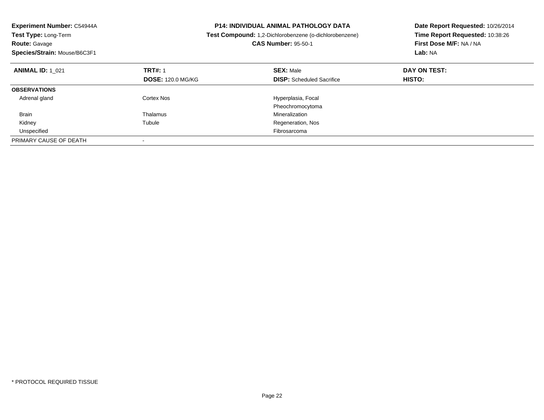| Experiment Number: C54944A<br>Test Type: Long-Term<br><b>Route: Gavage</b><br>Species/Strain: Mouse/B6C3F1 |                          | <b>P14: INDIVIDUAL ANIMAL PATHOLOGY DATA</b><br>Test Compound: 1,2-Dichlorobenzene (o-dichlorobenzene)<br><b>CAS Number: 95-50-1</b> | Date Report Requested: 10/26/2014<br>Time Report Requested: 10:38:26<br>First Dose M/F: NA / NA<br>Lab: NA |
|------------------------------------------------------------------------------------------------------------|--------------------------|--------------------------------------------------------------------------------------------------------------------------------------|------------------------------------------------------------------------------------------------------------|
| <b>ANIMAL ID: 1 021</b>                                                                                    | <b>TRT#: 1</b>           | <b>SEX: Male</b>                                                                                                                     | DAY ON TEST:                                                                                               |
|                                                                                                            | <b>DOSE: 120.0 MG/KG</b> | <b>DISP:</b> Scheduled Sacrifice                                                                                                     | HISTO:                                                                                                     |
| <b>OBSERVATIONS</b>                                                                                        |                          |                                                                                                                                      |                                                                                                            |
| Adrenal gland                                                                                              | Cortex Nos               | Hyperplasia, Focal                                                                                                                   |                                                                                                            |
|                                                                                                            |                          | Pheochromocytoma                                                                                                                     |                                                                                                            |
| <b>Brain</b>                                                                                               | Thalamus                 | Mineralization                                                                                                                       |                                                                                                            |
| Kidney                                                                                                     | Tubule                   | Regeneration, Nos                                                                                                                    |                                                                                                            |
| Unspecified                                                                                                |                          | Fibrosarcoma                                                                                                                         |                                                                                                            |
| PRIMARY CAUSE OF DEATH                                                                                     |                          |                                                                                                                                      |                                                                                                            |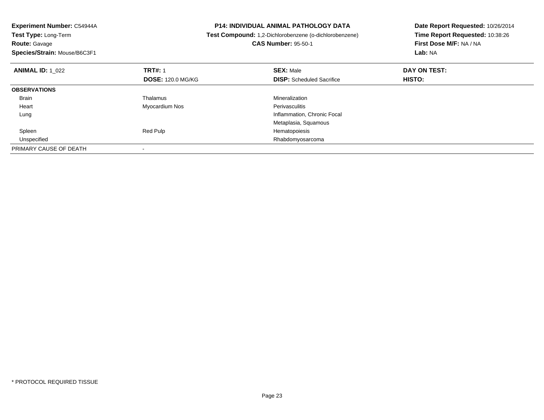| Experiment Number: C54944A   | <b>P14: INDIVIDUAL ANIMAL PATHOLOGY DATA</b> |                                                        | Date Report Requested: 10/26/2014 |
|------------------------------|----------------------------------------------|--------------------------------------------------------|-----------------------------------|
| Test Type: Long-Term         |                                              | Test Compound: 1,2-Dichlorobenzene (o-dichlorobenzene) | Time Report Requested: 10:38:26   |
| <b>Route: Gavage</b>         |                                              | <b>CAS Number: 95-50-1</b>                             | First Dose M/F: NA / NA           |
| Species/Strain: Mouse/B6C3F1 |                                              |                                                        | Lab: NA                           |
| <b>ANIMAL ID: 1 022</b>      | <b>TRT#: 1</b>                               | <b>SEX: Male</b>                                       | DAY ON TEST:                      |
|                              | <b>DOSE: 120.0 MG/KG</b>                     | <b>DISP:</b> Scheduled Sacrifice                       | HISTO:                            |
| <b>OBSERVATIONS</b>          |                                              |                                                        |                                   |
| Brain                        | Thalamus                                     | Mineralization                                         |                                   |
| Heart                        | Myocardium Nos                               | Perivasculitis                                         |                                   |
| Lung                         |                                              | Inflammation, Chronic Focal                            |                                   |
|                              |                                              | Metaplasia, Squamous                                   |                                   |
| Spleen                       | Red Pulp                                     | Hematopoiesis                                          |                                   |
| Unspecified                  |                                              | Rhabdomyosarcoma                                       |                                   |
| PRIMARY CAUSE OF DEATH       |                                              |                                                        |                                   |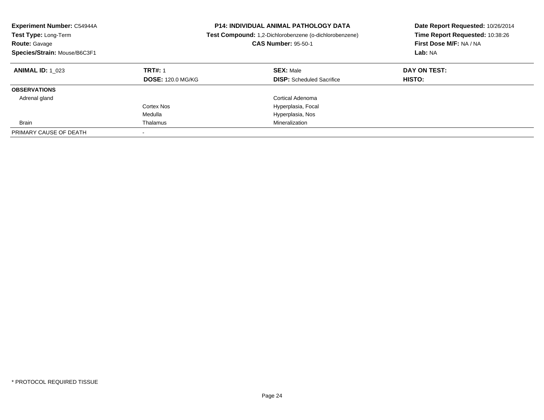| <b>Experiment Number: C54944A</b><br>Test Type: Long-Term<br><b>Route: Gavage</b><br>Species/Strain: Mouse/B6C3F1 |                                            | <b>P14: INDIVIDUAL ANIMAL PATHOLOGY DATA</b><br>Test Compound: 1,2-Dichlorobenzene (o-dichlorobenzene)<br><b>CAS Number: 95-50-1</b> | Date Report Requested: 10/26/2014<br>Time Report Requested: 10:38:26<br>First Dose M/F: NA / NA<br>Lab: NA |
|-------------------------------------------------------------------------------------------------------------------|--------------------------------------------|--------------------------------------------------------------------------------------------------------------------------------------|------------------------------------------------------------------------------------------------------------|
| <b>ANIMAL ID: 1 023</b>                                                                                           | <b>TRT#: 1</b><br><b>DOSE: 120.0 MG/KG</b> | <b>SEX: Male</b><br><b>DISP:</b> Scheduled Sacrifice                                                                                 | DAY ON TEST:<br>HISTO:                                                                                     |
| <b>OBSERVATIONS</b>                                                                                               |                                            |                                                                                                                                      |                                                                                                            |
| Adrenal gland                                                                                                     |                                            | Cortical Adenoma                                                                                                                     |                                                                                                            |
|                                                                                                                   | Cortex Nos                                 | Hyperplasia, Focal                                                                                                                   |                                                                                                            |
|                                                                                                                   | Medulla                                    | Hyperplasia, Nos                                                                                                                     |                                                                                                            |
| <b>Brain</b>                                                                                                      | Thalamus                                   | Mineralization                                                                                                                       |                                                                                                            |
| PRIMARY CAUSE OF DEATH                                                                                            | $\,$                                       |                                                                                                                                      |                                                                                                            |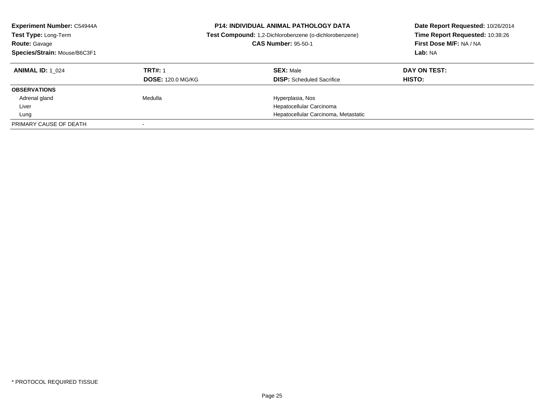| <b>Experiment Number: C54944A</b><br>Test Type: Long-Term<br><b>Route: Gavage</b><br>Species/Strain: Mouse/B6C3F1 |                                            | <b>P14: INDIVIDUAL ANIMAL PATHOLOGY DATA</b><br>Test Compound: 1,2-Dichlorobenzene (o-dichlorobenzene)<br><b>CAS Number: 95-50-1</b> | Date Report Requested: 10/26/2014<br>Time Report Requested: 10:38:26<br>First Dose M/F: NA / NA<br>Lab: NA |  |
|-------------------------------------------------------------------------------------------------------------------|--------------------------------------------|--------------------------------------------------------------------------------------------------------------------------------------|------------------------------------------------------------------------------------------------------------|--|
| <b>ANIMAL ID:</b> 1 024                                                                                           | <b>TRT#: 1</b><br><b>DOSE: 120.0 MG/KG</b> | <b>SEX: Male</b><br><b>DISP:</b> Scheduled Sacrifice                                                                                 | DAY ON TEST:<br><b>HISTO:</b>                                                                              |  |
| <b>OBSERVATIONS</b>                                                                                               |                                            |                                                                                                                                      |                                                                                                            |  |
| Adrenal gland                                                                                                     | Medulla                                    | Hyperplasia, Nos                                                                                                                     |                                                                                                            |  |
| Liver                                                                                                             |                                            | Hepatocellular Carcinoma                                                                                                             |                                                                                                            |  |
| Lung                                                                                                              |                                            | Hepatocellular Carcinoma, Metastatic                                                                                                 |                                                                                                            |  |
| PRIMARY CAUSE OF DEATH                                                                                            |                                            |                                                                                                                                      |                                                                                                            |  |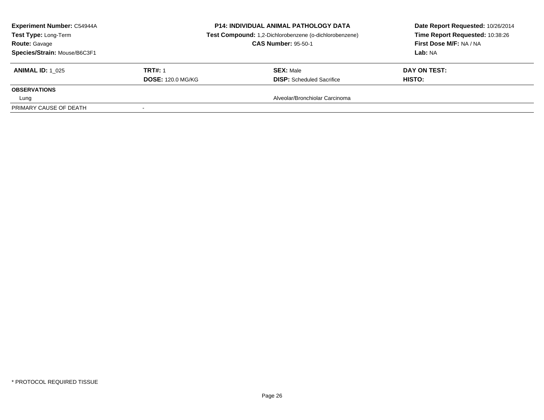| <b>Experiment Number: C54944A</b><br>Test Type: Long-Term<br><b>Route: Gavage</b><br>Species/Strain: Mouse/B6C3F1 |                          | <b>P14: INDIVIDUAL ANIMAL PATHOLOGY DATA</b><br><b>Test Compound:</b> 1,2-Dichlorobenzene (o-dichlorobenzene)<br><b>CAS Number: 95-50-1</b> | Date Report Requested: 10/26/2014<br>Time Report Requested: 10:38:26<br>First Dose M/F: NA / NA<br>Lab: NA |  |
|-------------------------------------------------------------------------------------------------------------------|--------------------------|---------------------------------------------------------------------------------------------------------------------------------------------|------------------------------------------------------------------------------------------------------------|--|
| <b>ANIMAL ID: 1 025</b>                                                                                           | <b>TRT#: 1</b>           | <b>SEX: Male</b>                                                                                                                            | DAY ON TEST:                                                                                               |  |
|                                                                                                                   | <b>DOSE: 120.0 MG/KG</b> | <b>DISP:</b> Scheduled Sacrifice                                                                                                            | HISTO:                                                                                                     |  |
| <b>OBSERVATIONS</b>                                                                                               |                          |                                                                                                                                             |                                                                                                            |  |
| Lung                                                                                                              |                          | Alveolar/Bronchiolar Carcinoma                                                                                                              |                                                                                                            |  |
| PRIMARY CAUSE OF DEATH                                                                                            |                          |                                                                                                                                             |                                                                                                            |  |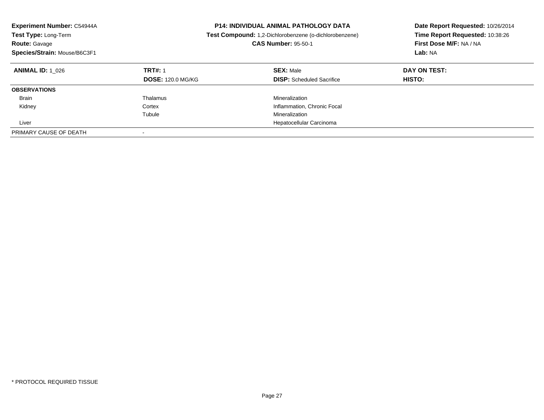| <b>Experiment Number: C54944A</b><br>Test Type: Long-Term<br><b>Route: Gavage</b><br>Species/Strain: Mouse/B6C3F1 |                                            | <b>P14: INDIVIDUAL ANIMAL PATHOLOGY DATA</b><br>Test Compound: 1,2-Dichlorobenzene (o-dichlorobenzene)<br><b>CAS Number: 95-50-1</b> | Date Report Requested: 10/26/2014<br>Time Report Requested: 10:38:26<br>First Dose M/F: NA / NA<br>Lab: NA |
|-------------------------------------------------------------------------------------------------------------------|--------------------------------------------|--------------------------------------------------------------------------------------------------------------------------------------|------------------------------------------------------------------------------------------------------------|
| <b>ANIMAL ID: 1 026</b>                                                                                           | <b>TRT#: 1</b><br><b>DOSE: 120.0 MG/KG</b> | <b>SEX: Male</b><br><b>DISP:</b> Scheduled Sacrifice                                                                                 | DAY ON TEST:<br><b>HISTO:</b>                                                                              |
| <b>OBSERVATIONS</b>                                                                                               |                                            |                                                                                                                                      |                                                                                                            |
| <b>Brain</b>                                                                                                      | Thalamus                                   | Mineralization                                                                                                                       |                                                                                                            |
| Kidney                                                                                                            | Cortex                                     | Inflammation, Chronic Focal                                                                                                          |                                                                                                            |
|                                                                                                                   | Tubule                                     | Mineralization                                                                                                                       |                                                                                                            |
| Liver                                                                                                             |                                            | Hepatocellular Carcinoma                                                                                                             |                                                                                                            |
| PRIMARY CAUSE OF DEATH                                                                                            |                                            |                                                                                                                                      |                                                                                                            |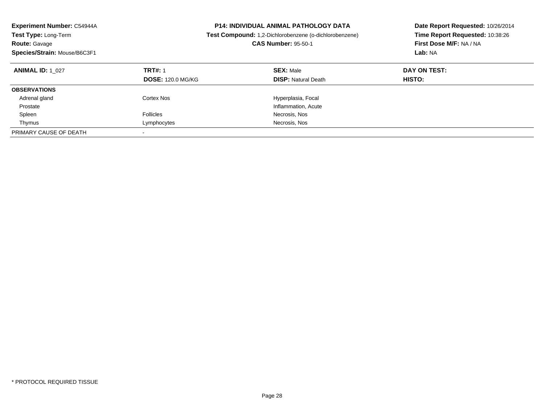| <b>Experiment Number: C54944A</b><br><b>Test Type: Long-Term</b><br><b>Route: Gavage</b><br>Species/Strain: Mouse/B6C3F1 | <b>P14: INDIVIDUAL ANIMAL PATHOLOGY DATA</b><br><b>Test Compound:</b> 1,2-Dichlorobenzene (o-dichlorobenzene)<br><b>CAS Number: 95-50-1</b> |                                                | Date Report Requested: 10/26/2014<br>Time Report Requested: 10:38:26<br>First Dose M/F: NA / NA<br>Lab: NA |
|--------------------------------------------------------------------------------------------------------------------------|---------------------------------------------------------------------------------------------------------------------------------------------|------------------------------------------------|------------------------------------------------------------------------------------------------------------|
| <b>ANIMAL ID: 1 027</b>                                                                                                  | <b>TRT#: 1</b><br><b>DOSE: 120.0 MG/KG</b>                                                                                                  | <b>SEX: Male</b><br><b>DISP:</b> Natural Death | DAY ON TEST:<br>HISTO:                                                                                     |
| <b>OBSERVATIONS</b>                                                                                                      |                                                                                                                                             |                                                |                                                                                                            |
| Adrenal gland                                                                                                            | Cortex Nos                                                                                                                                  | Hyperplasia, Focal                             |                                                                                                            |
| Prostate                                                                                                                 |                                                                                                                                             | Inflammation, Acute                            |                                                                                                            |
| Spleen                                                                                                                   | <b>Follicles</b>                                                                                                                            | Necrosis, Nos                                  |                                                                                                            |
| Thymus                                                                                                                   | Lymphocytes                                                                                                                                 | Necrosis, Nos                                  |                                                                                                            |
| PRIMARY CAUSE OF DEATH                                                                                                   | $\overline{\phantom{a}}$                                                                                                                    |                                                |                                                                                                            |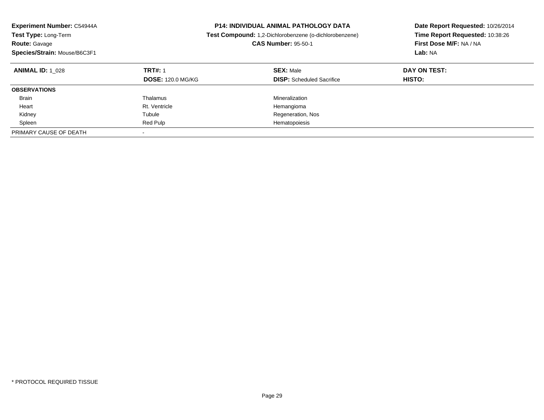| <b>Experiment Number: C54944A</b><br>Test Type: Long-Term<br><b>Route: Gavage</b><br>Species/Strain: Mouse/B6C3F1 |                                            | <b>P14: INDIVIDUAL ANIMAL PATHOLOGY DATA</b><br>Test Compound: 1,2-Dichlorobenzene (o-dichlorobenzene)<br><b>CAS Number: 95-50-1</b> | Date Report Requested: 10/26/2014<br>Time Report Requested: 10:38:26<br>First Dose M/F: NA / NA<br>Lab: NA |  |
|-------------------------------------------------------------------------------------------------------------------|--------------------------------------------|--------------------------------------------------------------------------------------------------------------------------------------|------------------------------------------------------------------------------------------------------------|--|
| <b>ANIMAL ID: 1 028</b>                                                                                           | <b>TRT#: 1</b><br><b>DOSE: 120.0 MG/KG</b> | <b>SEX: Male</b><br><b>DISP:</b> Scheduled Sacrifice                                                                                 | DAY ON TEST:<br><b>HISTO:</b>                                                                              |  |
| <b>OBSERVATIONS</b>                                                                                               |                                            |                                                                                                                                      |                                                                                                            |  |
| <b>Brain</b>                                                                                                      | Thalamus                                   | Mineralization                                                                                                                       |                                                                                                            |  |
| Heart                                                                                                             | Rt. Ventricle                              | Hemangioma                                                                                                                           |                                                                                                            |  |
| Kidney                                                                                                            | Tubule                                     | Regeneration, Nos                                                                                                                    |                                                                                                            |  |
| Spleen                                                                                                            | Red Pulp                                   | Hematopoiesis                                                                                                                        |                                                                                                            |  |
| PRIMARY CAUSE OF DEATH                                                                                            |                                            |                                                                                                                                      |                                                                                                            |  |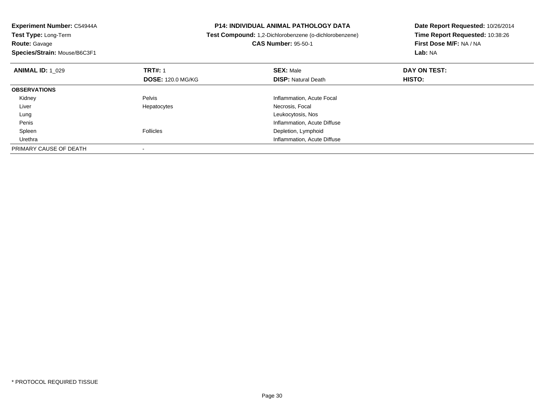**Experiment Number:** C54944A**Test Type:** Long-Term**Route:** Gavage **Species/Strain:** Mouse/B6C3F1**P14: INDIVIDUAL ANIMAL PATHOLOGY DATA Test Compound:** 1,2-Dichlorobenzene (o-dichlorobenzene)**CAS Number:** 95-50-1**Date Report Requested:** 10/26/2014**Time Report Requested:** 10:38:26**First Dose M/F:** NA / NA**Lab:** NA**ANIMAL ID:** 1\_029**9 TRT#:** 1 **SEX:** Male **SEX:** Male **DAY ON TEST: DOSE:** 120.0 MG/KG**DISP:** Natural Death **HISTO: OBSERVATIONS** KidneyPelvis **Pelvis Pelvis Pelvis Pelvis Pelvis Pelvis Pelvis Pelvis Pelvis Pelvis Pelvis Pelvis Pelvis Pelvis Pelvis Pelvis Pelvis Pelvis Pelvis Pelvis Pelvis Pelvis Pelvis Pelvis**  Liver Hepatocytes Necrosis, Focal Lung Leukocytosis, Nos Penis Inflammation, Acute Diffuse SpleenFollicles **Depletion, Lymphoid**  Urethra Inflammation, Acute Diffuse PRIMARY CAUSE OF DEATH-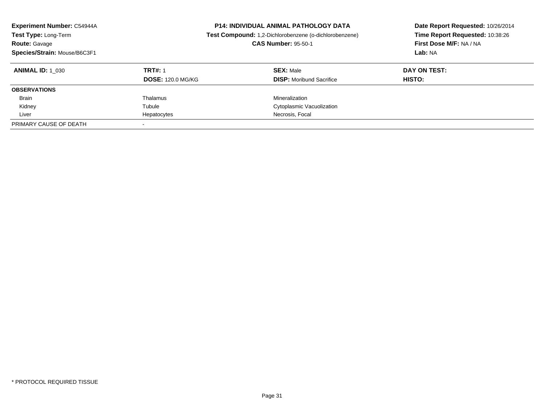| <b>Experiment Number: C54944A</b><br>Test Type: Long-Term<br><b>Route: Gavage</b><br>Species/Strain: Mouse/B6C3F1 |                                            | <b>P14: INDIVIDUAL ANIMAL PATHOLOGY DATA</b><br>Test Compound: 1,2-Dichlorobenzene (o-dichlorobenzene)<br><b>CAS Number: 95-50-1</b> | Date Report Requested: 10/26/2014<br>Time Report Requested: 10:38:26<br>First Dose M/F: NA / NA<br>Lab: NA |  |
|-------------------------------------------------------------------------------------------------------------------|--------------------------------------------|--------------------------------------------------------------------------------------------------------------------------------------|------------------------------------------------------------------------------------------------------------|--|
| <b>ANIMAL ID: 1 030</b>                                                                                           | <b>TRT#: 1</b><br><b>DOSE: 120.0 MG/KG</b> | <b>SEX: Male</b><br><b>DISP:</b> Moribund Sacrifice                                                                                  | DAY ON TEST:<br>HISTO:                                                                                     |  |
| <b>OBSERVATIONS</b>                                                                                               |                                            |                                                                                                                                      |                                                                                                            |  |
| <b>Brain</b>                                                                                                      | Thalamus                                   | Mineralization                                                                                                                       |                                                                                                            |  |
| Kidney                                                                                                            | Tubule                                     | Cytoplasmic Vacuolization                                                                                                            |                                                                                                            |  |
| Liver                                                                                                             | Hepatocytes                                | Necrosis, Focal                                                                                                                      |                                                                                                            |  |
| PRIMARY CAUSE OF DEATH                                                                                            |                                            |                                                                                                                                      |                                                                                                            |  |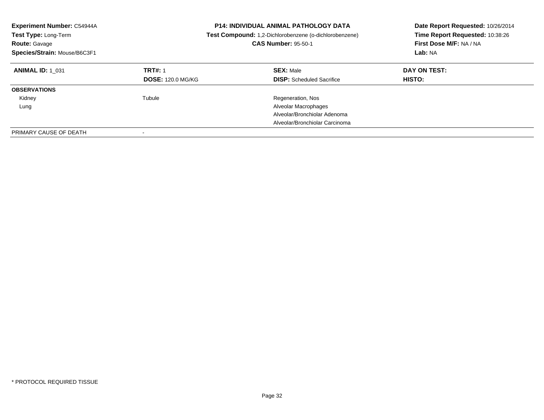| Experiment Number: C54944A<br>Test Type: Long-Term<br><b>Route: Gavage</b><br>Species/Strain: Mouse/B6C3F1 |                                            | <b>P14: INDIVIDUAL ANIMAL PATHOLOGY DATA</b><br>Test Compound: 1,2-Dichlorobenzene (o-dichlorobenzene)<br><b>CAS Number: 95-50-1</b> | Date Report Requested: 10/26/2014<br>Time Report Requested: 10:38:26<br>First Dose M/F: NA / NA<br>Lab: NA |  |
|------------------------------------------------------------------------------------------------------------|--------------------------------------------|--------------------------------------------------------------------------------------------------------------------------------------|------------------------------------------------------------------------------------------------------------|--|
| <b>ANIMAL ID: 1 031</b>                                                                                    | <b>TRT#: 1</b><br><b>DOSE: 120.0 MG/KG</b> | <b>SEX: Male</b><br><b>DISP:</b> Scheduled Sacrifice                                                                                 | DAY ON TEST:<br><b>HISTO:</b>                                                                              |  |
| <b>OBSERVATIONS</b>                                                                                        |                                            |                                                                                                                                      |                                                                                                            |  |
| Kidney                                                                                                     | Tubule                                     | Regeneration, Nos                                                                                                                    |                                                                                                            |  |
| Lung                                                                                                       |                                            | Alveolar Macrophages                                                                                                                 |                                                                                                            |  |
|                                                                                                            |                                            | Alveolar/Bronchiolar Adenoma                                                                                                         |                                                                                                            |  |
|                                                                                                            |                                            | Alveolar/Bronchiolar Carcinoma                                                                                                       |                                                                                                            |  |
| PRIMARY CAUSE OF DEATH                                                                                     | $\overline{\phantom{a}}$                   |                                                                                                                                      |                                                                                                            |  |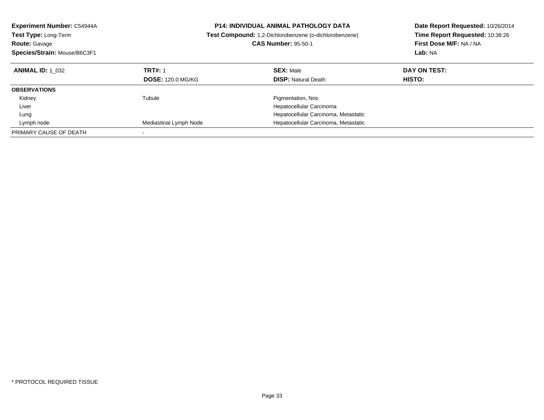| <b>Experiment Number: C54944A</b> | <b>P14: INDIVIDUAL ANIMAL PATHOLOGY DATA</b> |                                                        | Date Report Requested: 10/26/2014 |
|-----------------------------------|----------------------------------------------|--------------------------------------------------------|-----------------------------------|
| <b>Test Type: Long-Term</b>       |                                              | Test Compound: 1,2-Dichlorobenzene (o-dichlorobenzene) | Time Report Requested: 10:38:26   |
| <b>Route: Gavage</b>              |                                              | <b>CAS Number: 95-50-1</b>                             | First Dose M/F: NA / NA           |
| Species/Strain: Mouse/B6C3F1      |                                              |                                                        | Lab: NA                           |
| <b>ANIMAL ID: 1 032</b>           | <b>TRT#: 1</b>                               | <b>SEX: Male</b>                                       | DAY ON TEST:                      |
|                                   | <b>DOSE: 120.0 MG/KG</b>                     | <b>DISP:</b> Natural Death                             | HISTO:                            |
| <b>OBSERVATIONS</b>               |                                              |                                                        |                                   |
| Kidney                            | Tubule                                       | Pigmentation, Nos                                      |                                   |
| Liver                             |                                              | Hepatocellular Carcinoma                               |                                   |
| Lung                              |                                              | Hepatocellular Carcinoma, Metastatic                   |                                   |
| Lymph node                        | Mediastinal Lymph Node                       | Hepatocellular Carcinoma, Metastatic                   |                                   |
| PRIMARY CAUSE OF DEATH            |                                              |                                                        |                                   |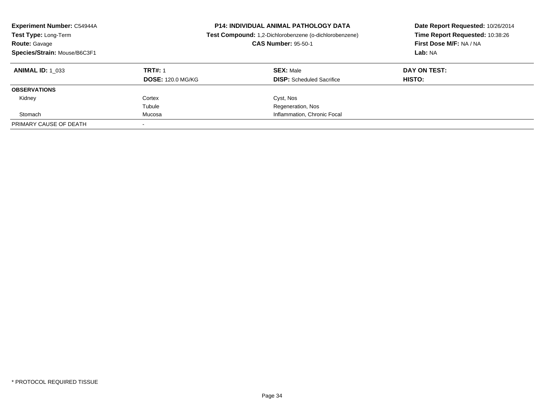| <b>Experiment Number: C54944A</b><br>Test Type: Long-Term<br><b>Route: Gavage</b><br>Species/Strain: Mouse/B6C3F1 |                                            | <b>P14: INDIVIDUAL ANIMAL PATHOLOGY DATA</b><br>Test Compound: 1,2-Dichlorobenzene (o-dichlorobenzene)<br><b>CAS Number: 95-50-1</b> | Date Report Requested: 10/26/2014<br>Time Report Requested: 10:38:26<br>First Dose M/F: NA / NA<br>Lab: NA |
|-------------------------------------------------------------------------------------------------------------------|--------------------------------------------|--------------------------------------------------------------------------------------------------------------------------------------|------------------------------------------------------------------------------------------------------------|
| <b>ANIMAL ID:</b> 1 033                                                                                           | <b>TRT#: 1</b><br><b>DOSE: 120.0 MG/KG</b> | <b>SEX: Male</b><br><b>DISP:</b> Scheduled Sacrifice                                                                                 | DAY ON TEST:                                                                                               |
|                                                                                                                   |                                            |                                                                                                                                      | HISTO:                                                                                                     |
| <b>OBSERVATIONS</b>                                                                                               |                                            |                                                                                                                                      |                                                                                                            |
| Kidney                                                                                                            | Cortex                                     | Cyst, Nos                                                                                                                            |                                                                                                            |
|                                                                                                                   | Tubule                                     | Regeneration, Nos                                                                                                                    |                                                                                                            |
| Stomach                                                                                                           | Mucosa                                     | Inflammation, Chronic Focal                                                                                                          |                                                                                                            |
| PRIMARY CAUSE OF DEATH                                                                                            |                                            |                                                                                                                                      |                                                                                                            |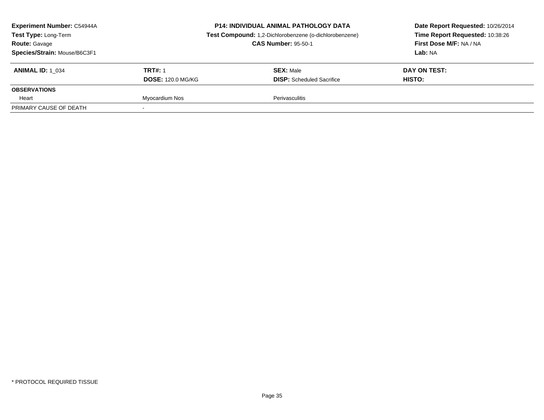| <b>Experiment Number: C54944A</b><br>Test Type: Long-Term<br><b>Route: Gavage</b><br>Species/Strain: Mouse/B6C3F1 |                          | <b>P14: INDIVIDUAL ANIMAL PATHOLOGY DATA</b><br>Test Compound: 1,2-Dichlorobenzene (o-dichlorobenzene)<br><b>CAS Number: 95-50-1</b> | Date Report Requested: 10/26/2014<br>Time Report Requested: 10:38:26<br>First Dose M/F: NA / NA<br>Lab: NA |  |
|-------------------------------------------------------------------------------------------------------------------|--------------------------|--------------------------------------------------------------------------------------------------------------------------------------|------------------------------------------------------------------------------------------------------------|--|
| <b>ANIMAL ID: 1 034</b>                                                                                           | <b>TRT#: 1</b>           | <b>SEX: Male</b>                                                                                                                     | DAY ON TEST:                                                                                               |  |
|                                                                                                                   | <b>DOSE: 120.0 MG/KG</b> | <b>DISP:</b> Scheduled Sacrifice                                                                                                     | HISTO:                                                                                                     |  |
| <b>OBSERVATIONS</b>                                                                                               |                          |                                                                                                                                      |                                                                                                            |  |
| Heart                                                                                                             | Myocardium Nos           | <b>Perivasculitis</b>                                                                                                                |                                                                                                            |  |
| PRIMARY CAUSE OF DEATH                                                                                            |                          |                                                                                                                                      |                                                                                                            |  |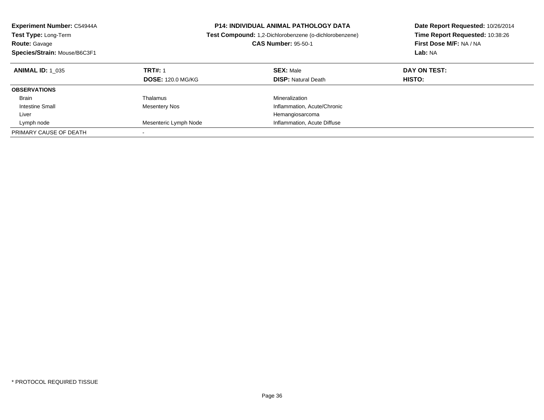| <b>Experiment Number: C54944A</b><br><b>Test Type: Long-Term</b><br><b>Route: Gavage</b><br>Species/Strain: Mouse/B6C3F1 |                                            | <b>P14: INDIVIDUAL ANIMAL PATHOLOGY DATA</b><br><b>Test Compound:</b> 1,2-Dichlorobenzene (o-dichlorobenzene)<br><b>CAS Number: 95-50-1</b> | Date Report Requested: 10/26/2014<br>Time Report Requested: 10:38:26<br>First Dose M/F: NA / NA<br>Lab: NA |  |
|--------------------------------------------------------------------------------------------------------------------------|--------------------------------------------|---------------------------------------------------------------------------------------------------------------------------------------------|------------------------------------------------------------------------------------------------------------|--|
| <b>ANIMAL ID: 1 035</b>                                                                                                  | <b>TRT#: 1</b><br><b>DOSE: 120.0 MG/KG</b> | <b>SEX: Male</b><br><b>DISP:</b> Natural Death                                                                                              | DAY ON TEST:<br>HISTO:                                                                                     |  |
| <b>OBSERVATIONS</b>                                                                                                      |                                            |                                                                                                                                             |                                                                                                            |  |
| <b>Brain</b>                                                                                                             | Thalamus                                   | Mineralization                                                                                                                              |                                                                                                            |  |
| Intestine Small                                                                                                          | Mesentery Nos                              | Inflammation, Acute/Chronic                                                                                                                 |                                                                                                            |  |
| Liver                                                                                                                    |                                            | Hemangiosarcoma                                                                                                                             |                                                                                                            |  |
| Lymph node                                                                                                               | Mesenteric Lymph Node                      | Inflammation, Acute Diffuse                                                                                                                 |                                                                                                            |  |
| PRIMARY CAUSE OF DEATH                                                                                                   |                                            |                                                                                                                                             |                                                                                                            |  |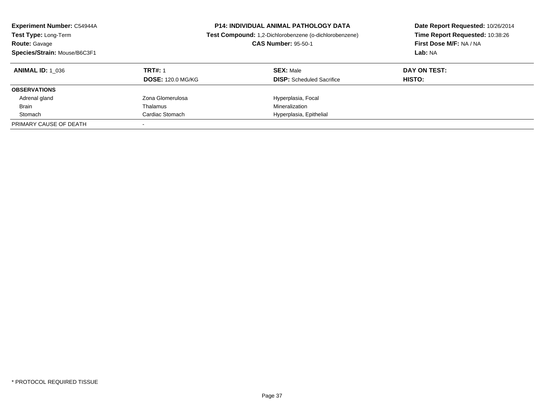| <b>Experiment Number: C54944A</b><br><b>Test Type: Long-Term</b><br><b>Route: Gavage</b><br>Species/Strain: Mouse/B6C3F1 | <b>P14: INDIVIDUAL ANIMAL PATHOLOGY DATA</b><br><b>Test Compound:</b> 1,2-Dichlorobenzene (o-dichlorobenzene)<br><b>CAS Number: 95-50-1</b> |                                                      | Date Report Requested: 10/26/2014<br>Time Report Requested: 10:38:26<br>First Dose M/F: NA / NA<br>Lab: NA |
|--------------------------------------------------------------------------------------------------------------------------|---------------------------------------------------------------------------------------------------------------------------------------------|------------------------------------------------------|------------------------------------------------------------------------------------------------------------|
| <b>ANIMAL ID:</b> 1 036                                                                                                  | <b>TRT#: 1</b><br><b>DOSE: 120.0 MG/KG</b>                                                                                                  | <b>SEX: Male</b><br><b>DISP:</b> Scheduled Sacrifice | DAY ON TEST:<br>HISTO:                                                                                     |
| <b>OBSERVATIONS</b>                                                                                                      |                                                                                                                                             |                                                      |                                                                                                            |
| Adrenal gland                                                                                                            | Zona Glomerulosa                                                                                                                            | Hyperplasia, Focal                                   |                                                                                                            |
| <b>Brain</b>                                                                                                             | Thalamus                                                                                                                                    | Mineralization                                       |                                                                                                            |
| Stomach                                                                                                                  | Cardiac Stomach                                                                                                                             | Hyperplasia, Epithelial                              |                                                                                                            |
| PRIMARY CAUSE OF DEATH                                                                                                   |                                                                                                                                             |                                                      |                                                                                                            |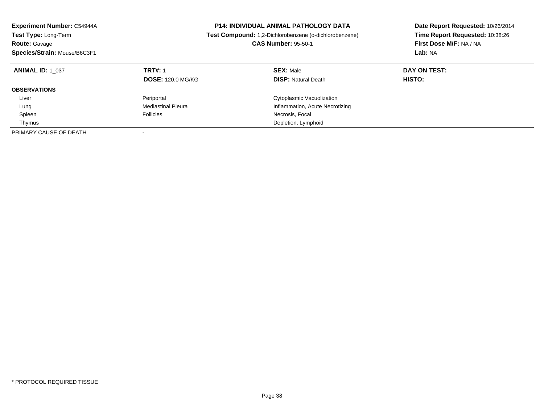| <b>Experiment Number: C54944A</b><br><b>Test Type: Long-Term</b><br><b>Route: Gavage</b><br>Species/Strain: Mouse/B6C3F1 | <b>P14: INDIVIDUAL ANIMAL PATHOLOGY DATA</b><br>Test Compound: 1,2-Dichlorobenzene (o-dichlorobenzene)<br><b>CAS Number: 95-50-1</b> |                                                | Date Report Requested: 10/26/2014<br>Time Report Requested: 10:38:26<br>First Dose M/F: NA / NA<br>Lab: NA |
|--------------------------------------------------------------------------------------------------------------------------|--------------------------------------------------------------------------------------------------------------------------------------|------------------------------------------------|------------------------------------------------------------------------------------------------------------|
| <b>ANIMAL ID: 1 037</b>                                                                                                  | <b>TRT#: 1</b><br><b>DOSE: 120.0 MG/KG</b>                                                                                           | <b>SEX: Male</b><br><b>DISP:</b> Natural Death | DAY ON TEST:<br><b>HISTO:</b>                                                                              |
| <b>OBSERVATIONS</b>                                                                                                      |                                                                                                                                      |                                                |                                                                                                            |
| Liver                                                                                                                    | Periportal                                                                                                                           | Cytoplasmic Vacuolization                      |                                                                                                            |
| Lung                                                                                                                     | Mediastinal Pleura                                                                                                                   | Inflammation, Acute Necrotizing                |                                                                                                            |
| Spleen                                                                                                                   | <b>Follicles</b>                                                                                                                     | Necrosis, Focal                                |                                                                                                            |
| Thymus                                                                                                                   |                                                                                                                                      | Depletion, Lymphoid                            |                                                                                                            |
| PRIMARY CAUSE OF DEATH                                                                                                   |                                                                                                                                      |                                                |                                                                                                            |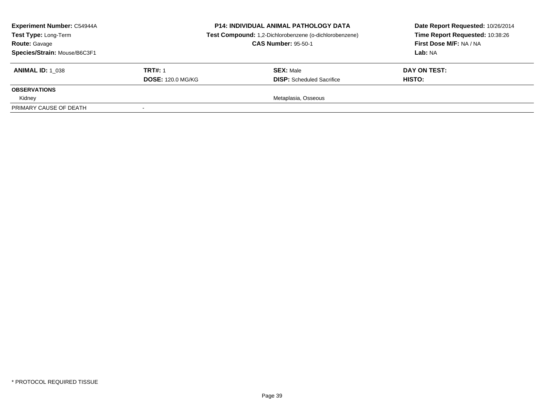| <b>Experiment Number: C54944A</b><br><b>Test Type: Long-Term</b><br><b>Route: Gavage</b><br>Species/Strain: Mouse/B6C3F1 |                          | <b>P14: INDIVIDUAL ANIMAL PATHOLOGY DATA</b><br>Test Compound: 1,2-Dichlorobenzene (o-dichlorobenzene)<br><b>CAS Number: 95-50-1</b> | Date Report Requested: 10/26/2014<br>Time Report Requested: 10:38:26<br>First Dose M/F: NA / NA<br>Lab: NA |
|--------------------------------------------------------------------------------------------------------------------------|--------------------------|--------------------------------------------------------------------------------------------------------------------------------------|------------------------------------------------------------------------------------------------------------|
| <b>ANIMAL ID: 1 038</b>                                                                                                  | <b>TRT#: 1</b>           | <b>SEX: Male</b>                                                                                                                     | DAY ON TEST:                                                                                               |
|                                                                                                                          | <b>DOSE: 120.0 MG/KG</b> | <b>DISP:</b> Scheduled Sacrifice                                                                                                     | HISTO:                                                                                                     |
| <b>OBSERVATIONS</b>                                                                                                      |                          |                                                                                                                                      |                                                                                                            |
| Kidney                                                                                                                   |                          | Metaplasia, Osseous                                                                                                                  |                                                                                                            |
| PRIMARY CAUSE OF DEATH                                                                                                   |                          |                                                                                                                                      |                                                                                                            |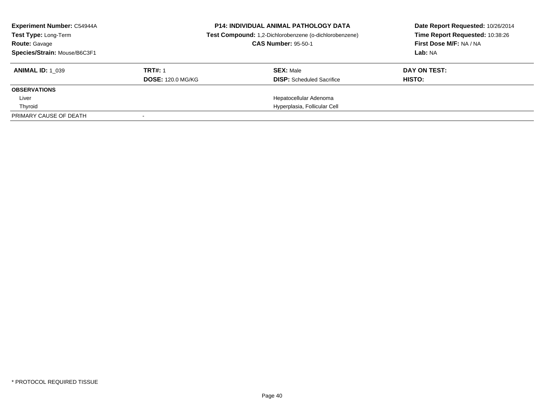| <b>Experiment Number: C54944A</b><br>Test Type: Long-Term<br><b>Route: Gavage</b><br>Species/Strain: Mouse/B6C3F1 | <b>P14: INDIVIDUAL ANIMAL PATHOLOGY DATA</b><br>Test Compound: 1,2-Dichlorobenzene (o-dichlorobenzene)<br><b>CAS Number: 95-50-1</b> |                                                      | Date Report Requested: 10/26/2014<br>Time Report Requested: 10:38:26<br>First Dose M/F: NA / NA<br>Lab: NA |
|-------------------------------------------------------------------------------------------------------------------|--------------------------------------------------------------------------------------------------------------------------------------|------------------------------------------------------|------------------------------------------------------------------------------------------------------------|
| <b>ANIMAL ID: 1 039</b>                                                                                           | <b>TRT#: 1</b><br><b>DOSE: 120.0 MG/KG</b>                                                                                           | <b>SEX: Male</b><br><b>DISP:</b> Scheduled Sacrifice | DAY ON TEST:<br>HISTO:                                                                                     |
| <b>OBSERVATIONS</b>                                                                                               |                                                                                                                                      |                                                      |                                                                                                            |
| Liver                                                                                                             |                                                                                                                                      | Hepatocellular Adenoma                               |                                                                                                            |
| Thyroid                                                                                                           |                                                                                                                                      | Hyperplasia, Follicular Cell                         |                                                                                                            |
| PRIMARY CAUSE OF DEATH                                                                                            |                                                                                                                                      |                                                      |                                                                                                            |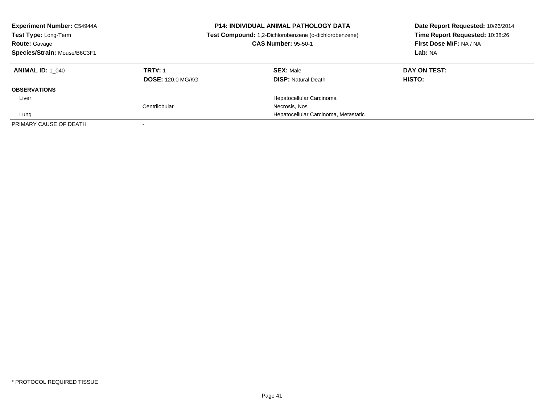| <b>Experiment Number: C54944A</b><br>Test Type: Long-Term<br><b>Route: Gavage</b><br>Species/Strain: Mouse/B6C3F1 |                                            | <b>P14: INDIVIDUAL ANIMAL PATHOLOGY DATA</b><br>Test Compound: 1,2-Dichlorobenzene (o-dichlorobenzene)<br><b>CAS Number: 95-50-1</b> | Date Report Requested: 10/26/2014<br>Time Report Requested: 10:38:26<br>First Dose M/F: NA / NA<br>Lab: NA |  |
|-------------------------------------------------------------------------------------------------------------------|--------------------------------------------|--------------------------------------------------------------------------------------------------------------------------------------|------------------------------------------------------------------------------------------------------------|--|
| <b>ANIMAL ID:</b> 1 040                                                                                           | <b>TRT#: 1</b><br><b>DOSE: 120.0 MG/KG</b> | <b>SEX: Male</b><br><b>DISP:</b> Natural Death                                                                                       | DAY ON TEST:<br>HISTO:                                                                                     |  |
| <b>OBSERVATIONS</b>                                                                                               |                                            |                                                                                                                                      |                                                                                                            |  |
| Liver                                                                                                             | Centrilobular                              | Hepatocellular Carcinoma<br>Necrosis, Nos                                                                                            |                                                                                                            |  |
| Lung                                                                                                              |                                            | Hepatocellular Carcinoma, Metastatic                                                                                                 |                                                                                                            |  |
| PRIMARY CAUSE OF DEATH                                                                                            |                                            |                                                                                                                                      |                                                                                                            |  |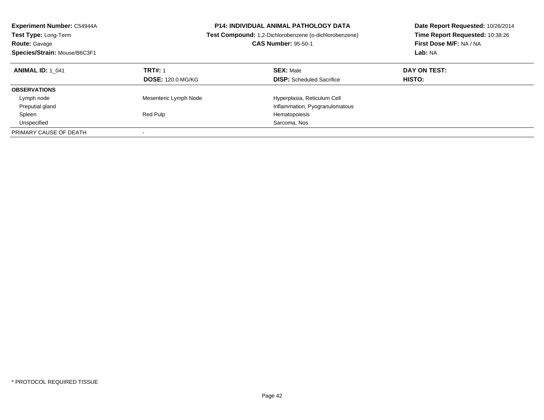| Experiment Number: C54944A<br>Test Type: Long-Term<br><b>Route: Gavage</b><br>Species/Strain: Mouse/B6C3F1 |                                            | <b>P14: INDIVIDUAL ANIMAL PATHOLOGY DATA</b><br>Test Compound: 1,2-Dichlorobenzene (o-dichlorobenzene)<br><b>CAS Number: 95-50-1</b> | Date Report Requested: 10/26/2014<br>Time Report Requested: 10:38:26<br>First Dose M/F: NA / NA<br>Lab: NA |
|------------------------------------------------------------------------------------------------------------|--------------------------------------------|--------------------------------------------------------------------------------------------------------------------------------------|------------------------------------------------------------------------------------------------------------|
| <b>ANIMAL ID: 1 041</b>                                                                                    | <b>TRT#: 1</b><br><b>DOSE: 120.0 MG/KG</b> | <b>SEX: Male</b><br><b>DISP:</b> Scheduled Sacrifice                                                                                 | DAY ON TEST:<br>HISTO:                                                                                     |
| <b>OBSERVATIONS</b>                                                                                        |                                            |                                                                                                                                      |                                                                                                            |
| Lymph node                                                                                                 | Mesenteric Lymph Node                      | Hyperplasia, Reticulum Cell                                                                                                          |                                                                                                            |
| Preputial gland                                                                                            |                                            | Inflammation, Pyogranulomatous                                                                                                       |                                                                                                            |
| Spleen                                                                                                     | Red Pulp                                   | Hematopoiesis                                                                                                                        |                                                                                                            |
| Unspecified                                                                                                |                                            | Sarcoma, Nos                                                                                                                         |                                                                                                            |
| PRIMARY CAUSE OF DEATH                                                                                     |                                            |                                                                                                                                      |                                                                                                            |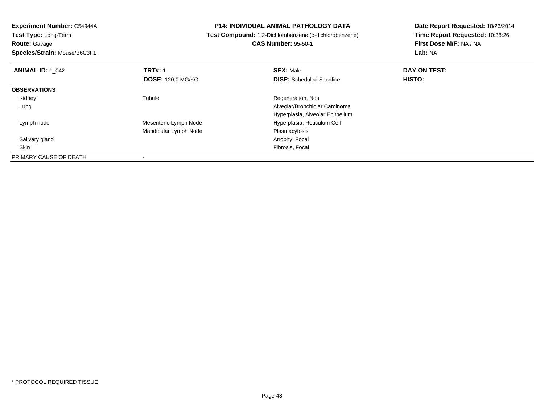**Experiment Number:** C54944A**Test Type:** Long-Term

**Route:** Gavage

**Species/Strain:** Mouse/B6C3F1

## **P14: INDIVIDUAL ANIMAL PATHOLOGY DATA**

## **Test Compound:** 1,2-Dichlorobenzene (o-dichlorobenzene)

**CAS Number:** 95-50-1

**Date Report Requested:** 10/26/2014**Time Report Requested:** 10:38:26**First Dose M/F:** NA / NA**Lab:** NA

| <b>ANIMAL ID: 1_042</b> | <b>TRT#: 1</b><br><b>DOSE: 120.0 MG/KG</b> | <b>SEX: Male</b><br><b>DISP:</b> Scheduled Sacrifice | DAY ON TEST:<br>HISTO: |  |
|-------------------------|--------------------------------------------|------------------------------------------------------|------------------------|--|
| <b>OBSERVATIONS</b>     |                                            |                                                      |                        |  |
| Kidney                  | Tubule                                     | Regeneration, Nos                                    |                        |  |
| Lung                    |                                            | Alveolar/Bronchiolar Carcinoma                       |                        |  |
|                         |                                            | Hyperplasia, Alveolar Epithelium                     |                        |  |
| Lymph node              | Mesenteric Lymph Node                      | Hyperplasia, Reticulum Cell                          |                        |  |
|                         | Mandibular Lymph Node                      | Plasmacytosis                                        |                        |  |
| Salivary gland          |                                            | Atrophy, Focal                                       |                        |  |
| Skin                    |                                            | Fibrosis, Focal                                      |                        |  |
| PRIMARY CAUSE OF DEATH  | $\blacksquare$                             |                                                      |                        |  |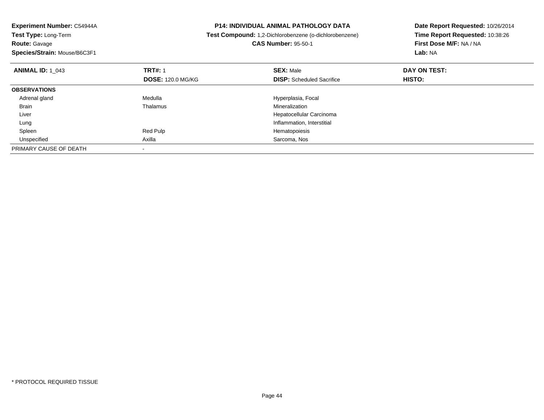| Experiment Number: C54944A                | <b>P14: INDIVIDUAL ANIMAL PATHOLOGY DATA</b> |                                                        | Date Report Requested: 10/26/2014 |
|-------------------------------------------|----------------------------------------------|--------------------------------------------------------|-----------------------------------|
| Test Type: Long-Term                      |                                              | Test Compound: 1,2-Dichlorobenzene (o-dichlorobenzene) | Time Report Requested: 10:38:26   |
| <b>Route: Gavage</b>                      |                                              | <b>CAS Number: 95-50-1</b>                             | First Dose M/F: NA / NA           |
| Species/Strain: Mouse/B6C3F1              |                                              |                                                        | Lab: NA                           |
| <b>TRT#: 1</b><br><b>ANIMAL ID: 1 043</b> |                                              | <b>SEX: Male</b>                                       | DAY ON TEST:                      |
|                                           | <b>DOSE: 120.0 MG/KG</b>                     | <b>DISP:</b> Scheduled Sacrifice                       | HISTO:                            |
| <b>OBSERVATIONS</b>                       |                                              |                                                        |                                   |
| Adrenal gland<br>Medulla                  |                                              | Hyperplasia, Focal                                     |                                   |
| Thalamus<br>Brain                         |                                              | Mineralization                                         |                                   |
| Liver                                     |                                              | Hepatocellular Carcinoma                               |                                   |
| Lung                                      |                                              | Inflammation, Interstitial                             |                                   |
| Red Pulp<br>Spleen                        |                                              | Hematopoiesis                                          |                                   |
| Unspecified<br>Axilla                     |                                              | Sarcoma, Nos                                           |                                   |
| PRIMARY CAUSE OF DEATH                    |                                              |                                                        |                                   |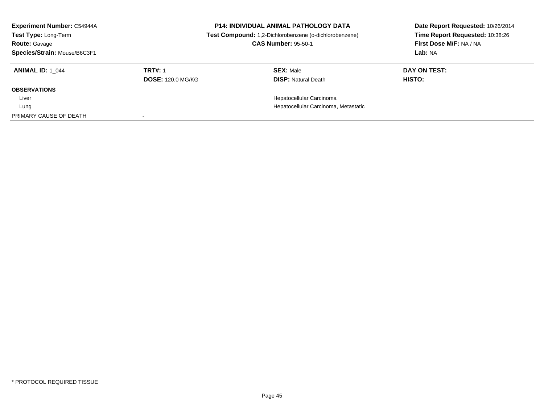| <b>Experiment Number: C54944A</b><br>Test Type: Long-Term<br><b>Route: Gavage</b><br>Species/Strain: Mouse/B6C3F1 | <b>P14: INDIVIDUAL ANIMAL PATHOLOGY DATA</b><br>Test Compound: 1,2-Dichlorobenzene (o-dichlorobenzene)<br><b>CAS Number: 95-50-1</b> |                                                | Date Report Requested: 10/26/2014<br>Time Report Requested: 10:38:26<br>First Dose M/F: NA / NA<br>Lab: NA |  |
|-------------------------------------------------------------------------------------------------------------------|--------------------------------------------------------------------------------------------------------------------------------------|------------------------------------------------|------------------------------------------------------------------------------------------------------------|--|
| <b>ANIMAL ID: 1 044</b>                                                                                           | <b>TRT#: 1</b><br><b>DOSE: 120.0 MG/KG</b>                                                                                           | <b>SEX: Male</b><br><b>DISP:</b> Natural Death | DAY ON TEST:<br>HISTO:                                                                                     |  |
| <b>OBSERVATIONS</b>                                                                                               |                                                                                                                                      |                                                |                                                                                                            |  |
| Liver                                                                                                             |                                                                                                                                      | Hepatocellular Carcinoma                       |                                                                                                            |  |
| Lung                                                                                                              |                                                                                                                                      | Hepatocellular Carcinoma, Metastatic           |                                                                                                            |  |
| PRIMARY CAUSE OF DEATH                                                                                            |                                                                                                                                      |                                                |                                                                                                            |  |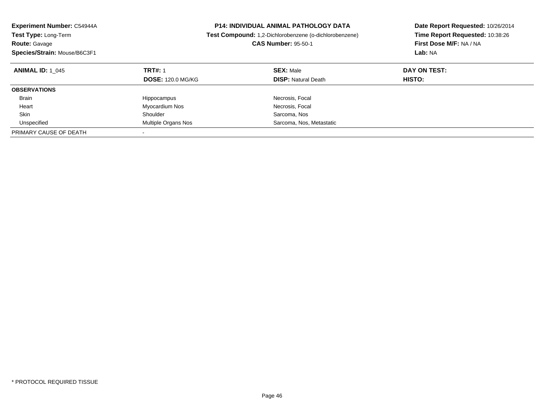| <b>Experiment Number: C54944A</b> |                                                        | <b>P14: INDIVIDUAL ANIMAL PATHOLOGY DATA</b> | Date Report Requested: 10/26/2014 |
|-----------------------------------|--------------------------------------------------------|----------------------------------------------|-----------------------------------|
| <b>Test Type: Long-Term</b>       | Test Compound: 1,2-Dichlorobenzene (o-dichlorobenzene) |                                              | Time Report Requested: 10:38:26   |
| <b>Route: Gavage</b>              |                                                        | <b>CAS Number: 95-50-1</b>                   | First Dose M/F: NA / NA           |
| Species/Strain: Mouse/B6C3F1      |                                                        |                                              | Lab: NA                           |
| <b>ANIMAL ID: 1 045</b>           | <b>TRT#: 1</b>                                         | <b>SEX: Male</b>                             | DAY ON TEST:                      |
|                                   | <b>DOSE: 120.0 MG/KG</b>                               | <b>DISP:</b> Natural Death                   | <b>HISTO:</b>                     |
| <b>OBSERVATIONS</b>               |                                                        |                                              |                                   |
| <b>Brain</b>                      | Hippocampus                                            | Necrosis, Focal                              |                                   |
| Heart                             | Myocardium Nos                                         | Necrosis, Focal                              |                                   |
| Skin                              | Shoulder                                               | Sarcoma, Nos                                 |                                   |
| Unspecified                       | <b>Multiple Organs Nos</b>                             | Sarcoma, Nos, Metastatic                     |                                   |
| PRIMARY CAUSE OF DEATH            |                                                        |                                              |                                   |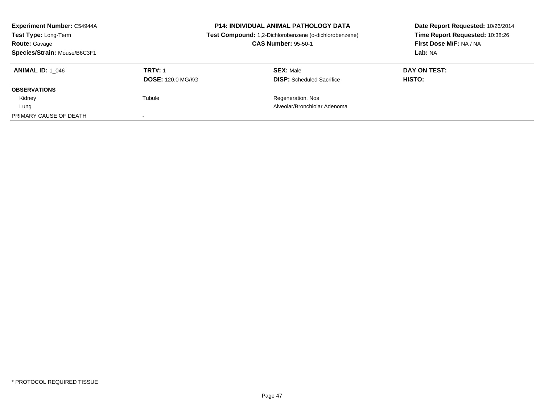| <b>Experiment Number: C54944A</b><br><b>Test Type: Long-Term</b><br><b>Route: Gavage</b><br>Species/Strain: Mouse/B6C3F1 | <b>P14: INDIVIDUAL ANIMAL PATHOLOGY DATA</b><br>Test Compound: 1,2-Dichlorobenzene (o-dichlorobenzene)<br><b>CAS Number: 95-50-1</b> |                                                      | Date Report Requested: 10/26/2014<br>Time Report Requested: 10:38:26<br>First Dose M/F: NA / NA<br>Lab: NA |
|--------------------------------------------------------------------------------------------------------------------------|--------------------------------------------------------------------------------------------------------------------------------------|------------------------------------------------------|------------------------------------------------------------------------------------------------------------|
| <b>ANIMAL ID:</b> 1 046                                                                                                  | <b>TRT#: 1</b><br><b>DOSE: 120.0 MG/KG</b>                                                                                           | <b>SEX: Male</b><br><b>DISP:</b> Scheduled Sacrifice | DAY ON TEST:<br>HISTO:                                                                                     |
| <b>OBSERVATIONS</b>                                                                                                      |                                                                                                                                      |                                                      |                                                                                                            |
| Kidney                                                                                                                   | Tubule                                                                                                                               | Regeneration, Nos                                    |                                                                                                            |
| Lung                                                                                                                     |                                                                                                                                      | Alveolar/Bronchiolar Adenoma                         |                                                                                                            |
| PRIMARY CAUSE OF DEATH                                                                                                   |                                                                                                                                      |                                                      |                                                                                                            |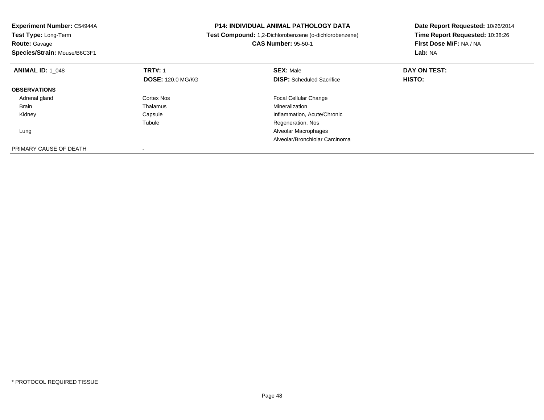| Experiment Number: C54944A   | <b>P14: INDIVIDUAL ANIMAL PATHOLOGY DATA</b> |                                                               | Date Report Requested: 10/26/2014 |
|------------------------------|----------------------------------------------|---------------------------------------------------------------|-----------------------------------|
| <b>Test Type: Long-Term</b>  |                                              | <b>Test Compound:</b> 1,2-Dichlorobenzene (o-dichlorobenzene) | Time Report Requested: 10:38:26   |
| <b>Route: Gavage</b>         |                                              | <b>CAS Number: 95-50-1</b>                                    | First Dose M/F: NA / NA           |
| Species/Strain: Mouse/B6C3F1 |                                              |                                                               | Lab: NA                           |
| <b>ANIMAL ID: 1 048</b>      | <b>TRT#: 1</b>                               | <b>SEX: Male</b>                                              | DAY ON TEST:                      |
|                              | <b>DOSE: 120.0 MG/KG</b>                     | <b>DISP:</b> Scheduled Sacrifice                              | <b>HISTO:</b>                     |
| <b>OBSERVATIONS</b>          |                                              |                                                               |                                   |
| Adrenal gland                | Cortex Nos                                   | <b>Focal Cellular Change</b>                                  |                                   |
| Brain                        | Thalamus                                     | Mineralization                                                |                                   |
| Kidney                       | Capsule                                      | Inflammation, Acute/Chronic                                   |                                   |
|                              | Tubule                                       | Regeneration, Nos                                             |                                   |
| Lung                         |                                              | Alveolar Macrophages                                          |                                   |
|                              |                                              | Alveolar/Bronchiolar Carcinoma                                |                                   |
| PRIMARY CAUSE OF DEATH       |                                              |                                                               |                                   |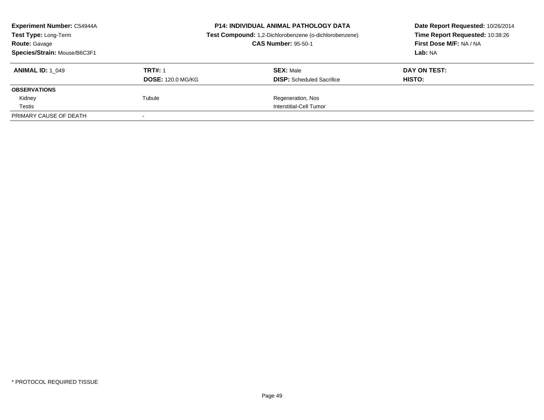| <b>Experiment Number: C54944A</b><br><b>Test Type: Long-Term</b><br><b>Route: Gavage</b><br>Species/Strain: Mouse/B6C3F1 |                                            | <b>P14: INDIVIDUAL ANIMAL PATHOLOGY DATA</b><br>Test Compound: 1,2-Dichlorobenzene (o-dichlorobenzene)<br><b>CAS Number: 95-50-1</b> | Date Report Requested: 10/26/2014<br>Time Report Requested: 10:38:26<br>First Dose M/F: NA / NA<br>Lab: NA |
|--------------------------------------------------------------------------------------------------------------------------|--------------------------------------------|--------------------------------------------------------------------------------------------------------------------------------------|------------------------------------------------------------------------------------------------------------|
| <b>ANIMAL ID: 1 049</b>                                                                                                  | <b>TRT#: 1</b><br><b>DOSE: 120.0 MG/KG</b> | <b>SEX: Male</b><br><b>DISP:</b> Scheduled Sacrifice                                                                                 | DAY ON TEST:<br>HISTO:                                                                                     |
| <b>OBSERVATIONS</b>                                                                                                      |                                            |                                                                                                                                      |                                                                                                            |
| Kidney                                                                                                                   | Tubule                                     | Regeneration, Nos                                                                                                                    |                                                                                                            |
| Testis                                                                                                                   |                                            | Interstitial-Cell Tumor                                                                                                              |                                                                                                            |
| PRIMARY CAUSE OF DEATH                                                                                                   |                                            |                                                                                                                                      |                                                                                                            |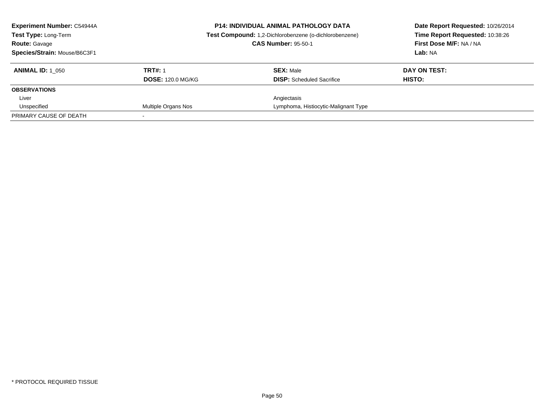| <b>Experiment Number: C54944A</b><br><b>Test Type: Long-Term</b><br><b>Route: Gavage</b> |                          | <b>P14: INDIVIDUAL ANIMAL PATHOLOGY DATA</b><br>Test Compound: 1,2-Dichlorobenzene (o-dichlorobenzene)<br><b>CAS Number: 95-50-1</b> | Date Report Requested: 10/26/2014<br>Time Report Requested: 10:38:26<br>First Dose M/F: NA / NA |
|------------------------------------------------------------------------------------------|--------------------------|--------------------------------------------------------------------------------------------------------------------------------------|-------------------------------------------------------------------------------------------------|
| Species/Strain: Mouse/B6C3F1                                                             |                          |                                                                                                                                      | Lab: NA                                                                                         |
| <b>ANIMAL ID: 1 050</b>                                                                  | <b>TRT#: 1</b>           | <b>SEX: Male</b>                                                                                                                     | DAY ON TEST:                                                                                    |
|                                                                                          | <b>DOSE: 120.0 MG/KG</b> | <b>DISP:</b> Scheduled Sacrifice                                                                                                     | HISTO:                                                                                          |
| <b>OBSERVATIONS</b>                                                                      |                          |                                                                                                                                      |                                                                                                 |
| Liver                                                                                    |                          | Angiectasis                                                                                                                          |                                                                                                 |
| Unspecified                                                                              | Multiple Organs Nos      | Lymphoma, Histiocytic-Malignant Type                                                                                                 |                                                                                                 |
| PRIMARY CAUSE OF DEATH                                                                   |                          |                                                                                                                                      |                                                                                                 |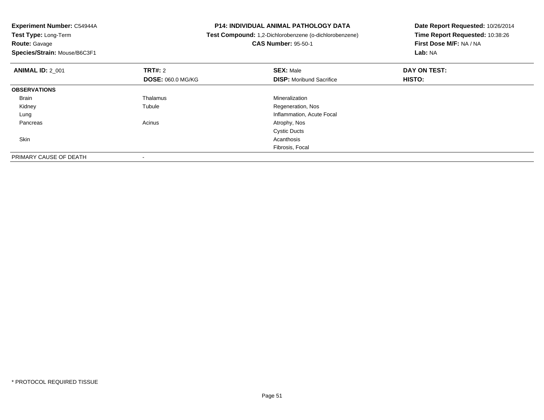| Experiment Number: C54944A<br>Test Type: Long-Term |                          | <b>P14: INDIVIDUAL ANIMAL PATHOLOGY DATA</b>           | Date Report Requested: 10/26/2014<br>Time Report Requested: 10:38:26 |
|----------------------------------------------------|--------------------------|--------------------------------------------------------|----------------------------------------------------------------------|
|                                                    |                          | Test Compound: 1,2-Dichlorobenzene (o-dichlorobenzene) |                                                                      |
| <b>Route: Gavage</b>                               |                          | <b>CAS Number: 95-50-1</b>                             | First Dose M/F: NA / NA                                              |
| Species/Strain: Mouse/B6C3F1                       |                          |                                                        | Lab: NA                                                              |
| <b>ANIMAL ID: 2 001</b>                            | <b>TRT#: 2</b>           | <b>SEX: Male</b>                                       | DAY ON TEST:                                                         |
|                                                    | <b>DOSE: 060.0 MG/KG</b> | <b>DISP:</b> Moribund Sacrifice                        | HISTO:                                                               |
| <b>OBSERVATIONS</b>                                |                          |                                                        |                                                                      |
| Brain                                              | Thalamus                 | Mineralization                                         |                                                                      |
| Kidney                                             | Tubule                   | Regeneration, Nos                                      |                                                                      |
| Lung                                               |                          | Inflammation, Acute Focal                              |                                                                      |
| Pancreas                                           | Acinus                   | Atrophy, Nos                                           |                                                                      |
|                                                    |                          | <b>Cystic Ducts</b>                                    |                                                                      |
| Skin                                               |                          | Acanthosis                                             |                                                                      |
|                                                    |                          | Fibrosis, Focal                                        |                                                                      |
| PRIMARY CAUSE OF DEATH                             |                          |                                                        |                                                                      |

-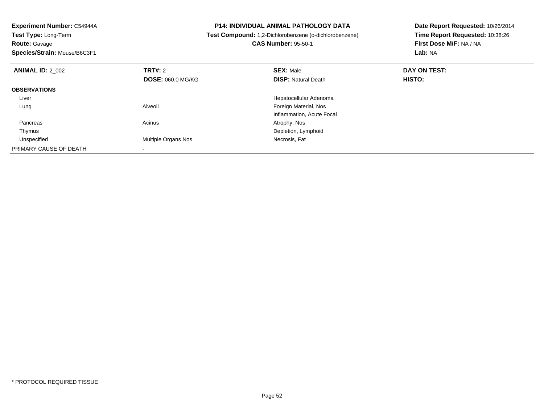**Experiment Number:** C54944A**Test Type:** Long-Term**Route:** Gavage **Species/Strain:** Mouse/B6C3F1**P14: INDIVIDUAL ANIMAL PATHOLOGY DATA Test Compound:** 1,2-Dichlorobenzene (o-dichlorobenzene)**CAS Number:** 95-50-1**Date Report Requested:** 10/26/2014**Time Report Requested:** 10:38:26**First Dose M/F:** NA / NA**Lab:** NA**ANIMAL ID:** 2\_002 **TRT#:** <sup>2</sup> **SEX:** Male **DAY ON TEST: DOSE:** 060.0 MG/KG**DISP:** Natural Death **HISTO: OBSERVATIONS** Liver Hepatocellular Adenoma LungAlveoli **Alveoli Alveoli Exercise Exercise Exercise Alveoli Foreign Material, Nos** Inflammation, Acute Focal Pancreass and the contract of the contract of the contract of the contract of the contract  $\mathsf{A}$  at  $\mathsf{A}$  and  $\mathsf{A}$  and  $\mathsf{A}$  and  $\mathsf{A}$  and  $\mathsf{A}$  are contract of  $\mathsf{A}$  and  $\mathsf{A}$  and  $\mathsf{A}$  are contract of Thymus Depletion, Lymphoid UnspecifiedMultiple Organs Nos Necrosis, Fat PRIMARY CAUSE OF DEATH-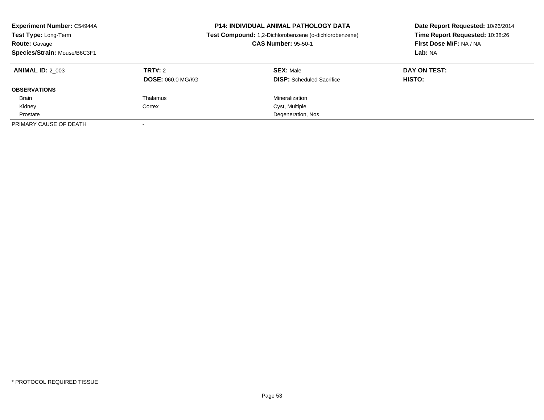| <b>Experiment Number: C54944A</b><br>Test Type: Long-Term<br><b>Route: Gavage</b><br>Species/Strain: Mouse/B6C3F1 |                                            | <b>P14: INDIVIDUAL ANIMAL PATHOLOGY DATA</b><br>Test Compound: 1,2-Dichlorobenzene (o-dichlorobenzene)<br><b>CAS Number: 95-50-1</b> | Date Report Requested: 10/26/2014<br>Time Report Requested: 10:38:26<br>First Dose M/F: NA / NA<br>Lab: NA |
|-------------------------------------------------------------------------------------------------------------------|--------------------------------------------|--------------------------------------------------------------------------------------------------------------------------------------|------------------------------------------------------------------------------------------------------------|
| <b>ANIMAL ID: 2 003</b>                                                                                           | <b>TRT#: 2</b><br><b>DOSE: 060.0 MG/KG</b> | <b>SEX: Male</b><br><b>DISP:</b> Scheduled Sacrifice                                                                                 | DAY ON TEST:<br>HISTO:                                                                                     |
| <b>OBSERVATIONS</b>                                                                                               |                                            |                                                                                                                                      |                                                                                                            |
| <b>Brain</b>                                                                                                      | Thalamus                                   | Mineralization                                                                                                                       |                                                                                                            |
| Kidney                                                                                                            | Cortex                                     | Cyst, Multiple                                                                                                                       |                                                                                                            |
| Prostate                                                                                                          |                                            | Degeneration, Nos                                                                                                                    |                                                                                                            |
| PRIMARY CAUSE OF DEATH                                                                                            |                                            |                                                                                                                                      |                                                                                                            |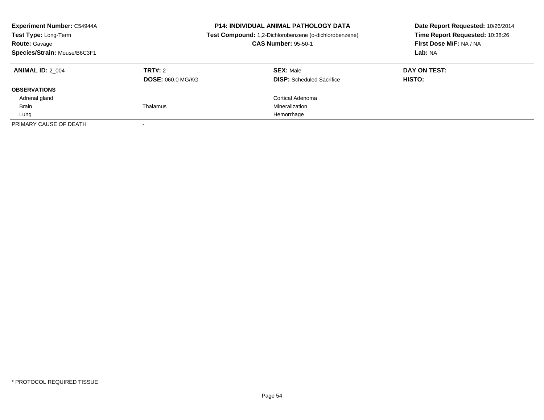| <b>Experiment Number: C54944A</b><br>Test Type: Long-Term<br><b>Route: Gavage</b><br>Species/Strain: Mouse/B6C3F1 |                                     | <b>P14: INDIVIDUAL ANIMAL PATHOLOGY DATA</b><br>Test Compound: 1,2-Dichlorobenzene (o-dichlorobenzene)<br><b>CAS Number: 95-50-1</b> | Date Report Requested: 10/26/2014<br>Time Report Requested: 10:38:26<br>First Dose M/F: NA / NA<br>Lab: NA |
|-------------------------------------------------------------------------------------------------------------------|-------------------------------------|--------------------------------------------------------------------------------------------------------------------------------------|------------------------------------------------------------------------------------------------------------|
| <b>ANIMAL ID: 2 004</b>                                                                                           | TRT#: 2<br><b>DOSE: 060.0 MG/KG</b> | <b>SEX: Male</b><br><b>DISP:</b> Scheduled Sacrifice                                                                                 | DAY ON TEST:<br><b>HISTO:</b>                                                                              |
| <b>OBSERVATIONS</b>                                                                                               |                                     |                                                                                                                                      |                                                                                                            |
| Adrenal gland                                                                                                     |                                     | Cortical Adenoma                                                                                                                     |                                                                                                            |
| <b>Brain</b>                                                                                                      | Thalamus                            | Mineralization                                                                                                                       |                                                                                                            |
| Lung                                                                                                              |                                     | Hemorrhage                                                                                                                           |                                                                                                            |
| PRIMARY CAUSE OF DEATH                                                                                            |                                     |                                                                                                                                      |                                                                                                            |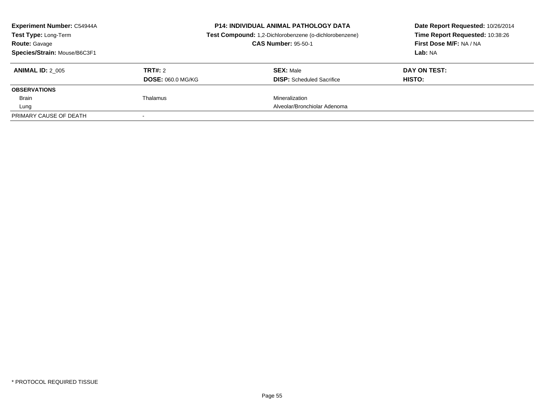| <b>Experiment Number: C54944A</b><br><b>Test Type: Long-Term</b><br><b>Route: Gavage</b><br>Species/Strain: Mouse/B6C3F1 |                                     | <b>P14: INDIVIDUAL ANIMAL PATHOLOGY DATA</b><br>Test Compound: 1,2-Dichlorobenzene (o-dichlorobenzene)<br><b>CAS Number: 95-50-1</b> | Date Report Requested: 10/26/2014<br>Time Report Requested: 10:38:26<br>First Dose M/F: NA / NA<br>Lab: NA |
|--------------------------------------------------------------------------------------------------------------------------|-------------------------------------|--------------------------------------------------------------------------------------------------------------------------------------|------------------------------------------------------------------------------------------------------------|
| <b>ANIMAL ID: 2 005</b>                                                                                                  | TRT#: 2<br><b>DOSE: 060.0 MG/KG</b> | <b>SEX: Male</b><br><b>DISP:</b> Scheduled Sacrifice                                                                                 | DAY ON TEST:<br>HISTO:                                                                                     |
| <b>OBSERVATIONS</b>                                                                                                      |                                     |                                                                                                                                      |                                                                                                            |
| Brain                                                                                                                    | Thalamus                            | Mineralization                                                                                                                       |                                                                                                            |
| Lung                                                                                                                     |                                     | Alveolar/Bronchiolar Adenoma                                                                                                         |                                                                                                            |
| PRIMARY CAUSE OF DEATH                                                                                                   |                                     |                                                                                                                                      |                                                                                                            |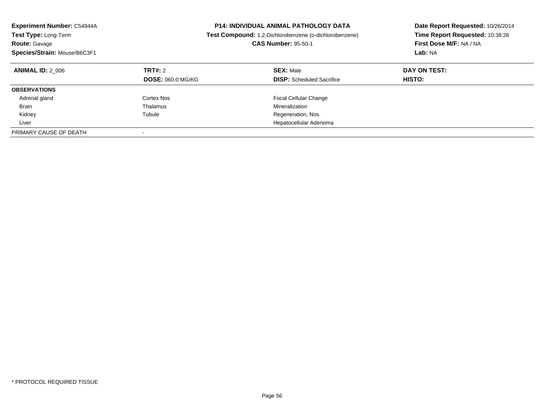| <b>Experiment Number: C54944A</b><br><b>Test Type: Long-Term</b><br><b>Route: Gavage</b><br>Species/Strain: Mouse/B6C3F1 |                                     | <b>P14: INDIVIDUAL ANIMAL PATHOLOGY DATA</b><br>Test Compound: 1,2-Dichlorobenzene (o-dichlorobenzene)<br><b>CAS Number: 95-50-1</b> | Date Report Requested: 10/26/2014<br>Time Report Requested: 10:38:26<br>First Dose M/F: NA / NA<br>Lab: NA |
|--------------------------------------------------------------------------------------------------------------------------|-------------------------------------|--------------------------------------------------------------------------------------------------------------------------------------|------------------------------------------------------------------------------------------------------------|
| <b>ANIMAL ID: 2 006</b>                                                                                                  | TRT#: 2<br><b>DOSE: 060.0 MG/KG</b> | <b>SEX: Male</b><br><b>DISP:</b> Scheduled Sacrifice                                                                                 | DAY ON TEST:<br><b>HISTO:</b>                                                                              |
| <b>OBSERVATIONS</b>                                                                                                      |                                     |                                                                                                                                      |                                                                                                            |
| Adrenal gland                                                                                                            | Cortex Nos                          | Focal Cellular Change                                                                                                                |                                                                                                            |
| <b>Brain</b>                                                                                                             | Thalamus                            | Mineralization                                                                                                                       |                                                                                                            |
| Kidney                                                                                                                   | Tubule                              | Regeneration, Nos                                                                                                                    |                                                                                                            |
| Liver                                                                                                                    |                                     | Hepatocellular Adenoma                                                                                                               |                                                                                                            |
| PRIMARY CAUSE OF DEATH                                                                                                   |                                     |                                                                                                                                      |                                                                                                            |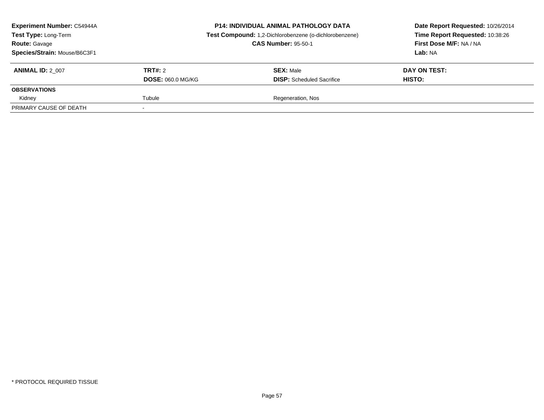| Experiment Number: C54944A<br>Test Type: Long-Term<br><b>Route: Gavage</b><br>Species/Strain: Mouse/B6C3F1 |                                     | <b>P14: INDIVIDUAL ANIMAL PATHOLOGY DATA</b><br>Test Compound: 1,2-Dichlorobenzene (o-dichlorobenzene)<br><b>CAS Number: 95-50-1</b> | Date Report Requested: 10/26/2014<br>Time Report Requested: 10:38:26<br>First Dose M/F: NA / NA<br><b>Lab:</b> NA |
|------------------------------------------------------------------------------------------------------------|-------------------------------------|--------------------------------------------------------------------------------------------------------------------------------------|-------------------------------------------------------------------------------------------------------------------|
| <b>ANIMAL ID: 2 007</b>                                                                                    | TRT#: 2<br><b>DOSE: 060.0 MG/KG</b> | <b>SEX: Male</b><br><b>DISP:</b> Scheduled Sacrifice                                                                                 | DAY ON TEST:<br><b>HISTO:</b>                                                                                     |
| <b>OBSERVATIONS</b>                                                                                        |                                     |                                                                                                                                      |                                                                                                                   |
| Kidney                                                                                                     | Tubule                              | Regeneration, Nos                                                                                                                    |                                                                                                                   |
| PRIMARY CAUSE OF DEATH                                                                                     |                                     |                                                                                                                                      |                                                                                                                   |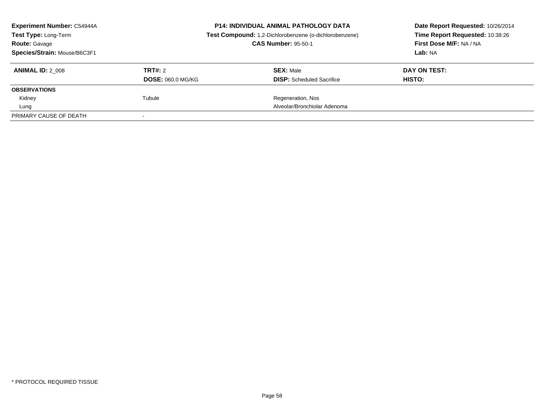| <b>Experiment Number: C54944A</b><br><b>Test Type: Long-Term</b><br><b>Route: Gavage</b><br>Species/Strain: Mouse/B6C3F1 |                                     | <b>P14: INDIVIDUAL ANIMAL PATHOLOGY DATA</b><br>Test Compound: 1,2-Dichlorobenzene (o-dichlorobenzene)<br><b>CAS Number: 95-50-1</b> | Date Report Requested: 10/26/2014<br>Time Report Requested: 10:38:26<br>First Dose M/F: NA / NA<br>Lab: NA |
|--------------------------------------------------------------------------------------------------------------------------|-------------------------------------|--------------------------------------------------------------------------------------------------------------------------------------|------------------------------------------------------------------------------------------------------------|
| <b>ANIMAL ID: 2 008</b>                                                                                                  | TRT#: 2<br><b>DOSE: 060.0 MG/KG</b> | <b>SEX: Male</b><br><b>DISP:</b> Scheduled Sacrifice                                                                                 | DAY ON TEST:<br>HISTO:                                                                                     |
| <b>OBSERVATIONS</b>                                                                                                      |                                     |                                                                                                                                      |                                                                                                            |
| Kidney                                                                                                                   | Tubule                              | Regeneration, Nos                                                                                                                    |                                                                                                            |
| Lung                                                                                                                     |                                     | Alveolar/Bronchiolar Adenoma                                                                                                         |                                                                                                            |
| PRIMARY CAUSE OF DEATH                                                                                                   |                                     |                                                                                                                                      |                                                                                                            |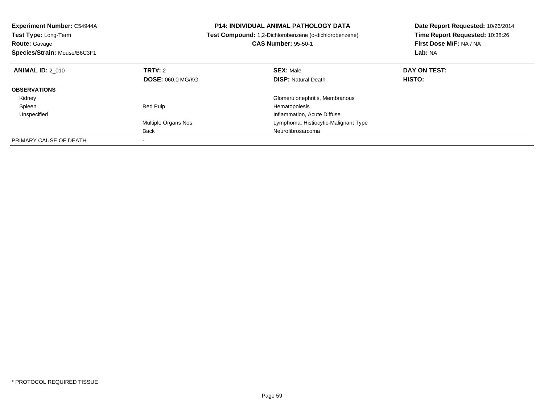| Experiment Number: C54944A<br>Test Type: Long-Term<br><b>Route: Gavage</b><br>Species/Strain: Mouse/B6C3F1 |                            | <b>P14: INDIVIDUAL ANIMAL PATHOLOGY DATA</b><br><b>Test Compound:</b> 1,2-Dichlorobenzene (o-dichlorobenzene)<br><b>CAS Number: 95-50-1</b> | Date Report Requested: 10/26/2014<br>Time Report Requested: 10:38:26<br>First Dose M/F: NA / NA<br>Lab: NA |
|------------------------------------------------------------------------------------------------------------|----------------------------|---------------------------------------------------------------------------------------------------------------------------------------------|------------------------------------------------------------------------------------------------------------|
| <b>ANIMAL ID: 2 010</b>                                                                                    | TRT#: 2                    | <b>SEX: Male</b>                                                                                                                            | DAY ON TEST:                                                                                               |
|                                                                                                            | <b>DOSE: 060.0 MG/KG</b>   | <b>DISP:</b> Natural Death                                                                                                                  | <b>HISTO:</b>                                                                                              |
| <b>OBSERVATIONS</b>                                                                                        |                            |                                                                                                                                             |                                                                                                            |
| Kidney                                                                                                     |                            | Glomerulonephritis, Membranous                                                                                                              |                                                                                                            |
| Spleen                                                                                                     | Red Pulp                   | Hematopoiesis                                                                                                                               |                                                                                                            |
| Unspecified                                                                                                |                            | Inflammation, Acute Diffuse                                                                                                                 |                                                                                                            |
|                                                                                                            | <b>Multiple Organs Nos</b> | Lymphoma, Histiocytic-Malignant Type                                                                                                        |                                                                                                            |
|                                                                                                            | Back                       | Neurofibrosarcoma                                                                                                                           |                                                                                                            |
| PRIMARY CAUSE OF DEATH                                                                                     |                            |                                                                                                                                             |                                                                                                            |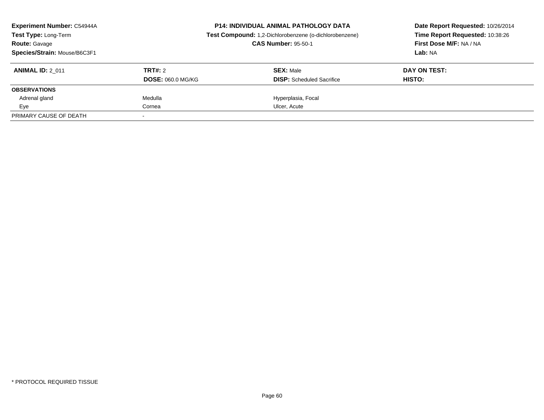| <b>Experiment Number: C54944A</b><br>Test Type: Long-Term<br><b>Route: Gavage</b><br>Species/Strain: Mouse/B6C3F1 | <b>P14: INDIVIDUAL ANIMAL PATHOLOGY DATA</b><br>Test Compound: 1,2-Dichlorobenzene (o-dichlorobenzene)<br><b>CAS Number: 95-50-1</b> |                                                      | Date Report Requested: 10/26/2014<br>Time Report Requested: 10:38:26<br>First Dose M/F: NA / NA<br>Lab: NA |
|-------------------------------------------------------------------------------------------------------------------|--------------------------------------------------------------------------------------------------------------------------------------|------------------------------------------------------|------------------------------------------------------------------------------------------------------------|
| <b>ANIMAL ID: 2 011</b>                                                                                           | TRT#: 2<br><b>DOSE: 060.0 MG/KG</b>                                                                                                  | <b>SEX: Male</b><br><b>DISP:</b> Scheduled Sacrifice | DAY ON TEST:<br>HISTO:                                                                                     |
| <b>OBSERVATIONS</b>                                                                                               |                                                                                                                                      |                                                      |                                                                                                            |
| Adrenal gland                                                                                                     | Medulla                                                                                                                              | Hyperplasia, Focal                                   |                                                                                                            |
| Eye                                                                                                               | Cornea                                                                                                                               | Ulcer, Acute                                         |                                                                                                            |
| PRIMARY CAUSE OF DEATH                                                                                            |                                                                                                                                      |                                                      |                                                                                                            |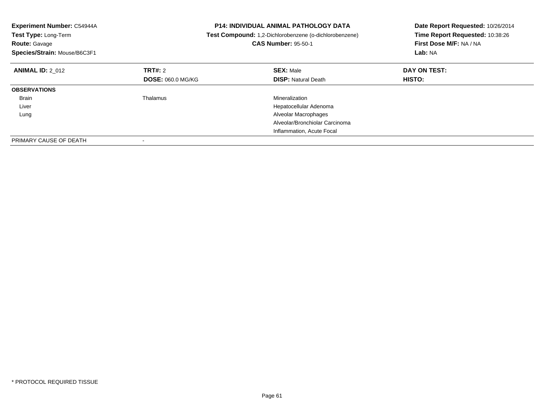| Experiment Number: C54944A<br>Test Type: Long-Term<br><b>Route: Gavage</b><br>Species/Strain: Mouse/B6C3F1 |                          | <b>P14: INDIVIDUAL ANIMAL PATHOLOGY DATA</b><br>Test Compound: 1,2-Dichlorobenzene (o-dichlorobenzene)<br><b>CAS Number: 95-50-1</b> | Date Report Requested: 10/26/2014<br>Time Report Requested: 10:38:26<br>First Dose M/F: NA / NA<br>Lab: NA |
|------------------------------------------------------------------------------------------------------------|--------------------------|--------------------------------------------------------------------------------------------------------------------------------------|------------------------------------------------------------------------------------------------------------|
| <b>ANIMAL ID: 2 012</b>                                                                                    | <b>TRT#: 2</b>           | <b>SEX: Male</b>                                                                                                                     | DAY ON TEST:                                                                                               |
|                                                                                                            | <b>DOSE: 060.0 MG/KG</b> | <b>DISP: Natural Death</b>                                                                                                           | HISTO:                                                                                                     |
| <b>OBSERVATIONS</b>                                                                                        |                          |                                                                                                                                      |                                                                                                            |
| Brain                                                                                                      | Thalamus                 | Mineralization                                                                                                                       |                                                                                                            |
| Liver                                                                                                      |                          | Hepatocellular Adenoma                                                                                                               |                                                                                                            |
| Lung                                                                                                       |                          | Alveolar Macrophages                                                                                                                 |                                                                                                            |
|                                                                                                            |                          | Alveolar/Bronchiolar Carcinoma                                                                                                       |                                                                                                            |
|                                                                                                            |                          | Inflammation, Acute Focal                                                                                                            |                                                                                                            |
| PRIMARY CAUSE OF DEATH                                                                                     |                          |                                                                                                                                      |                                                                                                            |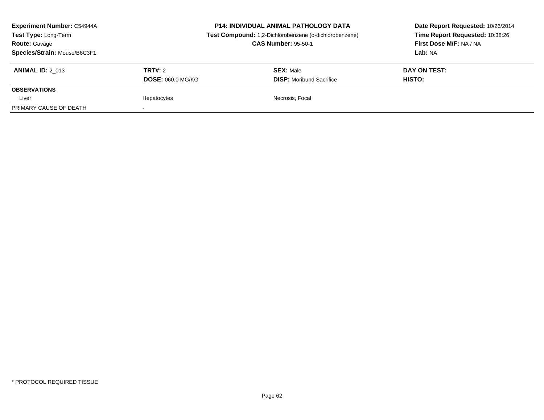| <b>Experiment Number: C54944A</b><br>Test Type: Long-Term<br><b>Route: Gavage</b><br>Species/Strain: Mouse/B6C3F1 |                          | <b>P14: INDIVIDUAL ANIMAL PATHOLOGY DATA</b><br>Test Compound: 1,2-Dichlorobenzene (o-dichlorobenzene)<br><b>CAS Number: 95-50-1</b> | Date Report Requested: 10/26/2014<br>Time Report Requested: 10:38:26<br><b>First Dose M/F: NA / NA</b><br>Lab: NA |
|-------------------------------------------------------------------------------------------------------------------|--------------------------|--------------------------------------------------------------------------------------------------------------------------------------|-------------------------------------------------------------------------------------------------------------------|
| <b>ANIMAL ID: 2 013</b>                                                                                           | TRT#: 2                  | <b>SEX: Male</b>                                                                                                                     | DAY ON TEST:                                                                                                      |
|                                                                                                                   | <b>DOSE: 060.0 MG/KG</b> | <b>DISP:</b> Moribund Sacrifice                                                                                                      | HISTO:                                                                                                            |
| <b>OBSERVATIONS</b>                                                                                               |                          |                                                                                                                                      |                                                                                                                   |
| Liver                                                                                                             | Hepatocytes              | Necrosis, Focal                                                                                                                      |                                                                                                                   |
| PRIMARY CAUSE OF DEATH                                                                                            |                          |                                                                                                                                      |                                                                                                                   |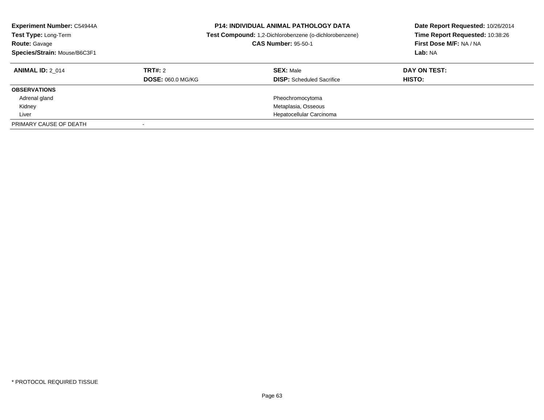| <b>Experiment Number: C54944A</b><br>Test Type: Long-Term<br><b>Route: Gavage</b><br>Species/Strain: Mouse/B6C3F1 |                                     | <b>P14: INDIVIDUAL ANIMAL PATHOLOGY DATA</b><br>Test Compound: 1,2-Dichlorobenzene (o-dichlorobenzene)<br><b>CAS Number: 95-50-1</b> | Date Report Requested: 10/26/2014<br>Time Report Requested: 10:38:26<br>First Dose M/F: NA / NA<br>Lab: NA |  |
|-------------------------------------------------------------------------------------------------------------------|-------------------------------------|--------------------------------------------------------------------------------------------------------------------------------------|------------------------------------------------------------------------------------------------------------|--|
| <b>ANIMAL ID: 2 014</b>                                                                                           | TRT#: 2<br><b>DOSE: 060.0 MG/KG</b> | <b>SEX: Male</b><br><b>DISP:</b> Scheduled Sacrifice                                                                                 | DAY ON TEST:<br>HISTO:                                                                                     |  |
| <b>OBSERVATIONS</b>                                                                                               |                                     |                                                                                                                                      |                                                                                                            |  |
| Adrenal gland                                                                                                     |                                     | Pheochromocytoma                                                                                                                     |                                                                                                            |  |
| Kidney                                                                                                            |                                     | Metaplasia, Osseous                                                                                                                  |                                                                                                            |  |
| Liver                                                                                                             |                                     | Hepatocellular Carcinoma                                                                                                             |                                                                                                            |  |
| PRIMARY CAUSE OF DEATH                                                                                            |                                     |                                                                                                                                      |                                                                                                            |  |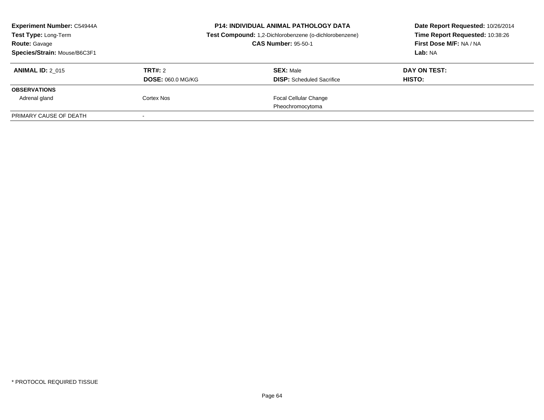| <b>Experiment Number: C54944A</b><br><b>Test Type: Long-Term</b><br><b>Route: Gavage</b><br>Species/Strain: Mouse/B6C3F1 |                                     | <b>P14: INDIVIDUAL ANIMAL PATHOLOGY DATA</b><br>Test Compound: 1,2-Dichlorobenzene (o-dichlorobenzene)<br><b>CAS Number: 95-50-1</b> | Date Report Requested: 10/26/2014<br>Time Report Requested: 10:38:26<br>First Dose M/F: NA / NA<br>Lab: NA |
|--------------------------------------------------------------------------------------------------------------------------|-------------------------------------|--------------------------------------------------------------------------------------------------------------------------------------|------------------------------------------------------------------------------------------------------------|
| <b>ANIMAL ID: 2 015</b>                                                                                                  | TRT#: 2<br><b>DOSE: 060.0 MG/KG</b> | <b>SEX: Male</b><br><b>DISP:</b> Scheduled Sacrifice                                                                                 | DAY ON TEST:<br><b>HISTO:</b>                                                                              |
| <b>OBSERVATIONS</b>                                                                                                      |                                     |                                                                                                                                      |                                                                                                            |
| Adrenal gland                                                                                                            | Cortex Nos                          | <b>Focal Cellular Change</b>                                                                                                         |                                                                                                            |
|                                                                                                                          |                                     | Pheochromocytoma                                                                                                                     |                                                                                                            |
| PRIMARY CAUSE OF DEATH                                                                                                   |                                     |                                                                                                                                      |                                                                                                            |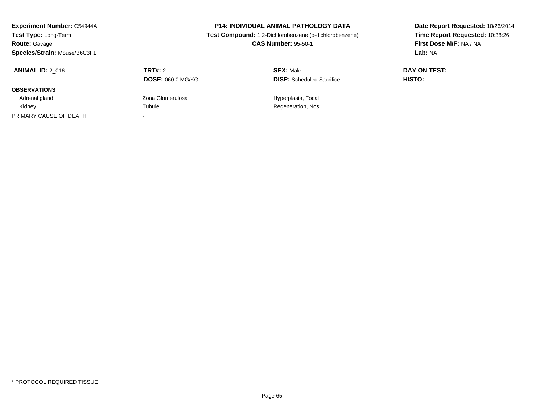| <b>Experiment Number: C54944A</b><br>Test Type: Long-Term<br><b>Route: Gavage</b><br>Species/Strain: Mouse/B6C3F1 |                                     | <b>P14: INDIVIDUAL ANIMAL PATHOLOGY DATA</b><br>Test Compound: 1,2-Dichlorobenzene (o-dichlorobenzene)<br><b>CAS Number: 95-50-1</b> | Date Report Requested: 10/26/2014<br>Time Report Requested: 10:38:26<br>First Dose M/F: NA / NA<br>Lab: NA |
|-------------------------------------------------------------------------------------------------------------------|-------------------------------------|--------------------------------------------------------------------------------------------------------------------------------------|------------------------------------------------------------------------------------------------------------|
| <b>ANIMAL ID: 2 016</b>                                                                                           | TRT#: 2<br><b>DOSE: 060.0 MG/KG</b> | <b>SEX: Male</b><br><b>DISP:</b> Scheduled Sacrifice                                                                                 | DAY ON TEST:<br><b>HISTO:</b>                                                                              |
| <b>OBSERVATIONS</b>                                                                                               |                                     |                                                                                                                                      |                                                                                                            |
| Adrenal gland                                                                                                     | Zona Glomerulosa                    | Hyperplasia, Focal                                                                                                                   |                                                                                                            |
| Kidney                                                                                                            | Tubule                              | Regeneration, Nos                                                                                                                    |                                                                                                            |
| PRIMARY CAUSE OF DEATH                                                                                            |                                     |                                                                                                                                      |                                                                                                            |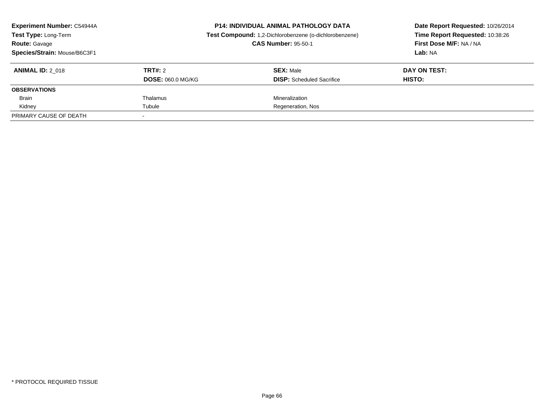| <b>Experiment Number: C54944A</b><br>Test Type: Long-Term<br><b>Route: Gavage</b><br>Species/Strain: Mouse/B6C3F1 | <b>P14: INDIVIDUAL ANIMAL PATHOLOGY DATA</b><br>Test Compound: 1,2-Dichlorobenzene (o-dichlorobenzene)<br><b>CAS Number: 95-50-1</b> |                                                      | Date Report Requested: 10/26/2014<br>Time Report Requested: 10:38:26<br>First Dose M/F: NA / NA<br>Lab: NA |
|-------------------------------------------------------------------------------------------------------------------|--------------------------------------------------------------------------------------------------------------------------------------|------------------------------------------------------|------------------------------------------------------------------------------------------------------------|
| <b>ANIMAL ID: 2 018</b>                                                                                           | TRT#: 2<br><b>DOSE: 060.0 MG/KG</b>                                                                                                  | <b>SEX: Male</b><br><b>DISP:</b> Scheduled Sacrifice | DAY ON TEST:<br>HISTO:                                                                                     |
| <b>OBSERVATIONS</b>                                                                                               |                                                                                                                                      |                                                      |                                                                                                            |
| <b>Brain</b>                                                                                                      | Thalamus                                                                                                                             | Mineralization                                       |                                                                                                            |
| Kidney                                                                                                            | Tubule                                                                                                                               | Regeneration, Nos                                    |                                                                                                            |
| PRIMARY CAUSE OF DEATH                                                                                            |                                                                                                                                      |                                                      |                                                                                                            |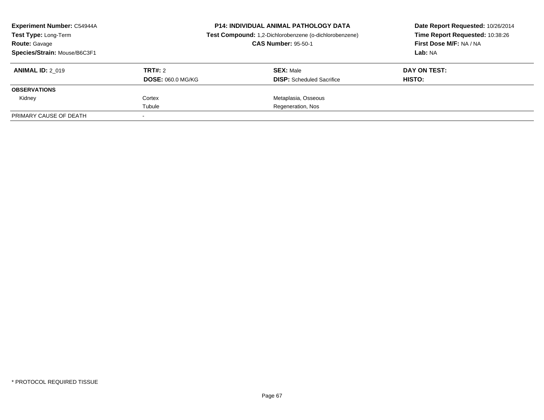| <b>Experiment Number: C54944A</b><br>Test Type: Long-Term<br><b>Route: Gavage</b><br>Species/Strain: Mouse/B6C3F1 |                                     | <b>P14: INDIVIDUAL ANIMAL PATHOLOGY DATA</b><br>Test Compound: 1,2-Dichlorobenzene (o-dichlorobenzene)<br><b>CAS Number: 95-50-1</b> | Date Report Requested: 10/26/2014<br>Time Report Requested: 10:38:26<br>First Dose M/F: NA / NA<br>Lab: NA |
|-------------------------------------------------------------------------------------------------------------------|-------------------------------------|--------------------------------------------------------------------------------------------------------------------------------------|------------------------------------------------------------------------------------------------------------|
| <b>ANIMAL ID: 2 019</b>                                                                                           | TRT#: 2<br><b>DOSE: 060.0 MG/KG</b> | <b>SEX: Male</b><br><b>DISP:</b> Scheduled Sacrifice                                                                                 | DAY ON TEST:<br>HISTO:                                                                                     |
| <b>OBSERVATIONS</b>                                                                                               |                                     |                                                                                                                                      |                                                                                                            |
| Kidney                                                                                                            | Cortex                              | Metaplasia, Osseous                                                                                                                  |                                                                                                            |
|                                                                                                                   | Tubule                              | Regeneration, Nos                                                                                                                    |                                                                                                            |
| PRIMARY CAUSE OF DEATH                                                                                            |                                     |                                                                                                                                      |                                                                                                            |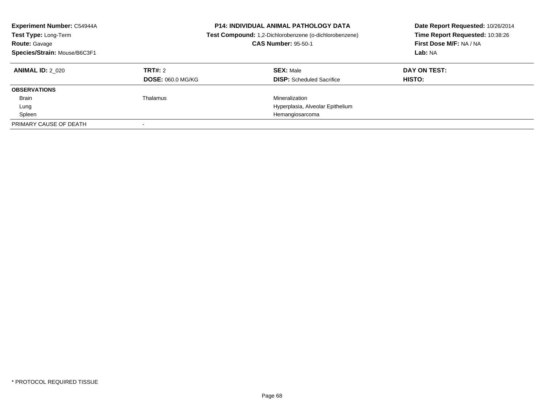| <b>Experiment Number: C54944A</b><br><b>Test Type: Long-Term</b><br><b>Route: Gavage</b><br>Species/Strain: Mouse/B6C3F1 |                                     | <b>P14: INDIVIDUAL ANIMAL PATHOLOGY DATA</b><br>Test Compound: 1,2-Dichlorobenzene (o-dichlorobenzene)<br><b>CAS Number: 95-50-1</b> | Date Report Requested: 10/26/2014<br>Time Report Requested: 10:38:26<br>First Dose M/F: NA / NA<br>Lab: NA |
|--------------------------------------------------------------------------------------------------------------------------|-------------------------------------|--------------------------------------------------------------------------------------------------------------------------------------|------------------------------------------------------------------------------------------------------------|
| <b>ANIMAL ID: 2 020</b>                                                                                                  | TRT#: 2<br><b>DOSE: 060.0 MG/KG</b> | <b>SEX: Male</b><br><b>DISP:</b> Scheduled Sacrifice                                                                                 | DAY ON TEST:<br><b>HISTO:</b>                                                                              |
| <b>OBSERVATIONS</b>                                                                                                      |                                     |                                                                                                                                      |                                                                                                            |
| <b>Brain</b>                                                                                                             | Thalamus                            | Mineralization                                                                                                                       |                                                                                                            |
| Lung                                                                                                                     |                                     | Hyperplasia, Alveolar Epithelium                                                                                                     |                                                                                                            |
| Spleen                                                                                                                   |                                     | Hemangiosarcoma                                                                                                                      |                                                                                                            |
| PRIMARY CAUSE OF DEATH                                                                                                   |                                     |                                                                                                                                      |                                                                                                            |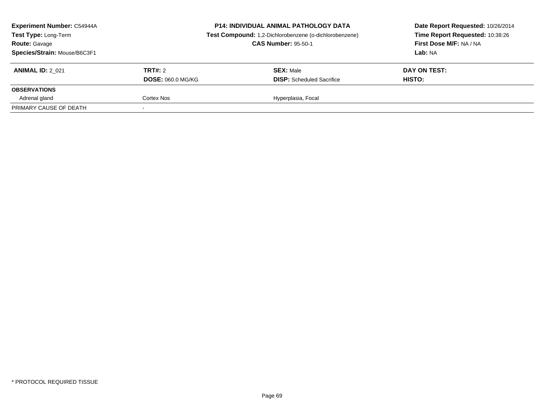| Experiment Number: C54944A<br>Test Type: Long-Term<br><b>Route: Gavage</b><br>Species/Strain: Mouse/B6C3F1 |                          | <b>P14: INDIVIDUAL ANIMAL PATHOLOGY DATA</b><br>Test Compound: 1,2-Dichlorobenzene (o-dichlorobenzene)<br><b>CAS Number: 95-50-1</b> | Date Report Requested: 10/26/2014<br>Time Report Requested: 10:38:26<br>First Dose M/F: NA / NA<br>Lab: NA |  |
|------------------------------------------------------------------------------------------------------------|--------------------------|--------------------------------------------------------------------------------------------------------------------------------------|------------------------------------------------------------------------------------------------------------|--|
| <b>ANIMAL ID: 2 021</b>                                                                                    | TRT#: 2                  | <b>SEX: Male</b>                                                                                                                     | DAY ON TEST:                                                                                               |  |
|                                                                                                            | <b>DOSE: 060.0 MG/KG</b> | <b>DISP:</b> Scheduled Sacrifice                                                                                                     | <b>HISTO:</b>                                                                                              |  |
| <b>OBSERVATIONS</b>                                                                                        |                          |                                                                                                                                      |                                                                                                            |  |
| Adrenal gland                                                                                              | Cortex Nos               | Hyperplasia, Focal                                                                                                                   |                                                                                                            |  |
| PRIMARY CAUSE OF DEATH                                                                                     |                          |                                                                                                                                      |                                                                                                            |  |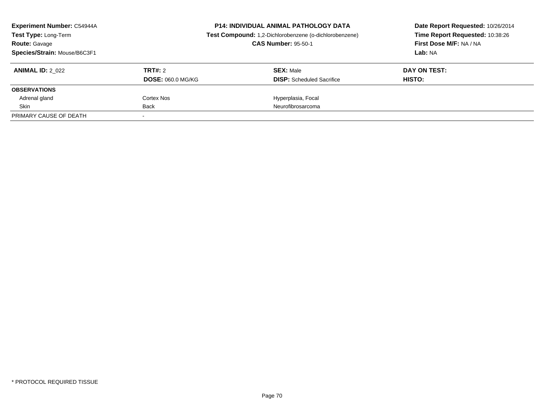| <b>Experiment Number: C54944A</b><br><b>Test Type: Long-Term</b><br><b>Route: Gavage</b><br>Species/Strain: Mouse/B6C3F1 |                                     | <b>P14: INDIVIDUAL ANIMAL PATHOLOGY DATA</b><br>Test Compound: 1,2-Dichlorobenzene (o-dichlorobenzene)<br><b>CAS Number: 95-50-1</b> | Date Report Requested: 10/26/2014<br>Time Report Requested: 10:38:26<br>First Dose M/F: NA / NA<br>Lab: NA |
|--------------------------------------------------------------------------------------------------------------------------|-------------------------------------|--------------------------------------------------------------------------------------------------------------------------------------|------------------------------------------------------------------------------------------------------------|
| <b>ANIMAL ID: 2 022</b>                                                                                                  | TRT#: 2<br><b>DOSE: 060.0 MG/KG</b> | <b>SEX: Male</b><br><b>DISP:</b> Scheduled Sacrifice                                                                                 | DAY ON TEST:<br>HISTO:                                                                                     |
| <b>OBSERVATIONS</b>                                                                                                      |                                     |                                                                                                                                      |                                                                                                            |
| Adrenal gland                                                                                                            | Cortex Nos                          | Hyperplasia, Focal                                                                                                                   |                                                                                                            |
| Skin                                                                                                                     | Back                                | Neurofibrosarcoma                                                                                                                    |                                                                                                            |
| PRIMARY CAUSE OF DEATH                                                                                                   |                                     |                                                                                                                                      |                                                                                                            |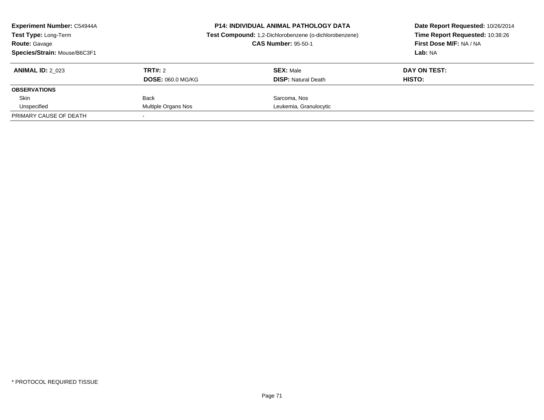| <b>Experiment Number: C54944A</b><br>Test Type: Long-Term<br><b>Route: Gavage</b><br>Species/Strain: Mouse/B6C3F1 | <b>P14: INDIVIDUAL ANIMAL PATHOLOGY DATA</b><br>Test Compound: 1,2-Dichlorobenzene (o-dichlorobenzene)<br><b>CAS Number: 95-50-1</b> |                                                | Date Report Requested: 10/26/2014<br>Time Report Requested: 10:38:26<br>First Dose M/F: NA / NA<br>Lab: NA |
|-------------------------------------------------------------------------------------------------------------------|--------------------------------------------------------------------------------------------------------------------------------------|------------------------------------------------|------------------------------------------------------------------------------------------------------------|
| <b>ANIMAL ID: 2 023</b>                                                                                           | TRT#: 2<br><b>DOSE: 060.0 MG/KG</b>                                                                                                  | <b>SEX: Male</b><br><b>DISP: Natural Death</b> | DAY ON TEST:<br>HISTO:                                                                                     |
| <b>OBSERVATIONS</b>                                                                                               |                                                                                                                                      |                                                |                                                                                                            |
| Skin                                                                                                              | Back                                                                                                                                 | Sarcoma, Nos                                   |                                                                                                            |
| Unspecified                                                                                                       | Multiple Organs Nos                                                                                                                  | Leukemia, Granulocytic                         |                                                                                                            |
| PRIMARY CAUSE OF DEATH                                                                                            |                                                                                                                                      |                                                |                                                                                                            |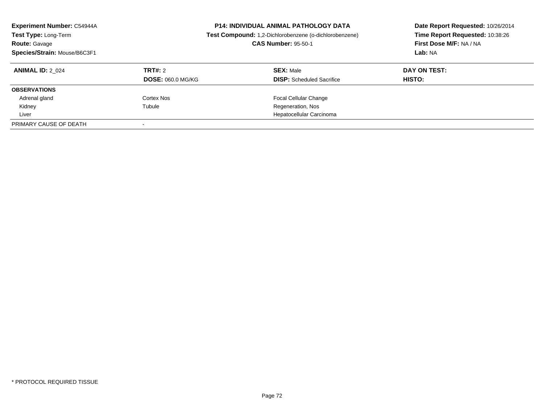| <b>Experiment Number: C54944A</b><br>Test Type: Long-Term<br><b>Route: Gavage</b><br>Species/Strain: Mouse/B6C3F1 |                                     | <b>P14: INDIVIDUAL ANIMAL PATHOLOGY DATA</b><br>Test Compound: 1,2-Dichlorobenzene (o-dichlorobenzene)<br><b>CAS Number: 95-50-1</b> | Date Report Requested: 10/26/2014<br>Time Report Requested: 10:38:26<br>First Dose M/F: NA / NA<br>Lab: NA |
|-------------------------------------------------------------------------------------------------------------------|-------------------------------------|--------------------------------------------------------------------------------------------------------------------------------------|------------------------------------------------------------------------------------------------------------|
| <b>ANIMAL ID: 2 024</b>                                                                                           | TRT#: 2<br><b>DOSE: 060.0 MG/KG</b> | <b>SEX: Male</b><br><b>DISP:</b> Scheduled Sacrifice                                                                                 | DAY ON TEST:<br><b>HISTO:</b>                                                                              |
| <b>OBSERVATIONS</b>                                                                                               |                                     |                                                                                                                                      |                                                                                                            |
| Adrenal gland                                                                                                     | Cortex Nos                          | <b>Focal Cellular Change</b>                                                                                                         |                                                                                                            |
| Kidney                                                                                                            | Tubule                              | Regeneration, Nos                                                                                                                    |                                                                                                            |
| Liver                                                                                                             |                                     | Hepatocellular Carcinoma                                                                                                             |                                                                                                            |
| PRIMARY CAUSE OF DEATH                                                                                            |                                     |                                                                                                                                      |                                                                                                            |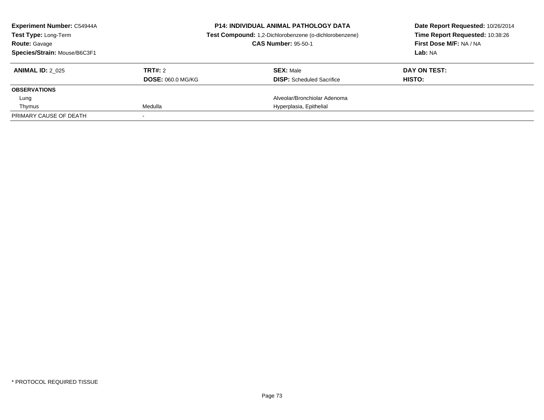| <b>Experiment Number: C54944A</b><br>Test Type: Long-Term<br><b>Route: Gavage</b><br>Species/Strain: Mouse/B6C3F1 | <b>P14: INDIVIDUAL ANIMAL PATHOLOGY DATA</b><br>Test Compound: 1,2-Dichlorobenzene (o-dichlorobenzene)<br><b>CAS Number: 95-50-1</b> |                                                      | Date Report Requested: 10/26/2014<br>Time Report Requested: 10:38:26<br>First Dose M/F: NA / NA<br>Lab: NA |  |
|-------------------------------------------------------------------------------------------------------------------|--------------------------------------------------------------------------------------------------------------------------------------|------------------------------------------------------|------------------------------------------------------------------------------------------------------------|--|
| <b>ANIMAL ID: 2 025</b>                                                                                           | TRT#: 2<br><b>DOSE: 060.0 MG/KG</b>                                                                                                  | <b>SEX: Male</b><br><b>DISP:</b> Scheduled Sacrifice | DAY ON TEST:<br>HISTO:                                                                                     |  |
| <b>OBSERVATIONS</b>                                                                                               |                                                                                                                                      |                                                      |                                                                                                            |  |
| Lung                                                                                                              |                                                                                                                                      | Alveolar/Bronchiolar Adenoma                         |                                                                                                            |  |
| Thymus                                                                                                            | Medulla                                                                                                                              | Hyperplasia, Epithelial                              |                                                                                                            |  |
| PRIMARY CAUSE OF DEATH                                                                                            |                                                                                                                                      |                                                      |                                                                                                            |  |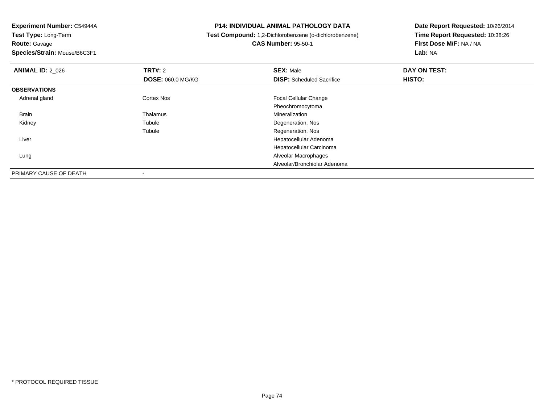**Experiment Number:** C54944A**Test Type:** Long-Term

**Route:** Gavage

**Species/Strain:** Mouse/B6C3F1

## **P14: INDIVIDUAL ANIMAL PATHOLOGY DATA**

**Test Compound:** 1,2-Dichlorobenzene (o-dichlorobenzene)

**CAS Number:** 95-50-1

**Date Report Requested:** 10/26/2014**Time Report Requested:** 10:38:26**First Dose M/F:** NA / NA**Lab:** NA

| <b>ANIMAL ID: 2_026</b> | <b>TRT#: 2</b>           | <b>SEX: Male</b>                 | DAY ON TEST: |  |
|-------------------------|--------------------------|----------------------------------|--------------|--|
|                         | <b>DOSE: 060.0 MG/KG</b> | <b>DISP:</b> Scheduled Sacrifice | HISTO:       |  |
| <b>OBSERVATIONS</b>     |                          |                                  |              |  |
| Adrenal gland           | <b>Cortex Nos</b>        | Focal Cellular Change            |              |  |
|                         |                          | Pheochromocytoma                 |              |  |
| Brain                   | Thalamus                 | Mineralization                   |              |  |
| Kidney                  | Tubule                   | Degeneration, Nos                |              |  |
|                         | Tubule                   | Regeneration, Nos                |              |  |
| Liver                   |                          | Hepatocellular Adenoma           |              |  |
|                         |                          | Hepatocellular Carcinoma         |              |  |
| Lung                    |                          | Alveolar Macrophages             |              |  |
|                         |                          | Alveolar/Bronchiolar Adenoma     |              |  |
| PRIMARY CAUSE OF DEATH  | $\,$                     |                                  |              |  |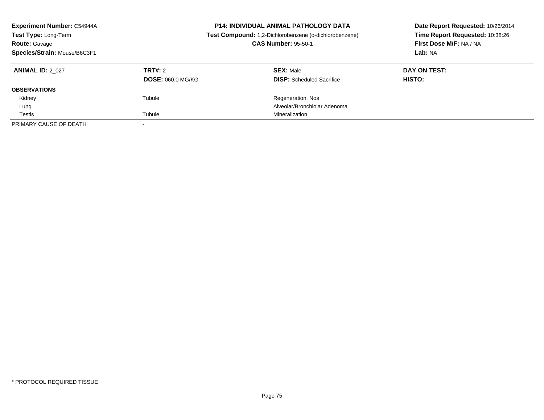| <b>Experiment Number: C54944A</b><br>Test Type: Long-Term<br><b>Route: Gavage</b><br>Species/Strain: Mouse/B6C3F1 |                                     | <b>P14: INDIVIDUAL ANIMAL PATHOLOGY DATA</b><br>Test Compound: 1,2-Dichlorobenzene (o-dichlorobenzene)<br><b>CAS Number: 95-50-1</b> | Date Report Requested: 10/26/2014<br>Time Report Requested: 10:38:26<br>First Dose M/F: NA / NA<br>Lab: NA |  |
|-------------------------------------------------------------------------------------------------------------------|-------------------------------------|--------------------------------------------------------------------------------------------------------------------------------------|------------------------------------------------------------------------------------------------------------|--|
| <b>ANIMAL ID: 2 027</b>                                                                                           | TRT#: 2<br><b>DOSE: 060.0 MG/KG</b> | <b>SEX: Male</b><br><b>DISP:</b> Scheduled Sacrifice                                                                                 | DAY ON TEST:<br>HISTO:                                                                                     |  |
| <b>OBSERVATIONS</b>                                                                                               |                                     |                                                                                                                                      |                                                                                                            |  |
| Kidney                                                                                                            | Tubule                              | Regeneration, Nos                                                                                                                    |                                                                                                            |  |
| Lung                                                                                                              |                                     | Alveolar/Bronchiolar Adenoma                                                                                                         |                                                                                                            |  |
| Testis                                                                                                            | Tubule                              | Mineralization                                                                                                                       |                                                                                                            |  |
| PRIMARY CAUSE OF DEATH                                                                                            |                                     |                                                                                                                                      |                                                                                                            |  |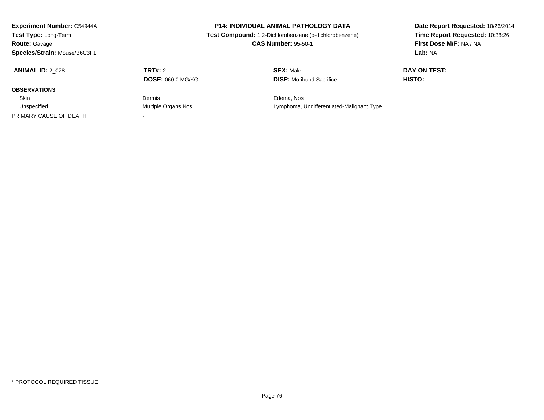| <b>Experiment Number: C54944A</b><br><b>Test Type: Long-Term</b><br><b>Route: Gavage</b><br>Species/Strain: Mouse/B6C3F1 | <b>P14: INDIVIDUAL ANIMAL PATHOLOGY DATA</b><br>Test Compound: 1,2-Dichlorobenzene (o-dichlorobenzene)<br><b>CAS Number: 95-50-1</b> |                                                     | Date Report Requested: 10/26/2014<br>Time Report Requested: 10:38:26<br>First Dose M/F: NA / NA<br>Lab: NA |  |
|--------------------------------------------------------------------------------------------------------------------------|--------------------------------------------------------------------------------------------------------------------------------------|-----------------------------------------------------|------------------------------------------------------------------------------------------------------------|--|
| <b>ANIMAL ID: 2 028</b>                                                                                                  | TRT#: 2<br><b>DOSE: 060.0 MG/KG</b>                                                                                                  | <b>SEX: Male</b><br><b>DISP:</b> Moribund Sacrifice | DAY ON TEST:<br>HISTO:                                                                                     |  |
| <b>OBSERVATIONS</b>                                                                                                      |                                                                                                                                      |                                                     |                                                                                                            |  |
| Skin                                                                                                                     | Dermis                                                                                                                               | Edema, Nos                                          |                                                                                                            |  |
| Unspecified                                                                                                              | Multiple Organs Nos                                                                                                                  | Lymphoma, Undifferentiated-Malignant Type           |                                                                                                            |  |
| PRIMARY CAUSE OF DEATH                                                                                                   |                                                                                                                                      |                                                     |                                                                                                            |  |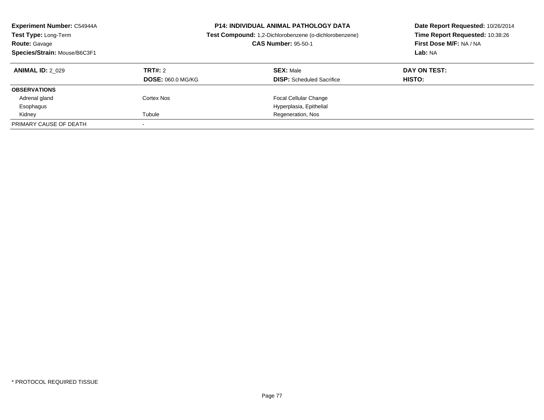| <b>Experiment Number: C54944A</b><br>Test Type: Long-Term<br><b>Route: Gavage</b><br>Species/Strain: Mouse/B6C3F1 |                                     | <b>P14: INDIVIDUAL ANIMAL PATHOLOGY DATA</b><br>Test Compound: 1,2-Dichlorobenzene (o-dichlorobenzene)<br><b>CAS Number: 95-50-1</b> | Date Report Requested: 10/26/2014<br>Time Report Requested: 10:38:26<br>First Dose M/F: NA / NA<br>Lab: NA |  |
|-------------------------------------------------------------------------------------------------------------------|-------------------------------------|--------------------------------------------------------------------------------------------------------------------------------------|------------------------------------------------------------------------------------------------------------|--|
| <b>ANIMAL ID: 2 029</b>                                                                                           | TRT#: 2<br><b>DOSE: 060.0 MG/KG</b> | <b>SEX: Male</b><br><b>DISP:</b> Scheduled Sacrifice                                                                                 | DAY ON TEST:<br>HISTO:                                                                                     |  |
| <b>OBSERVATIONS</b>                                                                                               |                                     |                                                                                                                                      |                                                                                                            |  |
| Adrenal gland                                                                                                     | Cortex Nos                          | <b>Focal Cellular Change</b>                                                                                                         |                                                                                                            |  |
| Esophagus                                                                                                         |                                     | Hyperplasia, Epithelial                                                                                                              |                                                                                                            |  |
| Kidney                                                                                                            | Tubule                              | Regeneration, Nos                                                                                                                    |                                                                                                            |  |
| PRIMARY CAUSE OF DEATH                                                                                            |                                     |                                                                                                                                      |                                                                                                            |  |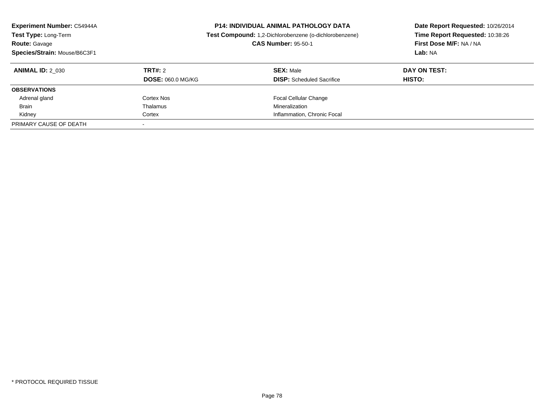| <b>Experiment Number: C54944A</b><br>Test Type: Long-Term<br><b>Route: Gavage</b><br>Species/Strain: Mouse/B6C3F1 |                          | <b>P14: INDIVIDUAL ANIMAL PATHOLOGY DATA</b><br>Test Compound: 1,2-Dichlorobenzene (o-dichlorobenzene)<br><b>CAS Number: 95-50-1</b> | Date Report Requested: 10/26/2014<br>Time Report Requested: 10:38:26<br>First Dose M/F: NA / NA<br>Lab: NA |  |
|-------------------------------------------------------------------------------------------------------------------|--------------------------|--------------------------------------------------------------------------------------------------------------------------------------|------------------------------------------------------------------------------------------------------------|--|
| <b>ANIMAL ID: 2 030</b>                                                                                           | TRT#: 2                  | <b>SEX: Male</b>                                                                                                                     | DAY ON TEST:                                                                                               |  |
|                                                                                                                   | <b>DOSE: 060.0 MG/KG</b> | <b>DISP:</b> Scheduled Sacrifice                                                                                                     | <b>HISTO:</b>                                                                                              |  |
| <b>OBSERVATIONS</b>                                                                                               |                          |                                                                                                                                      |                                                                                                            |  |
| Adrenal gland                                                                                                     | Cortex Nos               | <b>Focal Cellular Change</b>                                                                                                         |                                                                                                            |  |
| <b>Brain</b>                                                                                                      | Thalamus                 | Mineralization                                                                                                                       |                                                                                                            |  |
| Kidney                                                                                                            | Cortex                   | Inflammation, Chronic Focal                                                                                                          |                                                                                                            |  |
| PRIMARY CAUSE OF DEATH                                                                                            |                          |                                                                                                                                      |                                                                                                            |  |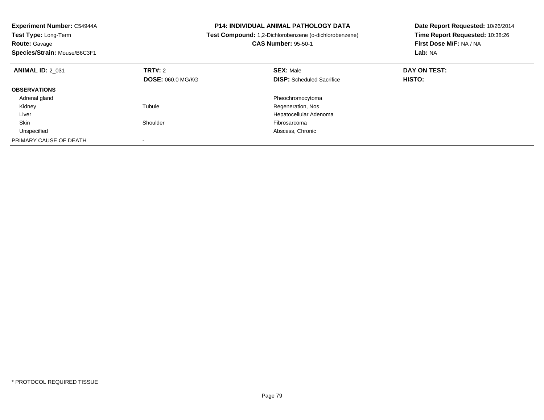| Experiment Number: C54944A<br><b>Test Type: Long-Term</b><br><b>Route: Gavage</b><br>Species/Strain: Mouse/B6C3F1 |                          | <b>P14: INDIVIDUAL ANIMAL PATHOLOGY DATA</b><br>Test Compound: 1,2-Dichlorobenzene (o-dichlorobenzene)<br><b>CAS Number: 95-50-1</b> | Date Report Requested: 10/26/2014<br>Time Report Requested: 10:38:26<br>First Dose M/F: NA / NA<br>Lab: NA |
|-------------------------------------------------------------------------------------------------------------------|--------------------------|--------------------------------------------------------------------------------------------------------------------------------------|------------------------------------------------------------------------------------------------------------|
| <b>ANIMAL ID: 2 031</b>                                                                                           | TRT#: 2                  | <b>SEX: Male</b>                                                                                                                     | DAY ON TEST:                                                                                               |
|                                                                                                                   | <b>DOSE: 060.0 MG/KG</b> | <b>DISP:</b> Scheduled Sacrifice                                                                                                     | HISTO:                                                                                                     |
| <b>OBSERVATIONS</b>                                                                                               |                          |                                                                                                                                      |                                                                                                            |
| Adrenal gland                                                                                                     |                          | Pheochromocytoma                                                                                                                     |                                                                                                            |
| Kidney                                                                                                            | Tubule                   | Regeneration, Nos                                                                                                                    |                                                                                                            |
| Liver                                                                                                             |                          | Hepatocellular Adenoma                                                                                                               |                                                                                                            |
| <b>Skin</b>                                                                                                       | Shoulder                 | Fibrosarcoma                                                                                                                         |                                                                                                            |
| Unspecified                                                                                                       |                          | Abscess, Chronic                                                                                                                     |                                                                                                            |
| PRIMARY CAUSE OF DEATH                                                                                            |                          |                                                                                                                                      |                                                                                                            |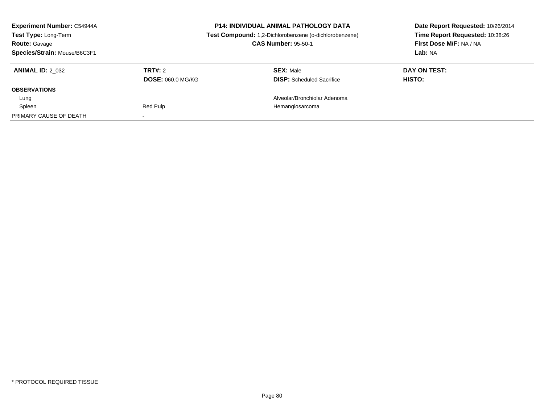| <b>Experiment Number: C54944A</b><br>Test Type: Long-Term<br><b>Route: Gavage</b><br>Species/Strain: Mouse/B6C3F1 | <b>P14: INDIVIDUAL ANIMAL PATHOLOGY DATA</b><br>Test Compound: 1,2-Dichlorobenzene (o-dichlorobenzene)<br><b>CAS Number: 95-50-1</b> |                                                      | Date Report Requested: 10/26/2014<br>Time Report Requested: 10:38:26<br>First Dose M/F: NA / NA<br>Lab: NA |  |
|-------------------------------------------------------------------------------------------------------------------|--------------------------------------------------------------------------------------------------------------------------------------|------------------------------------------------------|------------------------------------------------------------------------------------------------------------|--|
| <b>ANIMAL ID: 2 032</b>                                                                                           | TRT#: 2<br><b>DOSE: 060.0 MG/KG</b>                                                                                                  | <b>SEX: Male</b><br><b>DISP:</b> Scheduled Sacrifice | DAY ON TEST:<br>HISTO:                                                                                     |  |
| <b>OBSERVATIONS</b>                                                                                               |                                                                                                                                      |                                                      |                                                                                                            |  |
| Lung                                                                                                              |                                                                                                                                      | Alveolar/Bronchiolar Adenoma                         |                                                                                                            |  |
| Spleen                                                                                                            | Red Pulp                                                                                                                             | Hemangiosarcoma                                      |                                                                                                            |  |
| PRIMARY CAUSE OF DEATH                                                                                            |                                                                                                                                      |                                                      |                                                                                                            |  |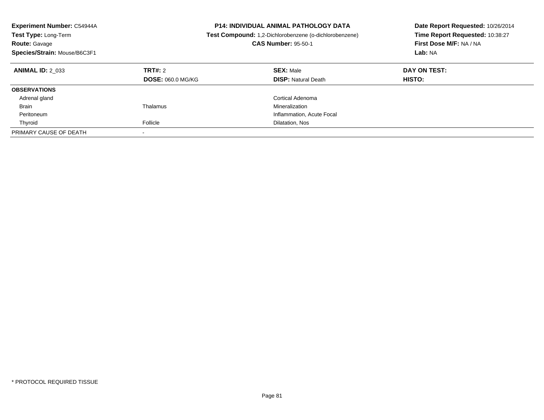| <b>Experiment Number: C54944A</b><br><b>Test Type: Long-Term</b><br><b>Route: Gavage</b><br>Species/Strain: Mouse/B6C3F1 |                                     | <b>P14: INDIVIDUAL ANIMAL PATHOLOGY DATA</b><br>Test Compound: 1,2-Dichlorobenzene (o-dichlorobenzene)<br><b>CAS Number: 95-50-1</b> | Date Report Requested: 10/26/2014<br>Time Report Requested: 10:38:27<br>First Dose M/F: NA / NA<br>Lab: NA |
|--------------------------------------------------------------------------------------------------------------------------|-------------------------------------|--------------------------------------------------------------------------------------------------------------------------------------|------------------------------------------------------------------------------------------------------------|
| <b>ANIMAL ID: 2 033</b>                                                                                                  | TRT#: 2<br><b>DOSE: 060.0 MG/KG</b> | <b>SEX: Male</b><br><b>DISP:</b> Natural Death                                                                                       | DAY ON TEST:<br>HISTO:                                                                                     |
| <b>OBSERVATIONS</b>                                                                                                      |                                     |                                                                                                                                      |                                                                                                            |
| Adrenal gland                                                                                                            |                                     | Cortical Adenoma                                                                                                                     |                                                                                                            |
| Brain                                                                                                                    | Thalamus                            | Mineralization                                                                                                                       |                                                                                                            |
| Peritoneum                                                                                                               |                                     | Inflammation, Acute Focal                                                                                                            |                                                                                                            |
| Thyroid                                                                                                                  | Follicle                            | Dilatation, Nos                                                                                                                      |                                                                                                            |
| PRIMARY CAUSE OF DEATH                                                                                                   |                                     |                                                                                                                                      |                                                                                                            |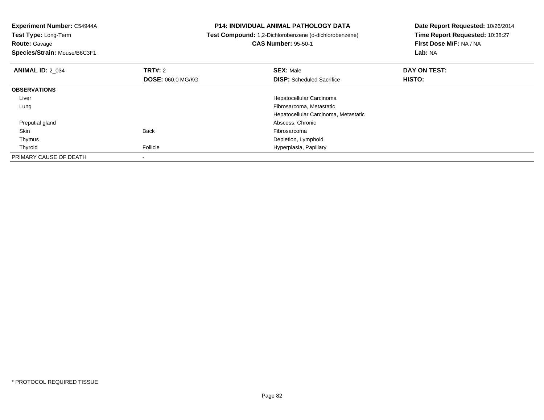**Experiment Number:** C54944A**Test Type:** Long-Term**Route:** Gavage **Species/Strain:** Mouse/B6C3F1**P14: INDIVIDUAL ANIMAL PATHOLOGY DATA Test Compound:** 1,2-Dichlorobenzene (o-dichlorobenzene)**CAS Number:** 95-50-1**Date Report Requested:** 10/26/2014**Time Report Requested:** 10:38:27**First Dose M/F:** NA / NA**Lab:** NA**ANIMAL ID:** 2\_034**TRT#:** 2 **SEX:** Male **DAY ON TEST: DOSE:** 060.0 MG/KG**DISP:** Scheduled Sacrifice **HISTO: OBSERVATIONS** Liver Hepatocellular Carcinoma Fibrosarcoma, Metastatic LungHepatocellular Carcinoma, Metastatic Preputial gland Abscess, Chronic Skinn and the second back of the Back of the second back of the second back of the second back of the second back o Thymus Depletion, Lymphoidd **Example 2018** Follicle **Hyperplasia, Papillary** Book and The Follicle Contract and The Hyperplasia, Papillary ThyroidPRIMARY CAUSE OF DEATH-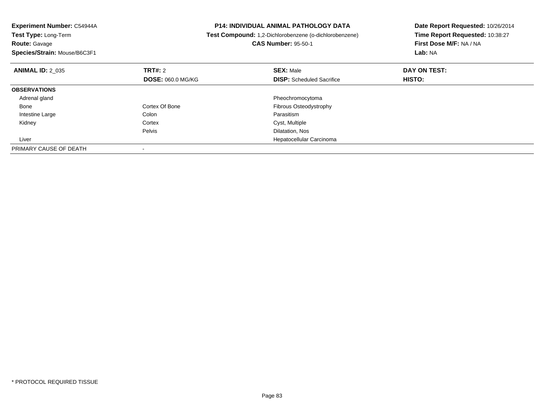| Experiment Number: C54944A<br>Test Type: Long-Term<br><b>Route: Gavage</b><br>Species/Strain: Mouse/B6C3F1 |                                     | <b>P14: INDIVIDUAL ANIMAL PATHOLOGY DATA</b><br>Test Compound: 1,2-Dichlorobenzene (o-dichlorobenzene)<br><b>CAS Number: 95-50-1</b> | Date Report Requested: 10/26/2014<br>Time Report Requested: 10:38:27<br>First Dose M/F: NA / NA<br>Lab: NA |
|------------------------------------------------------------------------------------------------------------|-------------------------------------|--------------------------------------------------------------------------------------------------------------------------------------|------------------------------------------------------------------------------------------------------------|
| <b>ANIMAL ID: 2 035</b>                                                                                    | TRT#: 2<br><b>DOSE: 060.0 MG/KG</b> | <b>SEX: Male</b><br><b>DISP:</b> Scheduled Sacrifice                                                                                 | DAY ON TEST:<br>HISTO:                                                                                     |
| <b>OBSERVATIONS</b>                                                                                        |                                     |                                                                                                                                      |                                                                                                            |
| Adrenal gland                                                                                              |                                     | Pheochromocytoma                                                                                                                     |                                                                                                            |
| Bone                                                                                                       | Cortex Of Bone                      | <b>Fibrous Osteodystrophy</b>                                                                                                        |                                                                                                            |
| Intestine Large                                                                                            | Colon                               | Parasitism                                                                                                                           |                                                                                                            |
| Kidney                                                                                                     | Cortex                              | Cyst, Multiple                                                                                                                       |                                                                                                            |
|                                                                                                            | Pelvis                              | Dilatation, Nos                                                                                                                      |                                                                                                            |
| Liver                                                                                                      |                                     | Hepatocellular Carcinoma                                                                                                             |                                                                                                            |
| PRIMARY CAUSE OF DEATH                                                                                     |                                     |                                                                                                                                      |                                                                                                            |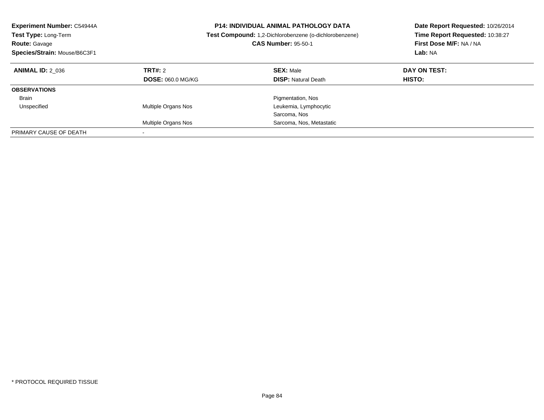| <b>Experiment Number: C54944A</b><br>Test Type: Long-Term<br><b>Route: Gavage</b><br>Species/Strain: Mouse/B6C3F1 |                                     | <b>P14: INDIVIDUAL ANIMAL PATHOLOGY DATA</b><br>Test Compound: 1,2-Dichlorobenzene (o-dichlorobenzene)<br><b>CAS Number: 95-50-1</b> | Date Report Requested: 10/26/2014<br>Time Report Requested: 10:38:27<br>First Dose M/F: NA / NA<br>Lab: NA |
|-------------------------------------------------------------------------------------------------------------------|-------------------------------------|--------------------------------------------------------------------------------------------------------------------------------------|------------------------------------------------------------------------------------------------------------|
| <b>ANIMAL ID: 2 036</b>                                                                                           | TRT#: 2<br><b>DOSE: 060.0 MG/KG</b> | <b>SEX: Male</b><br><b>DISP:</b> Natural Death                                                                                       | DAY ON TEST:<br>HISTO:                                                                                     |
| <b>OBSERVATIONS</b>                                                                                               |                                     |                                                                                                                                      |                                                                                                            |
| <b>Brain</b>                                                                                                      |                                     | Pigmentation, Nos                                                                                                                    |                                                                                                            |
| Unspecified                                                                                                       | <b>Multiple Organs Nos</b>          | Leukemia, Lymphocytic                                                                                                                |                                                                                                            |
|                                                                                                                   |                                     | Sarcoma, Nos                                                                                                                         |                                                                                                            |
|                                                                                                                   | Multiple Organs Nos                 | Sarcoma, Nos, Metastatic                                                                                                             |                                                                                                            |
| PRIMARY CAUSE OF DEATH                                                                                            |                                     |                                                                                                                                      |                                                                                                            |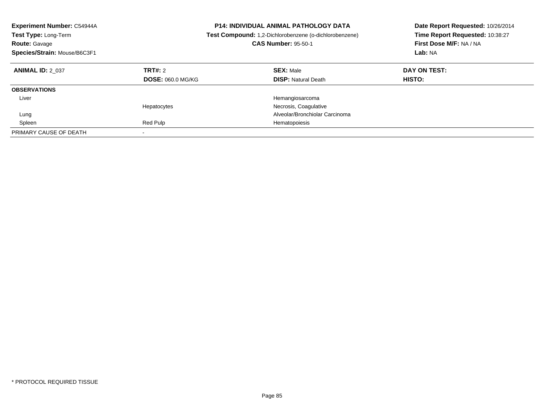| <b>Experiment Number: C54944A</b><br>Test Type: Long-Term<br><b>Route: Gavage</b><br>Species/Strain: Mouse/B6C3F1 |                                     | <b>P14: INDIVIDUAL ANIMAL PATHOLOGY DATA</b><br>Test Compound: 1,2-Dichlorobenzene (o-dichlorobenzene)<br><b>CAS Number: 95-50-1</b> | Date Report Requested: 10/26/2014<br>Time Report Requested: 10:38:27<br>First Dose M/F: NA / NA<br>Lab: NA |
|-------------------------------------------------------------------------------------------------------------------|-------------------------------------|--------------------------------------------------------------------------------------------------------------------------------------|------------------------------------------------------------------------------------------------------------|
| <b>ANIMAL ID: 2 037</b>                                                                                           | TRT#: 2<br><b>DOSE: 060.0 MG/KG</b> | <b>SEX: Male</b><br><b>DISP:</b> Natural Death                                                                                       | DAY ON TEST:<br><b>HISTO:</b>                                                                              |
| <b>OBSERVATIONS</b>                                                                                               |                                     |                                                                                                                                      |                                                                                                            |
| Liver                                                                                                             |                                     | Hemangiosarcoma                                                                                                                      |                                                                                                            |
|                                                                                                                   | Hepatocytes                         | Necrosis, Coagulative                                                                                                                |                                                                                                            |
| Lung                                                                                                              |                                     | Alveolar/Bronchiolar Carcinoma                                                                                                       |                                                                                                            |
| Spleen                                                                                                            | Red Pulp                            | Hematopoiesis                                                                                                                        |                                                                                                            |
| PRIMARY CAUSE OF DEATH                                                                                            | $\overline{\phantom{a}}$            |                                                                                                                                      |                                                                                                            |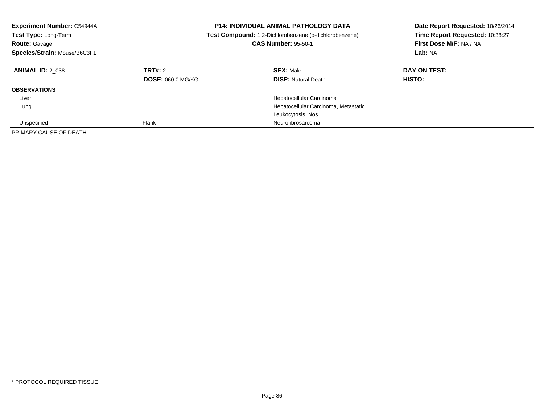| Experiment Number: C54944A<br>Test Type: Long-Term<br><b>Route: Gavage</b><br>Species/Strain: Mouse/B6C3F1 |                          | <b>P14: INDIVIDUAL ANIMAL PATHOLOGY DATA</b><br>Test Compound: 1,2-Dichlorobenzene (o-dichlorobenzene)<br><b>CAS Number: 95-50-1</b> | Date Report Requested: 10/26/2014<br>Time Report Requested: 10:38:27<br>First Dose M/F: NA / NA<br>Lab: NA |
|------------------------------------------------------------------------------------------------------------|--------------------------|--------------------------------------------------------------------------------------------------------------------------------------|------------------------------------------------------------------------------------------------------------|
| <b>ANIMAL ID: 2 038</b>                                                                                    | TRT#: 2                  | <b>SEX: Male</b>                                                                                                                     | DAY ON TEST:                                                                                               |
|                                                                                                            | <b>DOSE: 060.0 MG/KG</b> | <b>DISP:</b> Natural Death                                                                                                           | HISTO:                                                                                                     |
| <b>OBSERVATIONS</b>                                                                                        |                          |                                                                                                                                      |                                                                                                            |
| Liver                                                                                                      |                          | Hepatocellular Carcinoma                                                                                                             |                                                                                                            |
| Lung                                                                                                       |                          | Hepatocellular Carcinoma, Metastatic                                                                                                 |                                                                                                            |
|                                                                                                            |                          | Leukocytosis, Nos                                                                                                                    |                                                                                                            |
| Unspecified                                                                                                | Flank                    | Neurofibrosarcoma                                                                                                                    |                                                                                                            |
| PRIMARY CAUSE OF DEATH                                                                                     |                          |                                                                                                                                      |                                                                                                            |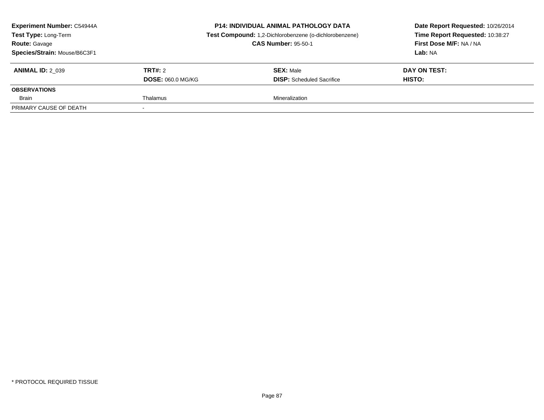| Experiment Number: C54944A<br><b>Test Type: Long-Term</b><br><b>Route: Gavage</b><br>Species/Strain: Mouse/B6C3F1 |                                     | <b>P14: INDIVIDUAL ANIMAL PATHOLOGY DATA</b><br>Test Compound: 1,2-Dichlorobenzene (o-dichlorobenzene)<br><b>CAS Number: 95-50-1</b> |                                                      | <b>Lab:</b> NA                | Date Report Requested: 10/26/2014<br>Time Report Requested: 10:38:27<br>First Dose M/F: NA / NA |  |
|-------------------------------------------------------------------------------------------------------------------|-------------------------------------|--------------------------------------------------------------------------------------------------------------------------------------|------------------------------------------------------|-------------------------------|-------------------------------------------------------------------------------------------------|--|
| <b>ANIMAL ID: 2 039</b>                                                                                           | TRT#: 2<br><b>DOSE: 060.0 MG/KG</b> |                                                                                                                                      | <b>SEX: Male</b><br><b>DISP:</b> Scheduled Sacrifice | DAY ON TEST:<br><b>HISTO:</b> |                                                                                                 |  |
| <b>OBSERVATIONS</b>                                                                                               |                                     |                                                                                                                                      |                                                      |                               |                                                                                                 |  |
| Brain                                                                                                             | Thalamus                            |                                                                                                                                      | Mineralization                                       |                               |                                                                                                 |  |
| PRIMARY CAUSE OF DEATH                                                                                            |                                     |                                                                                                                                      |                                                      |                               |                                                                                                 |  |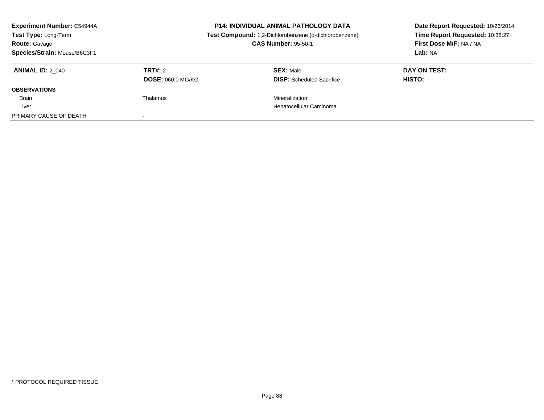| <b>Experiment Number: C54944A</b><br><b>Test Type: Long-Term</b><br><b>Route: Gavage</b><br>Species/Strain: Mouse/B6C3F1 |                                     | <b>P14: INDIVIDUAL ANIMAL PATHOLOGY DATA</b><br>Test Compound: 1,2-Dichlorobenzene (o-dichlorobenzene)<br><b>CAS Number: 95-50-1</b> | Date Report Requested: 10/26/2014<br>Time Report Requested: 10:38:27<br>First Dose M/F: NA / NA<br>Lab: NA |  |
|--------------------------------------------------------------------------------------------------------------------------|-------------------------------------|--------------------------------------------------------------------------------------------------------------------------------------|------------------------------------------------------------------------------------------------------------|--|
| <b>ANIMAL ID: 2 040</b>                                                                                                  | TRT#: 2<br><b>DOSE: 060.0 MG/KG</b> | <b>SEX: Male</b><br><b>DISP:</b> Scheduled Sacrifice                                                                                 | DAY ON TEST:<br>HISTO:                                                                                     |  |
| <b>OBSERVATIONS</b>                                                                                                      |                                     |                                                                                                                                      |                                                                                                            |  |
| Brain                                                                                                                    | Thalamus                            | Mineralization                                                                                                                       |                                                                                                            |  |
| Liver                                                                                                                    |                                     | Hepatocellular Carcinoma                                                                                                             |                                                                                                            |  |
| PRIMARY CAUSE OF DEATH                                                                                                   |                                     |                                                                                                                                      |                                                                                                            |  |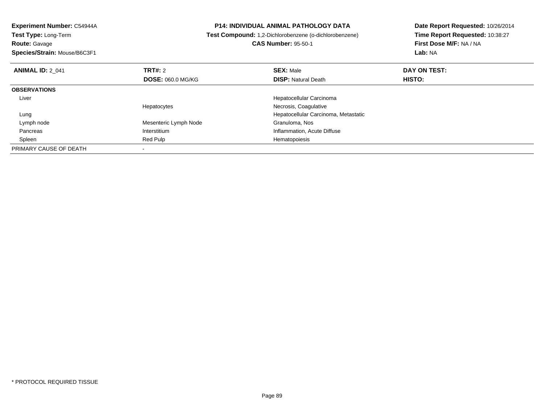**Experiment Number:** C54944A**Test Type:** Long-Term

**Route:** Gavage

**Species/Strain:** Mouse/B6C3F1

## **P14: INDIVIDUAL ANIMAL PATHOLOGY DATA**

**Test Compound:** 1,2-Dichlorobenzene (o-dichlorobenzene)

**CAS Number:** 95-50-1

**Date Report Requested:** 10/26/2014**Time Report Requested:** 10:38:27**First Dose M/F:** NA / NA**Lab:** NA

| <b>ANIMAL ID: 2 041</b> | TRT#: 2                  | <b>SEX: Male</b>                     | DAY ON TEST: |  |
|-------------------------|--------------------------|--------------------------------------|--------------|--|
|                         | <b>DOSE: 060.0 MG/KG</b> | <b>DISP: Natural Death</b>           | HISTO:       |  |
| <b>OBSERVATIONS</b>     |                          |                                      |              |  |
| Liver                   |                          | Hepatocellular Carcinoma             |              |  |
|                         | Hepatocytes              | Necrosis, Coagulative                |              |  |
| Lung                    |                          | Hepatocellular Carcinoma, Metastatic |              |  |
| Lymph node              | Mesenteric Lymph Node    | Granuloma, Nos                       |              |  |
| Pancreas                | Interstitium             | Inflammation, Acute Diffuse          |              |  |
| Spleen                  | Red Pulp                 | Hematopoiesis                        |              |  |
| PRIMARY CAUSE OF DEATH  |                          |                                      |              |  |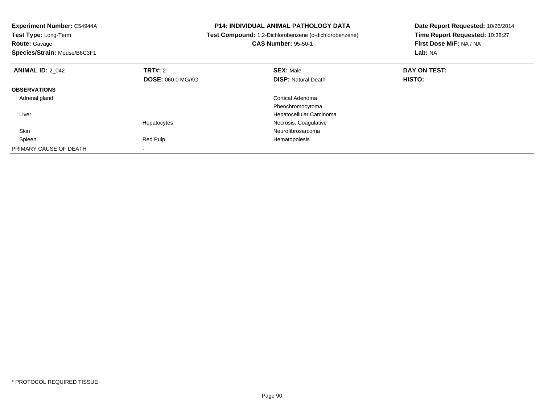| Experiment Number: C54944A<br>Test Type: Long-Term |                          | <b>P14: INDIVIDUAL ANIMAL PATHOLOGY DATA</b><br>Test Compound: 1,2-Dichlorobenzene (o-dichlorobenzene) | Date Report Requested: 10/26/2014<br>Time Report Requested: 10:38:27 |  |
|----------------------------------------------------|--------------------------|--------------------------------------------------------------------------------------------------------|----------------------------------------------------------------------|--|
| <b>Route: Gavage</b>                               |                          | <b>CAS Number: 95-50-1</b>                                                                             | First Dose M/F: NA / NA                                              |  |
| Species/Strain: Mouse/B6C3F1                       |                          |                                                                                                        | Lab: NA                                                              |  |
| <b>ANIMAL ID: 2 042</b>                            | TRT#: 2                  | <b>SEX: Male</b>                                                                                       | DAY ON TEST:                                                         |  |
|                                                    | <b>DOSE: 060.0 MG/KG</b> | <b>DISP: Natural Death</b>                                                                             | HISTO:                                                               |  |
| <b>OBSERVATIONS</b>                                |                          |                                                                                                        |                                                                      |  |
| Adrenal gland                                      |                          | Cortical Adenoma                                                                                       |                                                                      |  |
|                                                    |                          | Pheochromocytoma                                                                                       |                                                                      |  |
| Liver                                              |                          | Hepatocellular Carcinoma                                                                               |                                                                      |  |
|                                                    | Hepatocytes              | Necrosis, Coagulative                                                                                  |                                                                      |  |
| Skin                                               |                          | Neurofibrosarcoma                                                                                      |                                                                      |  |
| Spleen                                             | Red Pulp                 | Hematopoiesis                                                                                          |                                                                      |  |
| PRIMARY CAUSE OF DEATH                             |                          |                                                                                                        |                                                                      |  |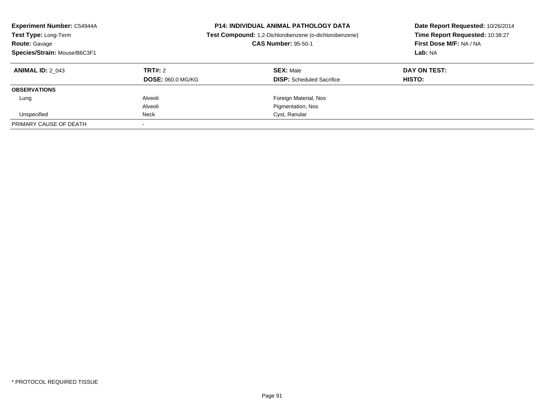| <b>Experiment Number: C54944A</b><br>Test Type: Long-Term<br><b>Route: Gavage</b><br>Species/Strain: Mouse/B6C3F1 |                                     | <b>P14: INDIVIDUAL ANIMAL PATHOLOGY DATA</b><br>Test Compound: 1,2-Dichlorobenzene (o-dichlorobenzene)<br><b>CAS Number: 95-50-1</b> | Date Report Requested: 10/26/2014<br>Time Report Requested: 10:38:27<br>First Dose M/F: NA / NA<br>Lab: NA |
|-------------------------------------------------------------------------------------------------------------------|-------------------------------------|--------------------------------------------------------------------------------------------------------------------------------------|------------------------------------------------------------------------------------------------------------|
| <b>ANIMAL ID: 2 043</b>                                                                                           | TRT#: 2<br><b>DOSE: 060.0 MG/KG</b> | <b>SEX: Male</b><br><b>DISP:</b> Scheduled Sacrifice                                                                                 | DAY ON TEST:<br>HISTO:                                                                                     |
| <b>OBSERVATIONS</b>                                                                                               |                                     |                                                                                                                                      |                                                                                                            |
| Lung                                                                                                              | Alveoli                             | Foreign Material, Nos                                                                                                                |                                                                                                            |
|                                                                                                                   | Alveoli                             | Pigmentation, Nos                                                                                                                    |                                                                                                            |
| Unspecified                                                                                                       | Neck                                | Cyst, Ranular                                                                                                                        |                                                                                                            |
| PRIMARY CAUSE OF DEATH                                                                                            |                                     |                                                                                                                                      |                                                                                                            |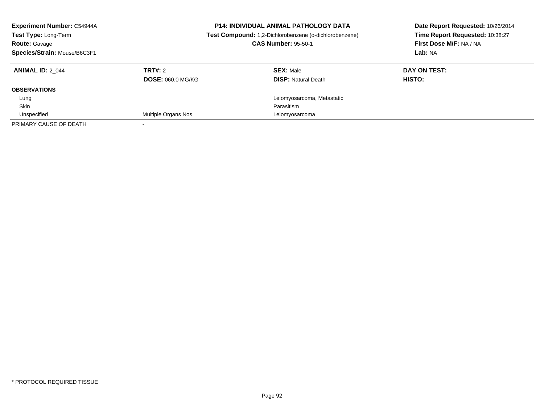| <b>Experiment Number: C54944A</b><br>Test Type: Long-Term<br><b>Route: Gavage</b><br>Species/Strain: Mouse/B6C3F1 |                                     | <b>P14: INDIVIDUAL ANIMAL PATHOLOGY DATA</b><br>Test Compound: 1,2-Dichlorobenzene (o-dichlorobenzene)<br><b>CAS Number: 95-50-1</b> | Date Report Requested: 10/26/2014<br>Time Report Requested: 10:38:27<br>First Dose M/F: NA / NA<br>Lab: NA |
|-------------------------------------------------------------------------------------------------------------------|-------------------------------------|--------------------------------------------------------------------------------------------------------------------------------------|------------------------------------------------------------------------------------------------------------|
| <b>ANIMAL ID: 2 044</b>                                                                                           | TRT#: 2<br><b>DOSE: 060.0 MG/KG</b> | <b>SEX: Male</b><br><b>DISP:</b> Natural Death                                                                                       | DAY ON TEST:<br>HISTO:                                                                                     |
| <b>OBSERVATIONS</b>                                                                                               |                                     |                                                                                                                                      |                                                                                                            |
| Lung                                                                                                              |                                     | Leiomyosarcoma, Metastatic                                                                                                           |                                                                                                            |
| Skin                                                                                                              |                                     | Parasitism                                                                                                                           |                                                                                                            |
| Unspecified                                                                                                       | Multiple Organs Nos                 | Leiomyosarcoma                                                                                                                       |                                                                                                            |
| PRIMARY CAUSE OF DEATH                                                                                            |                                     |                                                                                                                                      |                                                                                                            |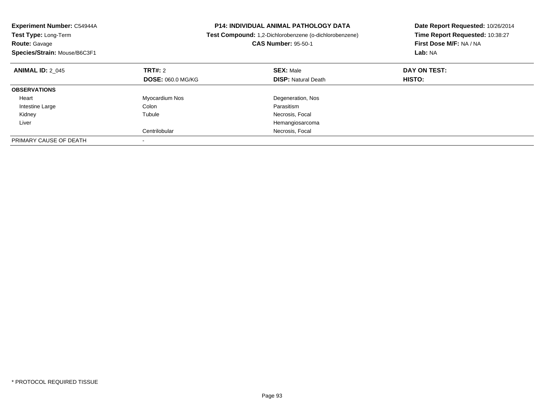| <b>Experiment Number: C54944A</b><br><b>Test Type: Long-Term</b><br><b>Route: Gavage</b><br>Species/Strain: Mouse/B6C3F1 |                          | P14: INDIVIDUAL ANIMAL PATHOLOGY DATA<br>Test Compound: 1,2-Dichlorobenzene (o-dichlorobenzene)<br><b>CAS Number: 95-50-1</b> | Date Report Requested: 10/26/2014<br>Time Report Requested: 10:38:27<br>First Dose M/F: NA / NA<br>Lab: NA |
|--------------------------------------------------------------------------------------------------------------------------|--------------------------|-------------------------------------------------------------------------------------------------------------------------------|------------------------------------------------------------------------------------------------------------|
| <b>ANIMAL ID: 2 045</b>                                                                                                  | <b>TRT#: 2</b>           | <b>SEX: Male</b>                                                                                                              | DAY ON TEST:                                                                                               |
|                                                                                                                          | <b>DOSE: 060.0 MG/KG</b> | <b>DISP: Natural Death</b>                                                                                                    | HISTO:                                                                                                     |
| <b>OBSERVATIONS</b>                                                                                                      |                          |                                                                                                                               |                                                                                                            |
| Heart                                                                                                                    | Myocardium Nos           | Degeneration, Nos                                                                                                             |                                                                                                            |
| Intestine Large                                                                                                          | Colon                    | Parasitism                                                                                                                    |                                                                                                            |
| Kidney                                                                                                                   | Tubule                   | Necrosis, Focal                                                                                                               |                                                                                                            |
| Liver                                                                                                                    |                          | Hemangiosarcoma                                                                                                               |                                                                                                            |
|                                                                                                                          | Centrilobular            | Necrosis, Focal                                                                                                               |                                                                                                            |
| PRIMARY CAUSE OF DEATH                                                                                                   |                          |                                                                                                                               |                                                                                                            |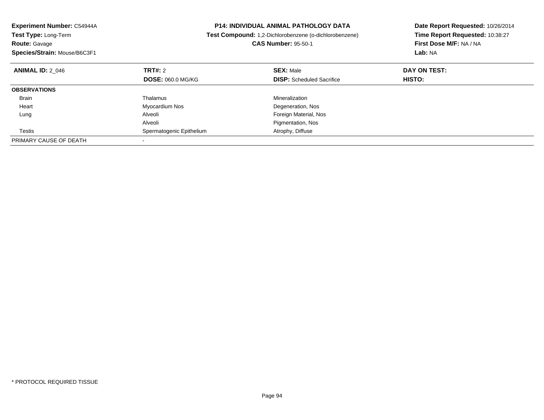| Experiment Number: C54944A<br>Test Type: Long-Term<br><b>Route: Gavage</b><br>Species/Strain: Mouse/B6C3F1 |                          | <b>P14: INDIVIDUAL ANIMAL PATHOLOGY DATA</b><br>Test Compound: 1,2-Dichlorobenzene (o-dichlorobenzene)<br><b>CAS Number: 95-50-1</b> | Date Report Requested: 10/26/2014<br>Time Report Requested: 10:38:27<br>First Dose M/F: NA / NA<br>Lab: NA |
|------------------------------------------------------------------------------------------------------------|--------------------------|--------------------------------------------------------------------------------------------------------------------------------------|------------------------------------------------------------------------------------------------------------|
| <b>ANIMAL ID: 2 046</b>                                                                                    | <b>TRT#: 2</b>           | <b>SEX: Male</b>                                                                                                                     | DAY ON TEST:                                                                                               |
|                                                                                                            | <b>DOSE: 060.0 MG/KG</b> | <b>DISP:</b> Scheduled Sacrifice                                                                                                     | HISTO:                                                                                                     |
| <b>OBSERVATIONS</b>                                                                                        |                          |                                                                                                                                      |                                                                                                            |
| <b>Brain</b>                                                                                               | Thalamus                 | Mineralization                                                                                                                       |                                                                                                            |
| Heart                                                                                                      | Myocardium Nos           | Degeneration, Nos                                                                                                                    |                                                                                                            |
| Lung                                                                                                       | Alveoli                  | Foreign Material, Nos                                                                                                                |                                                                                                            |
|                                                                                                            | Alveoli                  | Pigmentation, Nos                                                                                                                    |                                                                                                            |
| Testis                                                                                                     | Spermatogenic Epithelium | Atrophy, Diffuse                                                                                                                     |                                                                                                            |
| PRIMARY CAUSE OF DEATH                                                                                     |                          |                                                                                                                                      |                                                                                                            |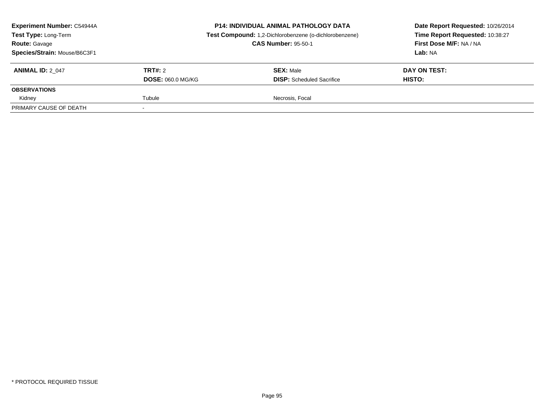| Experiment Number: C54944A<br><b>Test Type: Long-Term</b><br><b>Route: Gavage</b><br>Species/Strain: Mouse/B6C3F1 |                                     | <b>P14: INDIVIDUAL ANIMAL PATHOLOGY DATA</b><br>Test Compound: 1,2-Dichlorobenzene (o-dichlorobenzene)<br><b>CAS Number: 95-50-1</b> | Date Report Requested: 10/26/2014<br>Time Report Requested: 10:38:27<br>First Dose M/F: NA / NA<br><b>Lab:</b> NA |
|-------------------------------------------------------------------------------------------------------------------|-------------------------------------|--------------------------------------------------------------------------------------------------------------------------------------|-------------------------------------------------------------------------------------------------------------------|
| <b>ANIMAL ID: 2 047</b>                                                                                           | TRT#: 2<br><b>DOSE: 060.0 MG/KG</b> | <b>SEX: Male</b><br><b>DISP:</b> Scheduled Sacrifice                                                                                 | DAY ON TEST:<br><b>HISTO:</b>                                                                                     |
| <b>OBSERVATIONS</b>                                                                                               |                                     |                                                                                                                                      |                                                                                                                   |
| Kidney                                                                                                            | Tubule                              | Necrosis, Focal                                                                                                                      |                                                                                                                   |
| PRIMARY CAUSE OF DEATH                                                                                            |                                     |                                                                                                                                      |                                                                                                                   |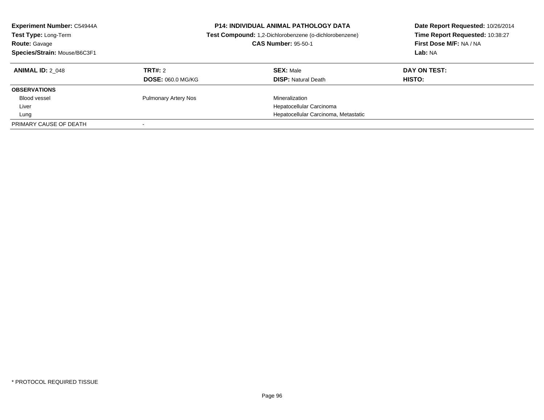| <b>Experiment Number: C54944A</b><br>Test Type: Long-Term<br><b>Route: Gavage</b><br>Species/Strain: Mouse/B6C3F1 |                             | <b>P14: INDIVIDUAL ANIMAL PATHOLOGY DATA</b><br>Test Compound: 1,2-Dichlorobenzene (o-dichlorobenzene)<br><b>CAS Number: 95-50-1</b> | Date Report Requested: 10/26/2014<br>Time Report Requested: 10:38:27<br>First Dose M/F: NA / NA<br>Lab: NA |
|-------------------------------------------------------------------------------------------------------------------|-----------------------------|--------------------------------------------------------------------------------------------------------------------------------------|------------------------------------------------------------------------------------------------------------|
| <b>ANIMAL ID: 2 048</b>                                                                                           | TRT#: 2                     | <b>SEX: Male</b>                                                                                                                     | DAY ON TEST:                                                                                               |
|                                                                                                                   | <b>DOSE: 060.0 MG/KG</b>    | <b>DISP:</b> Natural Death                                                                                                           | HISTO:                                                                                                     |
| <b>OBSERVATIONS</b>                                                                                               |                             |                                                                                                                                      |                                                                                                            |
| <b>Blood vessel</b>                                                                                               | <b>Pulmonary Artery Nos</b> | Mineralization                                                                                                                       |                                                                                                            |
| Liver                                                                                                             |                             | Hepatocellular Carcinoma                                                                                                             |                                                                                                            |
| Lung                                                                                                              |                             | Hepatocellular Carcinoma, Metastatic                                                                                                 |                                                                                                            |
| PRIMARY CAUSE OF DEATH                                                                                            |                             |                                                                                                                                      |                                                                                                            |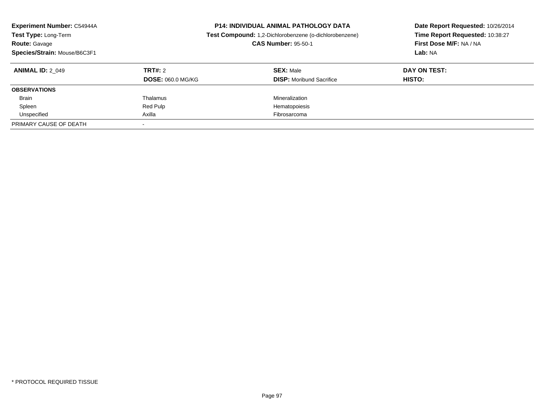| <b>Experiment Number: C54944A</b><br>Test Type: Long-Term<br><b>Route: Gavage</b><br>Species/Strain: Mouse/B6C3F1 |                                     | <b>P14: INDIVIDUAL ANIMAL PATHOLOGY DATA</b><br>Test Compound: 1,2-Dichlorobenzene (o-dichlorobenzene)<br><b>CAS Number: 95-50-1</b> | Date Report Requested: 10/26/2014<br>Time Report Requested: 10:38:27<br>First Dose M/F: NA / NA<br>Lab: NA |  |
|-------------------------------------------------------------------------------------------------------------------|-------------------------------------|--------------------------------------------------------------------------------------------------------------------------------------|------------------------------------------------------------------------------------------------------------|--|
| <b>ANIMAL ID: 2 049</b>                                                                                           | TRT#: 2<br><b>DOSE: 060.0 MG/KG</b> | <b>SEX: Male</b><br><b>DISP:</b> Moribund Sacrifice                                                                                  | DAY ON TEST:<br>HISTO:                                                                                     |  |
| <b>OBSERVATIONS</b>                                                                                               |                                     |                                                                                                                                      |                                                                                                            |  |
| <b>Brain</b>                                                                                                      | Thalamus                            | Mineralization                                                                                                                       |                                                                                                            |  |
| Spleen                                                                                                            | Red Pulp                            | Hematopoiesis                                                                                                                        |                                                                                                            |  |
| Unspecified                                                                                                       | Axilla                              | Fibrosarcoma                                                                                                                         |                                                                                                            |  |
| PRIMARY CAUSE OF DEATH                                                                                            |                                     |                                                                                                                                      |                                                                                                            |  |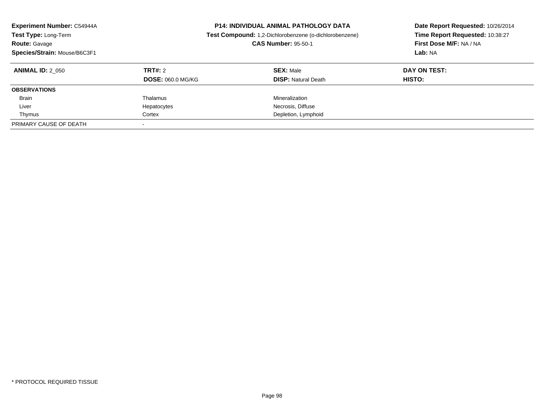| <b>Experiment Number: C54944A</b><br>Test Type: Long-Term<br><b>Route: Gavage</b><br>Species/Strain: Mouse/B6C3F1 | <b>P14: INDIVIDUAL ANIMAL PATHOLOGY DATA</b><br>Test Compound: 1,2-Dichlorobenzene (o-dichlorobenzene)<br><b>CAS Number: 95-50-1</b> |                                                | Date Report Requested: 10/26/2014<br>Time Report Requested: 10:38:27<br>First Dose M/F: NA / NA<br>Lab: NA |  |
|-------------------------------------------------------------------------------------------------------------------|--------------------------------------------------------------------------------------------------------------------------------------|------------------------------------------------|------------------------------------------------------------------------------------------------------------|--|
| <b>ANIMAL ID: 2 050</b>                                                                                           | TRT#: 2<br><b>DOSE: 060.0 MG/KG</b>                                                                                                  | <b>SEX: Male</b><br><b>DISP:</b> Natural Death | DAY ON TEST:<br>HISTO:                                                                                     |  |
| <b>OBSERVATIONS</b>                                                                                               |                                                                                                                                      |                                                |                                                                                                            |  |
| <b>Brain</b>                                                                                                      | Thalamus                                                                                                                             | Mineralization                                 |                                                                                                            |  |
| Liver                                                                                                             | Hepatocytes                                                                                                                          | Necrosis, Diffuse                              |                                                                                                            |  |
| Thymus                                                                                                            | Cortex                                                                                                                               | Depletion, Lymphoid                            |                                                                                                            |  |
| PRIMARY CAUSE OF DEATH                                                                                            |                                                                                                                                      |                                                |                                                                                                            |  |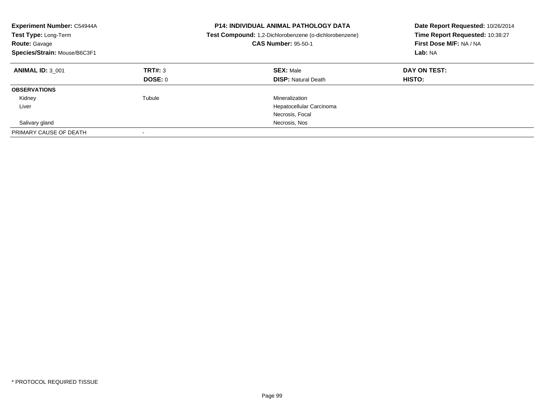| Experiment Number: C54944A<br>Test Type: Long-Term<br><b>Route: Gavage</b><br>Species/Strain: Mouse/B6C3F1 |                    | <b>P14: INDIVIDUAL ANIMAL PATHOLOGY DATA</b><br><b>Test Compound:</b> 1,2-Dichlorobenzene (o-dichlorobenzene)<br><b>CAS Number: 95-50-1</b> | Date Report Requested: 10/26/2014<br>Time Report Requested: 10:38:27<br>First Dose M/F: NA / NA<br>Lab: NA |
|------------------------------------------------------------------------------------------------------------|--------------------|---------------------------------------------------------------------------------------------------------------------------------------------|------------------------------------------------------------------------------------------------------------|
| <b>ANIMAL ID: 3 001</b>                                                                                    | TRT#: 3<br>DOSE: 0 | <b>SEX: Male</b><br><b>DISP: Natural Death</b>                                                                                              | DAY ON TEST:<br><b>HISTO:</b>                                                                              |
| <b>OBSERVATIONS</b>                                                                                        |                    |                                                                                                                                             |                                                                                                            |
| Kidney                                                                                                     | Tubule             | Mineralization                                                                                                                              |                                                                                                            |
| Liver                                                                                                      |                    | Hepatocellular Carcinoma                                                                                                                    |                                                                                                            |
|                                                                                                            |                    | Necrosis, Focal                                                                                                                             |                                                                                                            |
| Salivary gland                                                                                             |                    | Necrosis, Nos                                                                                                                               |                                                                                                            |
| PRIMARY CAUSE OF DEATH                                                                                     |                    |                                                                                                                                             |                                                                                                            |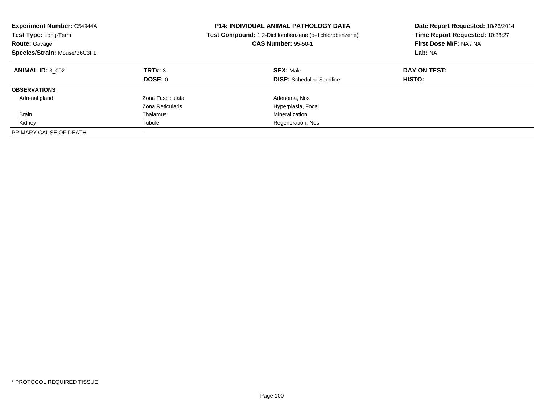| Experiment Number: C54944A<br>Test Type: Long-Term<br><b>Route: Gavage</b><br>Species/Strain: Mouse/B6C3F1 |                                      | <b>P14: INDIVIDUAL ANIMAL PATHOLOGY DATA</b><br>Test Compound: 1,2-Dichlorobenzene (o-dichlorobenzene)<br><b>CAS Number: 95-50-1</b> | Date Report Requested: 10/26/2014<br>Time Report Requested: 10:38:27<br>First Dose M/F: NA / NA<br>Lab: NA |
|------------------------------------------------------------------------------------------------------------|--------------------------------------|--------------------------------------------------------------------------------------------------------------------------------------|------------------------------------------------------------------------------------------------------------|
| <b>ANIMAL ID: 3 002</b>                                                                                    | TRT#: 3<br><b>DOSE: 0</b>            | <b>SEX: Male</b><br><b>DISP:</b> Scheduled Sacrifice                                                                                 | DAY ON TEST:<br>HISTO:                                                                                     |
| <b>OBSERVATIONS</b>                                                                                        |                                      |                                                                                                                                      |                                                                                                            |
| Adrenal gland                                                                                              | Zona Fasciculata<br>Zona Reticularis | Adenoma, Nos<br>Hyperplasia, Focal                                                                                                   |                                                                                                            |
| <b>Brain</b>                                                                                               | Thalamus                             | Mineralization                                                                                                                       |                                                                                                            |
| Kidney                                                                                                     | Tubule                               | Regeneration, Nos                                                                                                                    |                                                                                                            |
| PRIMARY CAUSE OF DEATH                                                                                     |                                      |                                                                                                                                      |                                                                                                            |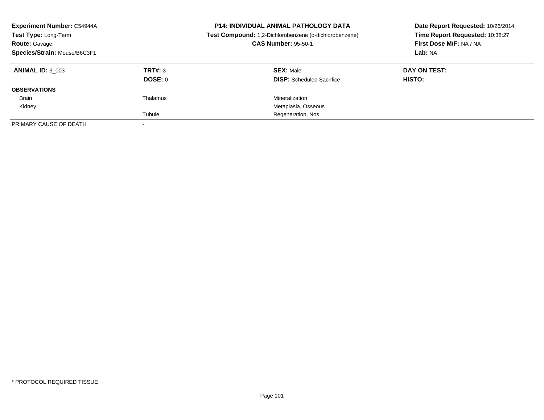| <b>Experiment Number: C54944A</b><br><b>P14: INDIVIDUAL ANIMAL PATHOLOGY DATA</b><br>Test Type: Long-Term<br>Test Compound: 1,2-Dichlorobenzene (o-dichlorobenzene)<br><b>CAS Number: 95-50-1</b><br><b>Route: Gavage</b><br>Species/Strain: Mouse/B6C3F1 |                    | Date Report Requested: 10/26/2014<br>Time Report Requested: 10:38:27<br>First Dose M/F: NA / NA<br>Lab: NA |                               |
|-----------------------------------------------------------------------------------------------------------------------------------------------------------------------------------------------------------------------------------------------------------|--------------------|------------------------------------------------------------------------------------------------------------|-------------------------------|
| <b>ANIMAL ID: 3 003</b>                                                                                                                                                                                                                                   | TRT#: 3<br>DOSE: 0 | <b>SEX: Male</b><br><b>DISP:</b> Scheduled Sacrifice                                                       | DAY ON TEST:<br><b>HISTO:</b> |
| <b>OBSERVATIONS</b>                                                                                                                                                                                                                                       |                    |                                                                                                            |                               |
| Brain                                                                                                                                                                                                                                                     | Thalamus           | Mineralization                                                                                             |                               |
| Kidney                                                                                                                                                                                                                                                    |                    | Metaplasia, Osseous                                                                                        |                               |
|                                                                                                                                                                                                                                                           | Tubule             | Regeneration, Nos                                                                                          |                               |
| PRIMARY CAUSE OF DEATH                                                                                                                                                                                                                                    |                    |                                                                                                            |                               |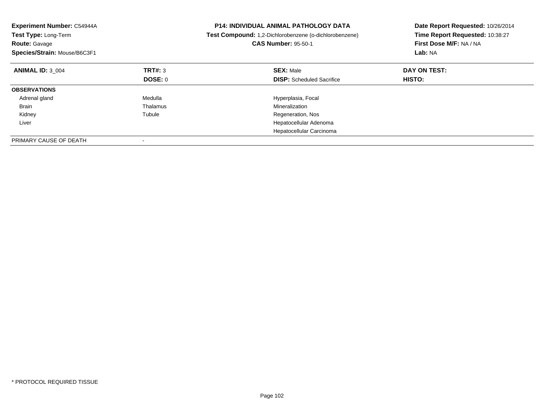| <b>Experiment Number: C54944A</b><br>Test Type: Long-Term<br><b>Route: Gavage</b><br>Species/Strain: Mouse/B6C3F1 |          | <b>P14: INDIVIDUAL ANIMAL PATHOLOGY DATA</b><br>Test Compound: 1,2-Dichlorobenzene (o-dichlorobenzene)<br><b>CAS Number: 95-50-1</b> | Date Report Requested: 10/26/2014<br>Time Report Requested: 10:38:27<br>First Dose M/F: NA / NA<br>Lab: NA |
|-------------------------------------------------------------------------------------------------------------------|----------|--------------------------------------------------------------------------------------------------------------------------------------|------------------------------------------------------------------------------------------------------------|
| <b>ANIMAL ID: 3 004</b>                                                                                           | TRT#: 3  | <b>SEX: Male</b>                                                                                                                     | DAY ON TEST:                                                                                               |
|                                                                                                                   | DOSE: 0  | <b>DISP:</b> Scheduled Sacrifice                                                                                                     | <b>HISTO:</b>                                                                                              |
| <b>OBSERVATIONS</b>                                                                                               |          |                                                                                                                                      |                                                                                                            |
| Adrenal gland                                                                                                     | Medulla  | Hyperplasia, Focal                                                                                                                   |                                                                                                            |
| Brain                                                                                                             | Thalamus | Mineralization                                                                                                                       |                                                                                                            |
| Kidney                                                                                                            | Tubule   | Regeneration, Nos                                                                                                                    |                                                                                                            |
| Liver                                                                                                             |          | Hepatocellular Adenoma                                                                                                               |                                                                                                            |
|                                                                                                                   |          | Hepatocellular Carcinoma                                                                                                             |                                                                                                            |
| PRIMARY CAUSE OF DEATH                                                                                            |          |                                                                                                                                      |                                                                                                            |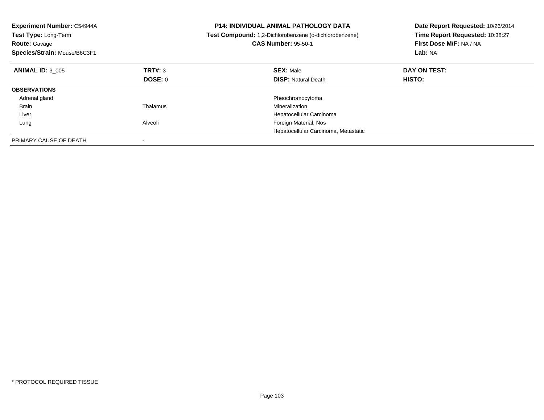| <b>Experiment Number: C54944A</b><br>Test Type: Long-Term<br><b>Route: Gavage</b><br>Species/Strain: Mouse/B6C3F1 |          | <b>P14: INDIVIDUAL ANIMAL PATHOLOGY DATA</b><br>Test Compound: 1,2-Dichlorobenzene (o-dichlorobenzene)<br><b>CAS Number: 95-50-1</b> | Date Report Requested: 10/26/2014<br>Time Report Requested: 10:38:27<br>First Dose M/F: NA / NA<br>Lab: NA |
|-------------------------------------------------------------------------------------------------------------------|----------|--------------------------------------------------------------------------------------------------------------------------------------|------------------------------------------------------------------------------------------------------------|
| <b>ANIMAL ID: 3 005</b>                                                                                           | TRT#: 3  | <b>SEX: Male</b>                                                                                                                     | DAY ON TEST:                                                                                               |
|                                                                                                                   | DOSE: 0  | <b>DISP:</b> Natural Death                                                                                                           | <b>HISTO:</b>                                                                                              |
| <b>OBSERVATIONS</b>                                                                                               |          |                                                                                                                                      |                                                                                                            |
| Adrenal gland                                                                                                     |          | Pheochromocytoma                                                                                                                     |                                                                                                            |
| <b>Brain</b>                                                                                                      | Thalamus | Mineralization                                                                                                                       |                                                                                                            |
| Liver                                                                                                             |          | Hepatocellular Carcinoma                                                                                                             |                                                                                                            |
| Lung                                                                                                              | Alveoli  | Foreign Material, Nos                                                                                                                |                                                                                                            |
|                                                                                                                   |          | Hepatocellular Carcinoma, Metastatic                                                                                                 |                                                                                                            |
| PRIMARY CAUSE OF DEATH                                                                                            |          |                                                                                                                                      |                                                                                                            |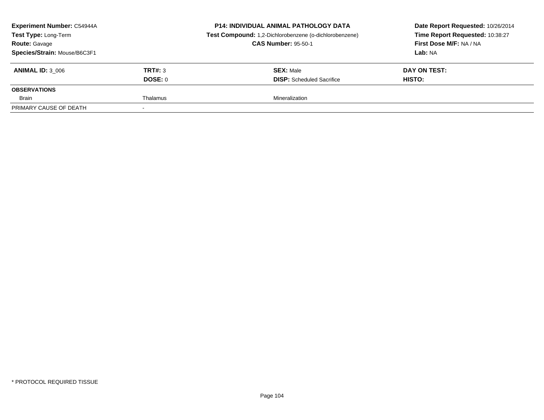| <b>Experiment Number: C54944A</b><br>Test Type: Long-Term<br><b>Route: Gavage</b><br>Species/Strain: Mouse/B6C3F1 |                           | <b>P14: INDIVIDUAL ANIMAL PATHOLOGY DATA</b><br>Test Compound: 1,2-Dichlorobenzene (o-dichlorobenzene)<br><b>CAS Number: 95-50-1</b> | Date Report Requested: 10/26/2014<br>Time Report Requested: 10:38:27<br>First Dose M/F: NA / NA<br>Lab: NA |
|-------------------------------------------------------------------------------------------------------------------|---------------------------|--------------------------------------------------------------------------------------------------------------------------------------|------------------------------------------------------------------------------------------------------------|
| <b>ANIMAL ID: 3 006</b>                                                                                           | <b>TRT#: 3</b><br>DOSE: 0 | <b>SEX: Male</b><br><b>DISP:</b> Scheduled Sacrifice                                                                                 | DAY ON TEST:<br><b>HISTO:</b>                                                                              |
| <b>OBSERVATIONS</b>                                                                                               |                           |                                                                                                                                      |                                                                                                            |
| Brain                                                                                                             | Thalamus                  | Mineralization                                                                                                                       |                                                                                                            |
| PRIMARY CAUSE OF DEATH                                                                                            |                           |                                                                                                                                      |                                                                                                            |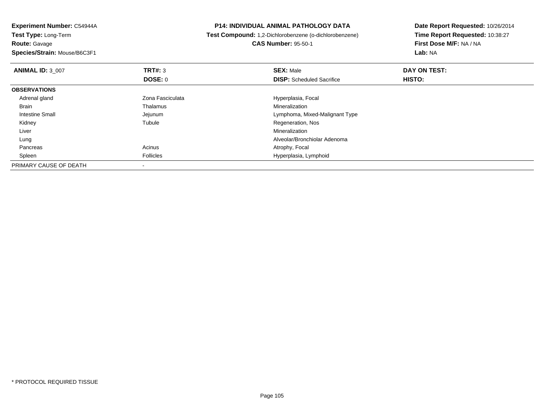**Experiment Number:** C54944A**Test Type:** Long-Term

**Route:** Gavage

**Species/Strain:** Mouse/B6C3F1

**P14: INDIVIDUAL ANIMAL PATHOLOGY DATA**

**Test Compound:** 1,2-Dichlorobenzene (o-dichlorobenzene)

**CAS Number:** 95-50-1

**Date Report Requested:** 10/26/2014**Time Report Requested:** 10:38:27**First Dose M/F:** NA / NA**Lab:** NA

| <b>ANIMAL ID: 3 007</b> | TRT#: 3          | <b>SEX: Male</b>                 | DAY ON TEST: |  |
|-------------------------|------------------|----------------------------------|--------------|--|
|                         | <b>DOSE: 0</b>   | <b>DISP:</b> Scheduled Sacrifice | HISTO:       |  |
| <b>OBSERVATIONS</b>     |                  |                                  |              |  |
| Adrenal gland           | Zona Fasciculata | Hyperplasia, Focal               |              |  |
| <b>Brain</b>            | Thalamus         | Mineralization                   |              |  |
| <b>Intestine Small</b>  | Jejunum          | Lymphoma, Mixed-Malignant Type   |              |  |
| Kidney                  | Tubule           | Regeneration, Nos                |              |  |
| Liver                   |                  | Mineralization                   |              |  |
| Lung                    |                  | Alveolar/Bronchiolar Adenoma     |              |  |
| Pancreas                | Acinus           | Atrophy, Focal                   |              |  |
| Spleen                  | <b>Follicles</b> | Hyperplasia, Lymphoid            |              |  |
| PRIMARY CAUSE OF DEATH  |                  |                                  |              |  |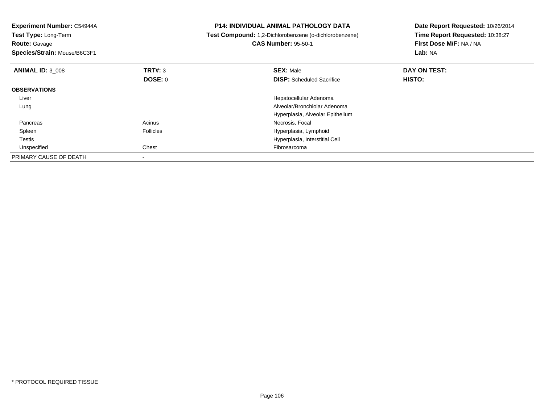| Experiment Number: C54944A<br>Test Type: Long-Term<br><b>Route: Gavage</b><br>Species/Strain: Mouse/B6C3F1 |                | <b>P14: INDIVIDUAL ANIMAL PATHOLOGY DATA</b><br>Test Compound: 1,2-Dichlorobenzene (o-dichlorobenzene)<br><b>CAS Number: 95-50-1</b> | Date Report Requested: 10/26/2014<br>Time Report Requested: 10:38:27<br>First Dose M/F: NA / NA<br>Lab: NA |
|------------------------------------------------------------------------------------------------------------|----------------|--------------------------------------------------------------------------------------------------------------------------------------|------------------------------------------------------------------------------------------------------------|
| <b>ANIMAL ID: 3 008</b>                                                                                    | <b>TRT#:</b> 3 | <b>SEX: Male</b>                                                                                                                     | DAY ON TEST:                                                                                               |
|                                                                                                            | DOSE: 0        | <b>DISP:</b> Scheduled Sacrifice                                                                                                     | HISTO:                                                                                                     |
| <b>OBSERVATIONS</b>                                                                                        |                |                                                                                                                                      |                                                                                                            |
| Liver                                                                                                      |                | Hepatocellular Adenoma                                                                                                               |                                                                                                            |
| Lung                                                                                                       |                | Alveolar/Bronchiolar Adenoma                                                                                                         |                                                                                                            |
|                                                                                                            |                | Hyperplasia, Alveolar Epithelium                                                                                                     |                                                                                                            |
| Pancreas                                                                                                   | Acinus         | Necrosis, Focal                                                                                                                      |                                                                                                            |
| Spleen                                                                                                     | Follicles      | Hyperplasia, Lymphoid                                                                                                                |                                                                                                            |
| Testis                                                                                                     |                | Hyperplasia, Interstitial Cell                                                                                                       |                                                                                                            |
| Unspecified                                                                                                | Chest          | Fibrosarcoma                                                                                                                         |                                                                                                            |
| PRIMARY CAUSE OF DEATH                                                                                     |                |                                                                                                                                      |                                                                                                            |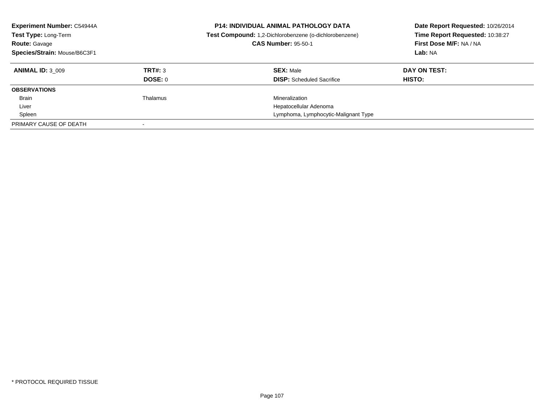| <b>Experiment Number: C54944A</b><br>Test Type: Long-Term<br><b>Route: Gavage</b><br>Species/Strain: Mouse/B6C3F1 |                | <b>P14: INDIVIDUAL ANIMAL PATHOLOGY DATA</b><br>Test Compound: 1,2-Dichlorobenzene (o-dichlorobenzene)<br><b>CAS Number: 95-50-1</b> | Date Report Requested: 10/26/2014<br>Time Report Requested: 10:38:27<br>First Dose M/F: NA / NA<br>Lab: NA |
|-------------------------------------------------------------------------------------------------------------------|----------------|--------------------------------------------------------------------------------------------------------------------------------------|------------------------------------------------------------------------------------------------------------|
| <b>ANIMAL ID: 3 009</b>                                                                                           | TRT#: 3        | <b>SEX: Male</b>                                                                                                                     | DAY ON TEST:                                                                                               |
|                                                                                                                   | <b>DOSE: 0</b> | <b>DISP:</b> Scheduled Sacrifice                                                                                                     | HISTO:                                                                                                     |
| <b>OBSERVATIONS</b>                                                                                               |                |                                                                                                                                      |                                                                                                            |
| Brain                                                                                                             | Thalamus       | Mineralization                                                                                                                       |                                                                                                            |
| Liver                                                                                                             |                | Hepatocellular Adenoma                                                                                                               |                                                                                                            |
| Spleen                                                                                                            |                | Lymphoma, Lymphocytic-Malignant Type                                                                                                 |                                                                                                            |
| PRIMARY CAUSE OF DEATH                                                                                            |                |                                                                                                                                      |                                                                                                            |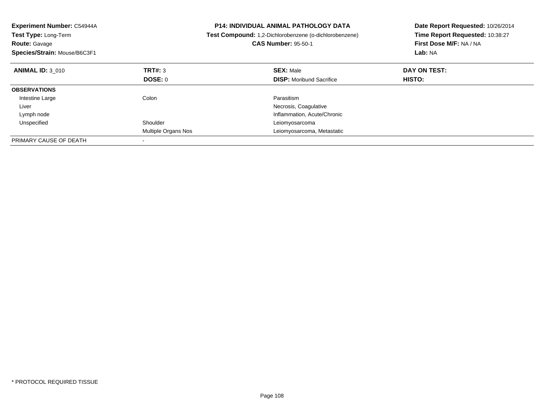| Experiment Number: C54944A<br>Test Type: Long-Term<br><b>Route: Gavage</b><br>Species/Strain: Mouse/B6C3F1 |                     | <b>P14: INDIVIDUAL ANIMAL PATHOLOGY DATA</b><br>Test Compound: 1,2-Dichlorobenzene (o-dichlorobenzene)<br><b>CAS Number: 95-50-1</b> | Date Report Requested: 10/26/2014<br>Time Report Requested: 10:38:27<br>First Dose M/F: NA / NA<br>Lab: NA |
|------------------------------------------------------------------------------------------------------------|---------------------|--------------------------------------------------------------------------------------------------------------------------------------|------------------------------------------------------------------------------------------------------------|
| <b>ANIMAL ID: 3 010</b>                                                                                    | TRT#: 3             | <b>SEX: Male</b>                                                                                                                     | DAY ON TEST:                                                                                               |
|                                                                                                            | <b>DOSE: 0</b>      | <b>DISP:</b> Moribund Sacrifice                                                                                                      | HISTO:                                                                                                     |
| <b>OBSERVATIONS</b>                                                                                        |                     |                                                                                                                                      |                                                                                                            |
| Intestine Large                                                                                            | Colon               | Parasitism                                                                                                                           |                                                                                                            |
| Liver                                                                                                      |                     | Necrosis, Coagulative                                                                                                                |                                                                                                            |
| Lymph node                                                                                                 |                     | Inflammation, Acute/Chronic                                                                                                          |                                                                                                            |
| Unspecified                                                                                                | Shoulder            | Leiomyosarcoma                                                                                                                       |                                                                                                            |
|                                                                                                            | Multiple Organs Nos | Leiomyosarcoma, Metastatic                                                                                                           |                                                                                                            |
| PRIMARY CAUSE OF DEATH                                                                                     |                     |                                                                                                                                      |                                                                                                            |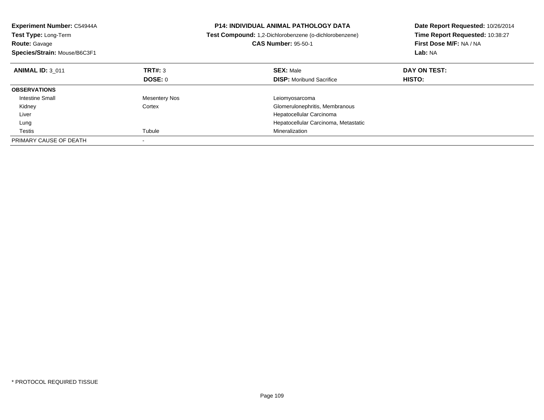| <b>Experiment Number: C54944A</b><br>Test Type: Long-Term<br><b>Route: Gavage</b><br>Species/Strain: Mouse/B6C3F1 |                      | <b>P14: INDIVIDUAL ANIMAL PATHOLOGY DATA</b><br>Test Compound: 1,2-Dichlorobenzene (o-dichlorobenzene)<br><b>CAS Number: 95-50-1</b> | Date Report Requested: 10/26/2014<br>Time Report Requested: 10:38:27<br>First Dose M/F: NA / NA<br>Lab: NA |
|-------------------------------------------------------------------------------------------------------------------|----------------------|--------------------------------------------------------------------------------------------------------------------------------------|------------------------------------------------------------------------------------------------------------|
| <b>ANIMAL ID: 3 011</b>                                                                                           | TRT#: 3              | <b>SEX: Male</b>                                                                                                                     | DAY ON TEST:                                                                                               |
|                                                                                                                   | <b>DOSE: 0</b>       | <b>DISP:</b> Moribund Sacrifice                                                                                                      | <b>HISTO:</b>                                                                                              |
| <b>OBSERVATIONS</b>                                                                                               |                      |                                                                                                                                      |                                                                                                            |
| Intestine Small                                                                                                   | <b>Mesentery Nos</b> | Leiomyosarcoma                                                                                                                       |                                                                                                            |
| Kidney                                                                                                            | Cortex               | Glomerulonephritis, Membranous                                                                                                       |                                                                                                            |
| Liver                                                                                                             |                      | Hepatocellular Carcinoma                                                                                                             |                                                                                                            |
| Lung                                                                                                              |                      | Hepatocellular Carcinoma, Metastatic                                                                                                 |                                                                                                            |
| Testis                                                                                                            | Tubule               | Mineralization                                                                                                                       |                                                                                                            |
| PRIMARY CAUSE OF DEATH                                                                                            |                      |                                                                                                                                      |                                                                                                            |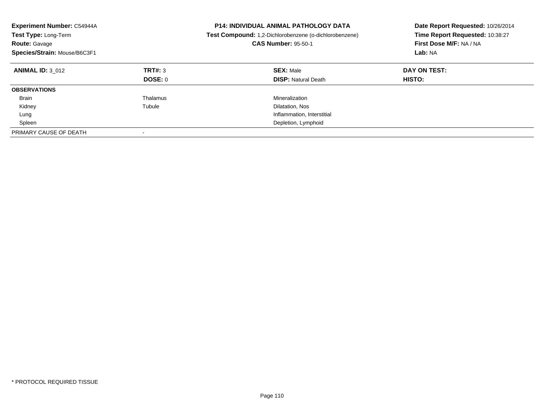| Experiment Number: C54944A<br>Test Type: Long-Term<br><b>Route: Gavage</b><br>Species/Strain: Mouse/B6C3F1 |                           | <b>P14: INDIVIDUAL ANIMAL PATHOLOGY DATA</b><br>Test Compound: 1,2-Dichlorobenzene (o-dichlorobenzene)<br><b>CAS Number: 95-50-1</b> | Date Report Requested: 10/26/2014<br>Time Report Requested: 10:38:27<br>First Dose M/F: NA / NA<br>Lab: NA |
|------------------------------------------------------------------------------------------------------------|---------------------------|--------------------------------------------------------------------------------------------------------------------------------------|------------------------------------------------------------------------------------------------------------|
| <b>ANIMAL ID: 3 012</b>                                                                                    | TRT#: 3<br><b>DOSE: 0</b> | <b>SEX: Male</b><br><b>DISP:</b> Natural Death                                                                                       | DAY ON TEST:<br><b>HISTO:</b>                                                                              |
| <b>OBSERVATIONS</b>                                                                                        |                           |                                                                                                                                      |                                                                                                            |
| <b>Brain</b>                                                                                               | Thalamus                  | Mineralization                                                                                                                       |                                                                                                            |
| Kidney                                                                                                     | Tubule                    | Dilatation, Nos                                                                                                                      |                                                                                                            |
| Lung                                                                                                       |                           | Inflammation, Interstitial                                                                                                           |                                                                                                            |
| Spleen                                                                                                     |                           | Depletion, Lymphoid                                                                                                                  |                                                                                                            |
| PRIMARY CAUSE OF DEATH                                                                                     | $\overline{\phantom{a}}$  |                                                                                                                                      |                                                                                                            |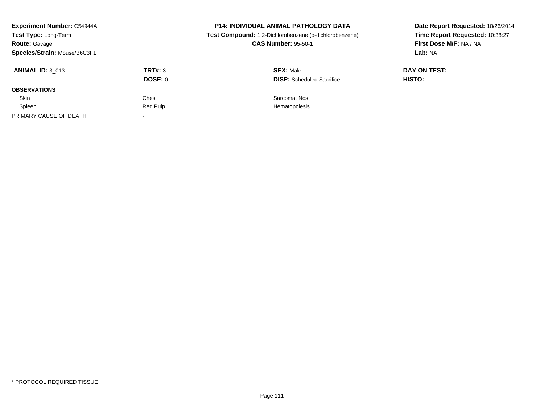| <b>Experiment Number: C54944A</b><br>Test Type: Long-Term<br><b>Route: Gavage</b> |          | <b>P14: INDIVIDUAL ANIMAL PATHOLOGY DATA</b><br>Test Compound: 1,2-Dichlorobenzene (o-dichlorobenzene)<br><b>CAS Number: 95-50-1</b> | Date Report Requested: 10/26/2014<br>Time Report Requested: 10:38:27<br>First Dose M/F: NA / NA |  |
|-----------------------------------------------------------------------------------|----------|--------------------------------------------------------------------------------------------------------------------------------------|-------------------------------------------------------------------------------------------------|--|
| Species/Strain: Mouse/B6C3F1                                                      |          |                                                                                                                                      | Lab: NA                                                                                         |  |
| <b>ANIMAL ID: 3 013</b>                                                           | TRT#: 3  | <b>SEX: Male</b>                                                                                                                     | DAY ON TEST:                                                                                    |  |
|                                                                                   | DOSE: 0  | <b>DISP:</b> Scheduled Sacrifice                                                                                                     | HISTO:                                                                                          |  |
| <b>OBSERVATIONS</b>                                                               |          |                                                                                                                                      |                                                                                                 |  |
| Skin                                                                              | Chest    | Sarcoma, Nos                                                                                                                         |                                                                                                 |  |
| Spleen                                                                            | Red Pulp | Hematopoiesis                                                                                                                        |                                                                                                 |  |
| PRIMARY CAUSE OF DEATH                                                            |          |                                                                                                                                      |                                                                                                 |  |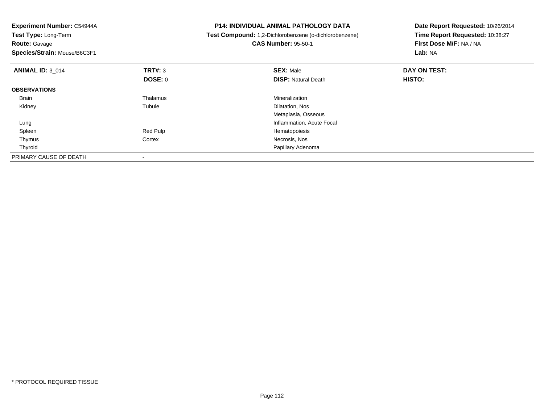| Experiment Number: C54944A   |          | <b>P14: INDIVIDUAL ANIMAL PATHOLOGY DATA</b>                  | Date Report Requested: 10/26/2014 |
|------------------------------|----------|---------------------------------------------------------------|-----------------------------------|
| Test Type: Long-Term         |          | <b>Test Compound:</b> 1,2-Dichlorobenzene (o-dichlorobenzene) | Time Report Requested: 10:38:27   |
| <b>Route: Gavage</b>         |          | <b>CAS Number: 95-50-1</b>                                    | First Dose M/F: NA / NA           |
| Species/Strain: Mouse/B6C3F1 |          |                                                               | Lab: NA                           |
| <b>ANIMAL ID: 3 014</b>      | TRT#: 3  | <b>SEX: Male</b>                                              | DAY ON TEST:                      |
|                              | DOSE: 0  | <b>DISP:</b> Natural Death                                    | HISTO:                            |
| <b>OBSERVATIONS</b>          |          |                                                               |                                   |
| Brain                        | Thalamus | Mineralization                                                |                                   |
| Kidney                       | Tubule   | Dilatation, Nos                                               |                                   |
|                              |          | Metaplasia, Osseous                                           |                                   |
| Lung                         |          | Inflammation, Acute Focal                                     |                                   |
| Spleen                       | Red Pulp | Hematopoiesis                                                 |                                   |
| Thymus                       | Cortex   | Necrosis, Nos                                                 |                                   |
| Thyroid                      |          | Papillary Adenoma                                             |                                   |
| PRIMARY CAUSE OF DEATH       |          |                                                               |                                   |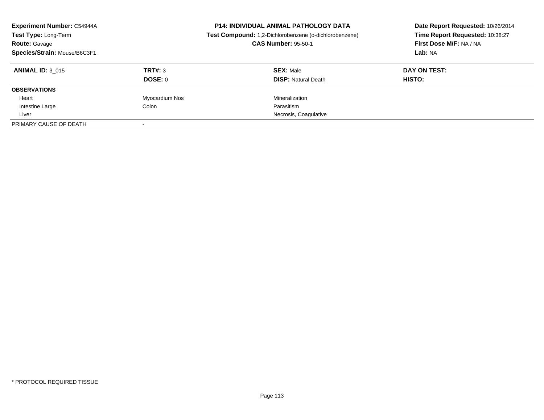| <b>Experiment Number: C54944A</b><br>Test Type: Long-Term<br><b>Route: Gavage</b><br>Species/Strain: Mouse/B6C3F1 |                | <b>P14: INDIVIDUAL ANIMAL PATHOLOGY DATA</b><br>Test Compound: 1,2-Dichlorobenzene (o-dichlorobenzene)<br><b>CAS Number: 95-50-1</b> | Date Report Requested: 10/26/2014<br>Time Report Requested: 10:38:27<br>First Dose M/F: NA / NA<br>Lab: NA |
|-------------------------------------------------------------------------------------------------------------------|----------------|--------------------------------------------------------------------------------------------------------------------------------------|------------------------------------------------------------------------------------------------------------|
| <b>ANIMAL ID: 3 015</b>                                                                                           | TRT#: 3        | <b>SEX: Male</b>                                                                                                                     | DAY ON TEST:                                                                                               |
|                                                                                                                   | DOSE: 0        | <b>DISP: Natural Death</b>                                                                                                           | HISTO:                                                                                                     |
| <b>OBSERVATIONS</b>                                                                                               |                |                                                                                                                                      |                                                                                                            |
| Heart                                                                                                             | Myocardium Nos | Mineralization                                                                                                                       |                                                                                                            |
| Intestine Large                                                                                                   | Colon          | Parasitism                                                                                                                           |                                                                                                            |
| Liver                                                                                                             |                | Necrosis, Coagulative                                                                                                                |                                                                                                            |
| PRIMARY CAUSE OF DEATH                                                                                            |                |                                                                                                                                      |                                                                                                            |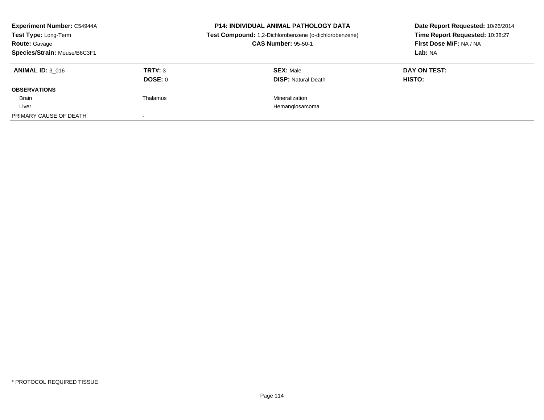| <b>Experiment Number: C54944A</b> |          | <b>P14: INDIVIDUAL ANIMAL PATHOLOGY DATA</b>           | Date Report Requested: 10/26/2014 |
|-----------------------------------|----------|--------------------------------------------------------|-----------------------------------|
| Test Type: Long-Term              |          | Test Compound: 1,2-Dichlorobenzene (o-dichlorobenzene) | Time Report Requested: 10:38:27   |
| <b>Route: Gavage</b>              |          | <b>CAS Number: 95-50-1</b>                             | First Dose M/F: NA / NA           |
| Species/Strain: Mouse/B6C3F1      |          |                                                        | Lab: NA                           |
| <b>ANIMAL ID: 3 016</b>           | TRT#: 3  | <b>SEX: Male</b>                                       | DAY ON TEST:                      |
|                                   | DOSE: 0  | <b>DISP:</b> Natural Death                             | HISTO:                            |
| <b>OBSERVATIONS</b>               |          |                                                        |                                   |
| Brain                             | Thalamus | Mineralization                                         |                                   |
| Liver                             |          | Hemangiosarcoma                                        |                                   |
| PRIMARY CAUSE OF DEATH            |          |                                                        |                                   |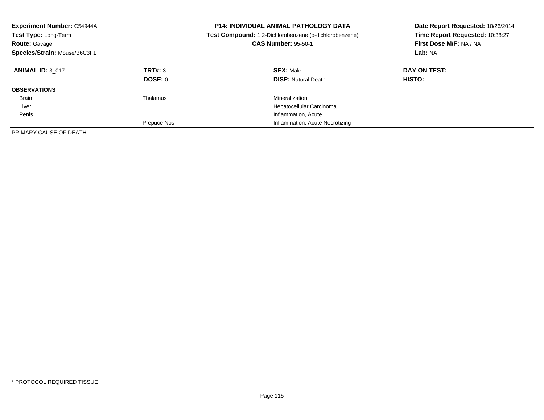| Experiment Number: C54944A<br>Test Type: Long-Term<br><b>Route: Gavage</b><br>Species/Strain: Mouse/B6C3F1 |                    | <b>P14: INDIVIDUAL ANIMAL PATHOLOGY DATA</b><br><b>Test Compound:</b> 1,2-Dichlorobenzene (o-dichlorobenzene)<br><b>CAS Number: 95-50-1</b> | Date Report Requested: 10/26/2014<br>Time Report Requested: 10:38:27<br>First Dose M/F: NA / NA<br>Lab: NA |
|------------------------------------------------------------------------------------------------------------|--------------------|---------------------------------------------------------------------------------------------------------------------------------------------|------------------------------------------------------------------------------------------------------------|
| <b>ANIMAL ID: 3 017</b>                                                                                    | TRT#: 3<br>DOSE: 0 | <b>SEX: Male</b><br><b>DISP:</b> Natural Death                                                                                              | DAY ON TEST:<br>HISTO:                                                                                     |
| <b>OBSERVATIONS</b>                                                                                        |                    |                                                                                                                                             |                                                                                                            |
| Brain                                                                                                      | Thalamus           | Mineralization                                                                                                                              |                                                                                                            |
| Liver                                                                                                      |                    | Hepatocellular Carcinoma                                                                                                                    |                                                                                                            |
| Penis                                                                                                      |                    | Inflammation, Acute                                                                                                                         |                                                                                                            |
|                                                                                                            | Prepuce Nos        | Inflammation, Acute Necrotizing                                                                                                             |                                                                                                            |
| PRIMARY CAUSE OF DEATH                                                                                     |                    |                                                                                                                                             |                                                                                                            |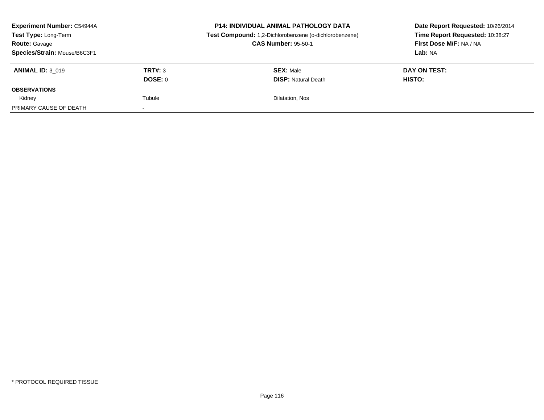| <b>Experiment Number: C54944A</b><br>Test Type: Long-Term<br><b>Route: Gavage</b><br>Species/Strain: Mouse/B6C3F1 |                    | <b>P14: INDIVIDUAL ANIMAL PATHOLOGY DATA</b><br>Test Compound: 1,2-Dichlorobenzene (o-dichlorobenzene)<br><b>CAS Number: 95-50-1</b> | Date Report Requested: 10/26/2014<br>Time Report Requested: 10:38:27<br>First Dose M/F: NA / NA<br><b>Lab: NA</b> |
|-------------------------------------------------------------------------------------------------------------------|--------------------|--------------------------------------------------------------------------------------------------------------------------------------|-------------------------------------------------------------------------------------------------------------------|
| <b>ANIMAL ID: 3 019</b>                                                                                           | TRT#: 3<br>DOSE: 0 | <b>SEX: Male</b><br><b>DISP:</b> Natural Death                                                                                       | DAY ON TEST:<br><b>HISTO:</b>                                                                                     |
| <b>OBSERVATIONS</b>                                                                                               |                    |                                                                                                                                      |                                                                                                                   |
| Kidney                                                                                                            | Tubule             | Dilatation, Nos                                                                                                                      |                                                                                                                   |
| PRIMARY CAUSE OF DEATH                                                                                            |                    |                                                                                                                                      |                                                                                                                   |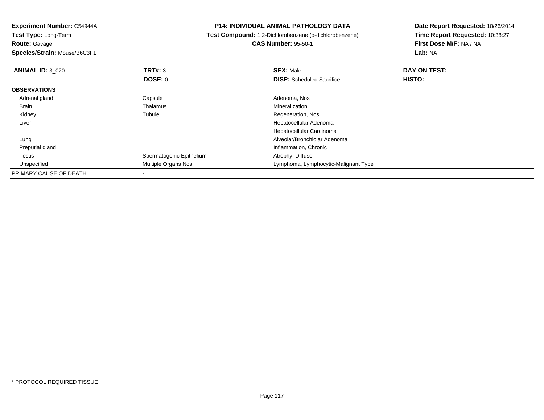**Experiment Number:** C54944A**Test Type:** Long-Term**Route:** Gavage **Species/Strain:** Mouse/B6C3F1**P14: INDIVIDUAL ANIMAL PATHOLOGY DATA Test Compound:** 1,2-Dichlorobenzene (o-dichlorobenzene)**CAS Number:** 95-50-1**Date Report Requested:** 10/26/2014**Time Report Requested:** 10:38:27**First Dose M/F:** NA / NA**Lab:** NA**ANIMAL ID:** 3\_020**C DAY ON TEST: TRT#:** 3 **SEX:** Male **SEX:** Male **DOSE:** 0**DISP:** Scheduled Sacrifice **HISTO: OBSERVATIONS** Adrenal glandd and Capsule Capsule Capsus and Adenoma, Nos Brain Thalamus Mineralization Kidneyy the contract of the contract of the contract of the contract of the contract of the contract of the contract of the contract of the contract of the contract of the contract of the contract of the contract of the contract Tubule **Tubule Regeneration**, Nos Liver Hepatocellular Adenoma Hepatocellular Carcinoma Alveolar/Bronchiolar Adenoma Lung Preputial gland Inflammation, Chronic Testis Spermatogenic Epithelium Atrophy, Diffuse Unspecified Multiple Organs Nos Lymphoma, Lymphocytic-Malignant Type PRIMARY CAUSE OF DEATH-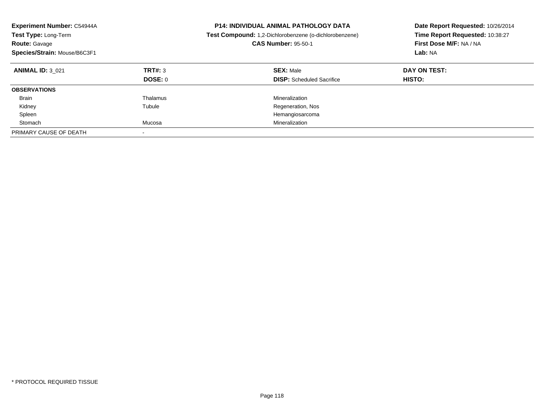| <b>Experiment Number: C54944A</b><br>Test Type: Long-Term<br><b>Route: Gavage</b><br>Species/Strain: Mouse/B6C3F1 |                    | <b>P14: INDIVIDUAL ANIMAL PATHOLOGY DATA</b><br>Test Compound: 1,2-Dichlorobenzene (o-dichlorobenzene)<br><b>CAS Number: 95-50-1</b> | Date Report Requested: 10/26/2014<br>Time Report Requested: 10:38:27<br>First Dose M/F: NA / NA<br>Lab: NA |
|-------------------------------------------------------------------------------------------------------------------|--------------------|--------------------------------------------------------------------------------------------------------------------------------------|------------------------------------------------------------------------------------------------------------|
| <b>ANIMAL ID: 3 021</b>                                                                                           | TRT#: 3<br>DOSE: 0 | <b>SEX: Male</b><br><b>DISP:</b> Scheduled Sacrifice                                                                                 | DAY ON TEST:<br><b>HISTO:</b>                                                                              |
| <b>OBSERVATIONS</b>                                                                                               |                    |                                                                                                                                      |                                                                                                            |
| <b>Brain</b>                                                                                                      | Thalamus           | Mineralization                                                                                                                       |                                                                                                            |
| Kidney                                                                                                            | Tubule             | Regeneration, Nos                                                                                                                    |                                                                                                            |
| Spleen                                                                                                            |                    | Hemangiosarcoma                                                                                                                      |                                                                                                            |
| Stomach                                                                                                           | Mucosa             | Mineralization                                                                                                                       |                                                                                                            |
| PRIMARY CAUSE OF DEATH                                                                                            |                    |                                                                                                                                      |                                                                                                            |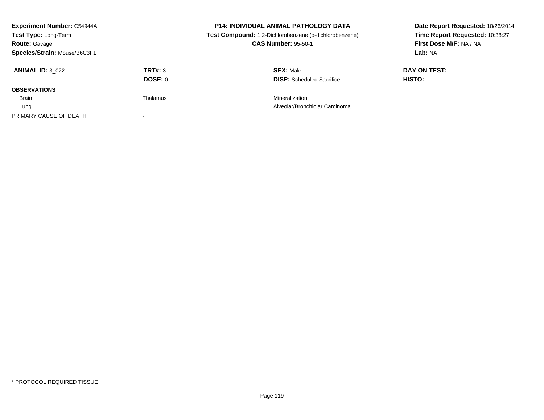| <b>Experiment Number: C54944A</b> |          | <b>P14: INDIVIDUAL ANIMAL PATHOLOGY DATA</b>           | Date Report Requested: 10/26/2014 |
|-----------------------------------|----------|--------------------------------------------------------|-----------------------------------|
| Test Type: Long-Term              |          | Test Compound: 1,2-Dichlorobenzene (o-dichlorobenzene) | Time Report Requested: 10:38:27   |
| <b>Route: Gavage</b>              |          | <b>CAS Number: 95-50-1</b>                             | First Dose M/F: NA / NA           |
| Species/Strain: Mouse/B6C3F1      |          |                                                        | Lab: NA                           |
| <b>ANIMAL ID: 3 022</b>           | TRT#: 3  | <b>SEX: Male</b>                                       | DAY ON TEST:                      |
|                                   | DOSE: 0  | <b>DISP:</b> Scheduled Sacrifice                       | <b>HISTO:</b>                     |
| <b>OBSERVATIONS</b>               |          |                                                        |                                   |
| Brain                             | Thalamus | Mineralization                                         |                                   |
| Lung                              |          | Alveolar/Bronchiolar Carcinoma                         |                                   |
| PRIMARY CAUSE OF DEATH            |          |                                                        |                                   |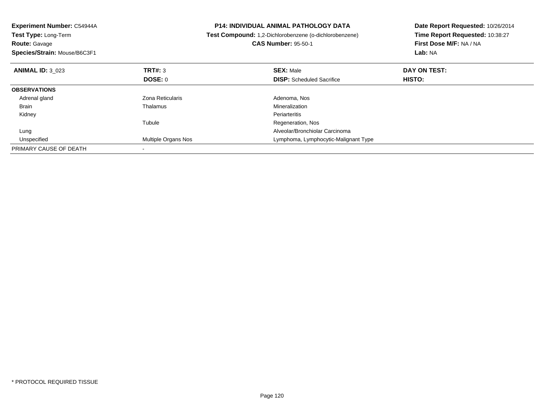| Experiment Number: C54944A<br>Test Type: Long-Term<br><b>Route: Gavage</b><br>Species/Strain: Mouse/B6C3F1 |                            | <b>P14: INDIVIDUAL ANIMAL PATHOLOGY DATA</b><br>Test Compound: 1,2-Dichlorobenzene (o-dichlorobenzene)<br><b>CAS Number: 95-50-1</b> | Date Report Requested: 10/26/2014<br>Time Report Requested: 10:38:27<br>First Dose M/F: NA / NA<br>Lab: NA |
|------------------------------------------------------------------------------------------------------------|----------------------------|--------------------------------------------------------------------------------------------------------------------------------------|------------------------------------------------------------------------------------------------------------|
| <b>ANIMAL ID: 3 023</b>                                                                                    | TRT#: 3                    | <b>SEX: Male</b>                                                                                                                     | DAY ON TEST:                                                                                               |
|                                                                                                            | <b>DOSE: 0</b>             | <b>DISP:</b> Scheduled Sacrifice                                                                                                     | HISTO:                                                                                                     |
| <b>OBSERVATIONS</b>                                                                                        |                            |                                                                                                                                      |                                                                                                            |
| Adrenal gland                                                                                              | Zona Reticularis           | Adenoma, Nos                                                                                                                         |                                                                                                            |
| <b>Brain</b>                                                                                               | Thalamus                   | Mineralization                                                                                                                       |                                                                                                            |
| Kidney                                                                                                     |                            | Periarteritis                                                                                                                        |                                                                                                            |
|                                                                                                            | Tubule                     | Regeneration, Nos                                                                                                                    |                                                                                                            |
| Lung                                                                                                       |                            | Alveolar/Bronchiolar Carcinoma                                                                                                       |                                                                                                            |
| Unspecified                                                                                                | <b>Multiple Organs Nos</b> | Lymphoma, Lymphocytic-Malignant Type                                                                                                 |                                                                                                            |
| PRIMARY CAUSE OF DEATH                                                                                     |                            |                                                                                                                                      |                                                                                                            |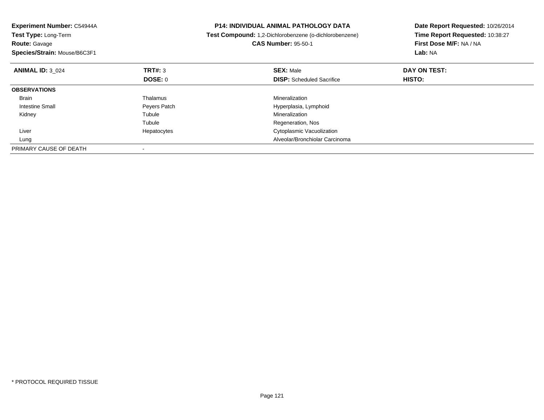| Experiment Number: C54944A<br><b>Test Type: Long-Term</b><br><b>Route: Gavage</b><br>Species/Strain: Mouse/B6C3F1 |              | <b>P14: INDIVIDUAL ANIMAL PATHOLOGY DATA</b><br>Test Compound: 1,2-Dichlorobenzene (o-dichlorobenzene)<br><b>CAS Number: 95-50-1</b> | Date Report Requested: 10/26/2014<br>Time Report Requested: 10:38:27<br>First Dose M/F: NA / NA<br>Lab: NA |
|-------------------------------------------------------------------------------------------------------------------|--------------|--------------------------------------------------------------------------------------------------------------------------------------|------------------------------------------------------------------------------------------------------------|
| <b>ANIMAL ID: 3 024</b>                                                                                           | TRT#: 3      | <b>SEX: Male</b>                                                                                                                     | DAY ON TEST:                                                                                               |
|                                                                                                                   | DOSE: 0      | <b>DISP:</b> Scheduled Sacrifice                                                                                                     | HISTO:                                                                                                     |
| <b>OBSERVATIONS</b>                                                                                               |              |                                                                                                                                      |                                                                                                            |
| <b>Brain</b>                                                                                                      | Thalamus     | Mineralization                                                                                                                       |                                                                                                            |
| Intestine Small                                                                                                   | Peyers Patch | Hyperplasia, Lymphoid                                                                                                                |                                                                                                            |
| Kidney                                                                                                            | Tubule       | Mineralization                                                                                                                       |                                                                                                            |
|                                                                                                                   | Tubule       | Regeneration, Nos                                                                                                                    |                                                                                                            |
| Liver                                                                                                             | Hepatocytes  | Cytoplasmic Vacuolization                                                                                                            |                                                                                                            |
| Lung                                                                                                              |              | Alveolar/Bronchiolar Carcinoma                                                                                                       |                                                                                                            |
| PRIMARY CAUSE OF DEATH                                                                                            |              |                                                                                                                                      |                                                                                                            |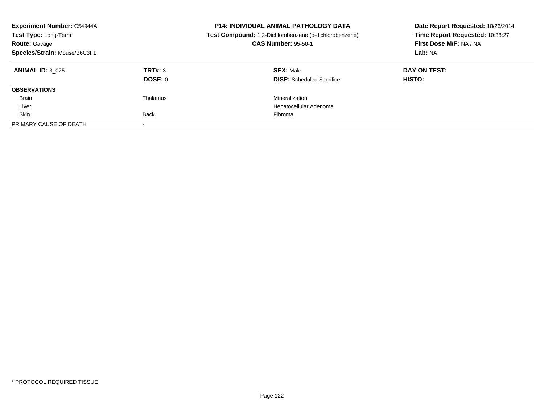| <b>Experiment Number: C54944A</b><br>Test Type: Long-Term<br><b>Route: Gavage</b><br>Species/Strain: Mouse/B6C3F1 |          | <b>P14: INDIVIDUAL ANIMAL PATHOLOGY DATA</b><br>Test Compound: 1,2-Dichlorobenzene (o-dichlorobenzene)<br><b>CAS Number: 95-50-1</b> | Date Report Requested: 10/26/2014<br>Time Report Requested: 10:38:27<br>First Dose M/F: NA / NA<br>Lab: NA |
|-------------------------------------------------------------------------------------------------------------------|----------|--------------------------------------------------------------------------------------------------------------------------------------|------------------------------------------------------------------------------------------------------------|
| <b>ANIMAL ID: 3 025</b>                                                                                           | TRT#: 3  | <b>SEX: Male</b>                                                                                                                     | DAY ON TEST:                                                                                               |
|                                                                                                                   | DOSE: 0  | <b>DISP:</b> Scheduled Sacrifice                                                                                                     | HISTO:                                                                                                     |
| <b>OBSERVATIONS</b>                                                                                               |          |                                                                                                                                      |                                                                                                            |
| Brain                                                                                                             | Thalamus | Mineralization                                                                                                                       |                                                                                                            |
| Liver                                                                                                             |          | Hepatocellular Adenoma                                                                                                               |                                                                                                            |
| Skin                                                                                                              | Back     | Fibroma                                                                                                                              |                                                                                                            |
| PRIMARY CAUSE OF DEATH                                                                                            |          |                                                                                                                                      |                                                                                                            |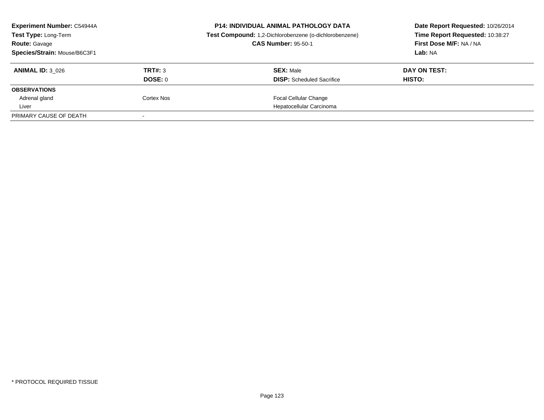| <b>Experiment Number: C54944A</b><br><b>Test Type: Long-Term</b><br><b>Route: Gavage</b> |            | <b>P14: INDIVIDUAL ANIMAL PATHOLOGY DATA</b><br>Test Compound: 1,2-Dichlorobenzene (o-dichlorobenzene)<br><b>CAS Number: 95-50-1</b> | Date Report Requested: 10/26/2014<br>Time Report Requested: 10:38:27<br>First Dose M/F: NA / NA |
|------------------------------------------------------------------------------------------|------------|--------------------------------------------------------------------------------------------------------------------------------------|-------------------------------------------------------------------------------------------------|
| Species/Strain: Mouse/B6C3F1                                                             |            |                                                                                                                                      | Lab: NA                                                                                         |
| <b>ANIMAL ID: 3 026</b>                                                                  | TRT#: 3    | <b>SEX: Male</b>                                                                                                                     | DAY ON TEST:                                                                                    |
|                                                                                          | DOSE: 0    | <b>DISP:</b> Scheduled Sacrifice                                                                                                     | HISTO:                                                                                          |
| <b>OBSERVATIONS</b>                                                                      |            |                                                                                                                                      |                                                                                                 |
| Adrenal gland                                                                            | Cortex Nos | Focal Cellular Change                                                                                                                |                                                                                                 |
| Liver                                                                                    |            | Hepatocellular Carcinoma                                                                                                             |                                                                                                 |
| PRIMARY CAUSE OF DEATH                                                                   |            |                                                                                                                                      |                                                                                                 |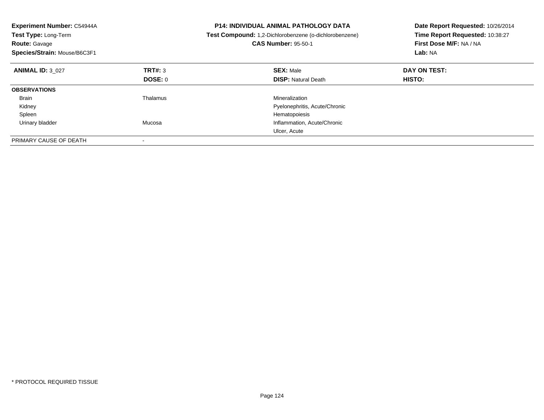| <b>Experiment Number: C54944A</b><br>Test Type: Long-Term<br><b>Route: Gavage</b><br>Species/Strain: Mouse/B6C3F1 |          | <b>P14: INDIVIDUAL ANIMAL PATHOLOGY DATA</b><br>Test Compound: 1,2-Dichlorobenzene (o-dichlorobenzene)<br><b>CAS Number: 95-50-1</b> | Date Report Requested: 10/26/2014<br>Time Report Requested: 10:38:27<br>First Dose M/F: NA / NA<br>Lab: NA |
|-------------------------------------------------------------------------------------------------------------------|----------|--------------------------------------------------------------------------------------------------------------------------------------|------------------------------------------------------------------------------------------------------------|
| <b>ANIMAL ID: 3 027</b>                                                                                           | TRT#: 3  | <b>SEX: Male</b>                                                                                                                     | DAY ON TEST:                                                                                               |
|                                                                                                                   | DOSE: 0  | <b>DISP:</b> Natural Death                                                                                                           | HISTO:                                                                                                     |
| <b>OBSERVATIONS</b>                                                                                               |          |                                                                                                                                      |                                                                                                            |
| <b>Brain</b>                                                                                                      | Thalamus | Mineralization                                                                                                                       |                                                                                                            |
| Kidney                                                                                                            |          | Pyelonephritis, Acute/Chronic                                                                                                        |                                                                                                            |
| Spleen                                                                                                            |          | Hematopoiesis                                                                                                                        |                                                                                                            |
| Urinary bladder                                                                                                   | Mucosa   | Inflammation, Acute/Chronic                                                                                                          |                                                                                                            |
|                                                                                                                   |          | Ulcer, Acute                                                                                                                         |                                                                                                            |
| PRIMARY CAUSE OF DEATH                                                                                            | $\,$     |                                                                                                                                      |                                                                                                            |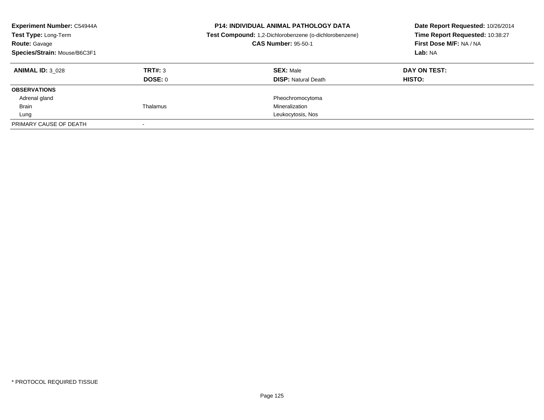| <b>Experiment Number: C54944A</b><br>Test Type: Long-Term<br><b>Route: Gavage</b><br>Species/Strain: Mouse/B6C3F1 |                           | <b>P14: INDIVIDUAL ANIMAL PATHOLOGY DATA</b><br>Test Compound: 1,2-Dichlorobenzene (o-dichlorobenzene)<br><b>CAS Number: 95-50-1</b> | Date Report Requested: 10/26/2014<br>Time Report Requested: 10:38:27<br>First Dose M/F: NA / NA<br>Lab: NA |
|-------------------------------------------------------------------------------------------------------------------|---------------------------|--------------------------------------------------------------------------------------------------------------------------------------|------------------------------------------------------------------------------------------------------------|
| <b>ANIMAL ID: 3 028</b>                                                                                           | TRT#: 3<br><b>DOSE: 0</b> | <b>SEX: Male</b><br><b>DISP: Natural Death</b>                                                                                       | DAY ON TEST:<br>HISTO:                                                                                     |
| <b>OBSERVATIONS</b>                                                                                               |                           |                                                                                                                                      |                                                                                                            |
| Adrenal gland                                                                                                     |                           | Pheochromocytoma                                                                                                                     |                                                                                                            |
| <b>Brain</b>                                                                                                      | Thalamus                  | Mineralization                                                                                                                       |                                                                                                            |
| Lung                                                                                                              |                           | Leukocytosis, Nos                                                                                                                    |                                                                                                            |
| PRIMARY CAUSE OF DEATH                                                                                            |                           |                                                                                                                                      |                                                                                                            |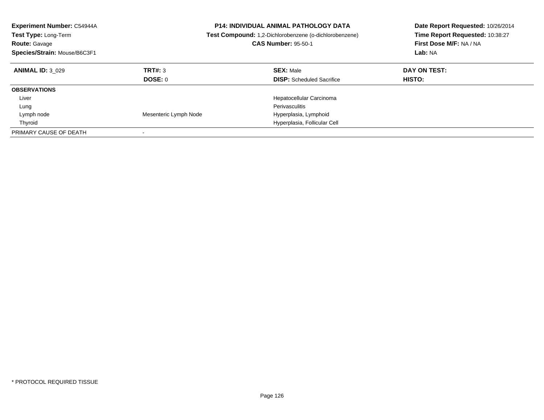| <b>Experiment Number: C54944A</b><br><b>Test Type: Long-Term</b><br><b>Route: Gavage</b><br>Species/Strain: Mouse/B6C3F1 |                       | <b>P14: INDIVIDUAL ANIMAL PATHOLOGY DATA</b><br><b>Test Compound:</b> 1,2-Dichlorobenzene (o-dichlorobenzene)<br><b>CAS Number: 95-50-1</b> | Date Report Requested: 10/26/2014<br>Time Report Requested: 10:38:27<br>First Dose M/F: NA / NA<br>Lab: NA |
|--------------------------------------------------------------------------------------------------------------------------|-----------------------|---------------------------------------------------------------------------------------------------------------------------------------------|------------------------------------------------------------------------------------------------------------|
| <b>ANIMAL ID: 3 029</b>                                                                                                  | TRT#: 3<br>DOSE: 0    | <b>SEX: Male</b><br><b>DISP:</b> Scheduled Sacrifice                                                                                        | DAY ON TEST:<br>HISTO:                                                                                     |
| <b>OBSERVATIONS</b>                                                                                                      |                       |                                                                                                                                             |                                                                                                            |
|                                                                                                                          |                       |                                                                                                                                             |                                                                                                            |
| Liver                                                                                                                    |                       | Hepatocellular Carcinoma                                                                                                                    |                                                                                                            |
| Lung                                                                                                                     |                       | Perivasculitis                                                                                                                              |                                                                                                            |
| Lymph node                                                                                                               | Mesenteric Lymph Node | Hyperplasia, Lymphoid                                                                                                                       |                                                                                                            |
| Thyroid                                                                                                                  |                       | Hyperplasia, Follicular Cell                                                                                                                |                                                                                                            |
| PRIMARY CAUSE OF DEATH                                                                                                   |                       |                                                                                                                                             |                                                                                                            |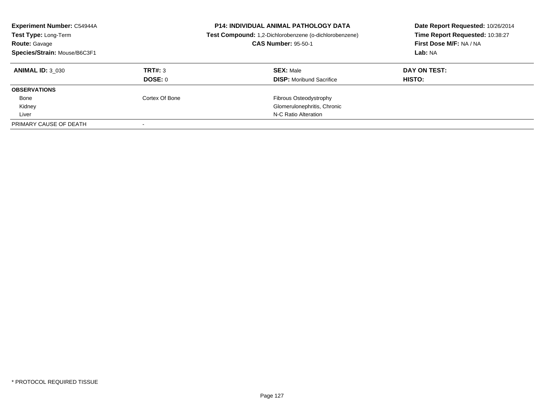| <b>Experiment Number: C54944A</b><br>Test Type: Long-Term<br><b>Route: Gavage</b><br>Species/Strain: Mouse/B6C3F1 |                | <b>P14: INDIVIDUAL ANIMAL PATHOLOGY DATA</b><br>Test Compound: 1,2-Dichlorobenzene (o-dichlorobenzene)<br><b>CAS Number: 95-50-1</b> | Date Report Requested: 10/26/2014<br>Time Report Requested: 10:38:27<br>First Dose M/F: NA / NA<br>Lab: NA |
|-------------------------------------------------------------------------------------------------------------------|----------------|--------------------------------------------------------------------------------------------------------------------------------------|------------------------------------------------------------------------------------------------------------|
| <b>ANIMAL ID: 3 030</b>                                                                                           | TRT#: 3        | <b>SEX: Male</b>                                                                                                                     | DAY ON TEST:                                                                                               |
|                                                                                                                   | DOSE: 0        | <b>DISP:</b> Moribund Sacrifice                                                                                                      | HISTO:                                                                                                     |
| <b>OBSERVATIONS</b>                                                                                               |                |                                                                                                                                      |                                                                                                            |
| Bone                                                                                                              | Cortex Of Bone | Fibrous Osteodystrophy                                                                                                               |                                                                                                            |
| Kidney                                                                                                            |                | Glomerulonephritis, Chronic                                                                                                          |                                                                                                            |
| Liver                                                                                                             |                | N-C Ratio Alteration                                                                                                                 |                                                                                                            |
| PRIMARY CAUSE OF DEATH                                                                                            |                |                                                                                                                                      |                                                                                                            |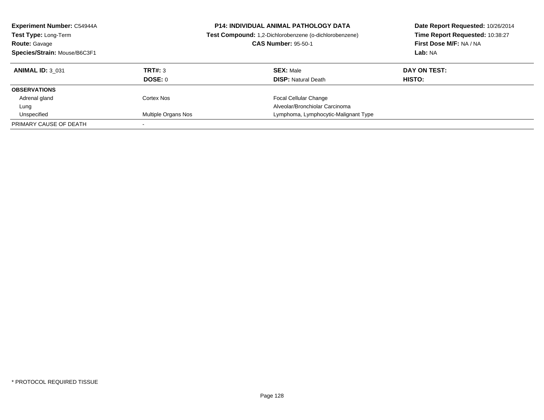| <b>Experiment Number: C54944A</b><br>Test Type: Long-Term<br><b>Route: Gavage</b><br>Species/Strain: Mouse/B6C3F1 |                     | <b>P14: INDIVIDUAL ANIMAL PATHOLOGY DATA</b><br>Test Compound: 1,2-Dichlorobenzene (o-dichlorobenzene)<br><b>CAS Number: 95-50-1</b> | Date Report Requested: 10/26/2014<br>Time Report Requested: 10:38:27<br>First Dose M/F: NA / NA<br>Lab: NA |
|-------------------------------------------------------------------------------------------------------------------|---------------------|--------------------------------------------------------------------------------------------------------------------------------------|------------------------------------------------------------------------------------------------------------|
| <b>ANIMAL ID: 3 031</b>                                                                                           | TRT#: 3             | <b>SEX: Male</b>                                                                                                                     | DAY ON TEST:                                                                                               |
|                                                                                                                   | <b>DOSE: 0</b>      | <b>DISP:</b> Natural Death                                                                                                           | HISTO:                                                                                                     |
| <b>OBSERVATIONS</b>                                                                                               |                     |                                                                                                                                      |                                                                                                            |
| Adrenal gland                                                                                                     | Cortex Nos          | <b>Focal Cellular Change</b>                                                                                                         |                                                                                                            |
| Lung                                                                                                              |                     | Alveolar/Bronchiolar Carcinoma                                                                                                       |                                                                                                            |
| Unspecified                                                                                                       | Multiple Organs Nos | Lymphoma, Lymphocytic-Malignant Type                                                                                                 |                                                                                                            |
| PRIMARY CAUSE OF DEATH                                                                                            |                     |                                                                                                                                      |                                                                                                            |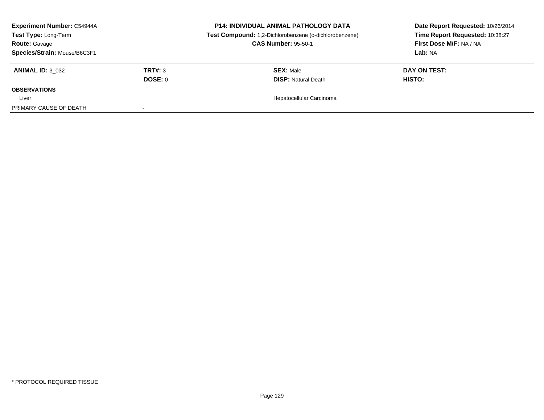| <b>Experiment Number: C54944A</b><br>Test Type: Long-Term<br><b>Route: Gavage</b><br>Species/Strain: Mouse/B6C3F1 |                | <b>P14: INDIVIDUAL ANIMAL PATHOLOGY DATA</b><br>Test Compound: 1,2-Dichlorobenzene (o-dichlorobenzene)<br><b>CAS Number: 95-50-1</b> | Date Report Requested: 10/26/2014<br>Time Report Requested: 10:38:27<br>First Dose M/F: NA / NA<br>Lab: NA |
|-------------------------------------------------------------------------------------------------------------------|----------------|--------------------------------------------------------------------------------------------------------------------------------------|------------------------------------------------------------------------------------------------------------|
| <b>ANIMAL ID: 3 032</b>                                                                                           | <b>TRT#: 3</b> | <b>SEX: Male</b>                                                                                                                     | DAY ON TEST:                                                                                               |
|                                                                                                                   | DOSE: 0        | <b>DISP:</b> Natural Death                                                                                                           | <b>HISTO:</b>                                                                                              |
| <b>OBSERVATIONS</b>                                                                                               |                |                                                                                                                                      |                                                                                                            |
| Liver                                                                                                             |                | Hepatocellular Carcinoma                                                                                                             |                                                                                                            |
| PRIMARY CAUSE OF DEATH                                                                                            |                |                                                                                                                                      |                                                                                                            |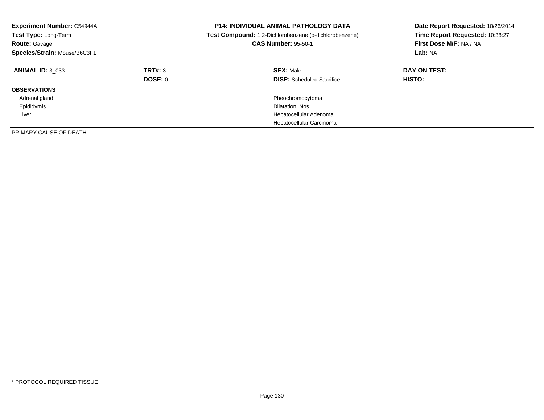| Experiment Number: C54944A<br>Test Type: Long-Term<br><b>Route: Gavage</b><br>Species/Strain: Mouse/B6C3F1 |                    | <b>P14: INDIVIDUAL ANIMAL PATHOLOGY DATA</b><br>Test Compound: 1,2-Dichlorobenzene (o-dichlorobenzene)<br><b>CAS Number: 95-50-1</b> | Date Report Requested: 10/26/2014<br>Time Report Requested: 10:38:27<br>First Dose M/F: NA / NA<br>Lab: NA |
|------------------------------------------------------------------------------------------------------------|--------------------|--------------------------------------------------------------------------------------------------------------------------------------|------------------------------------------------------------------------------------------------------------|
| <b>ANIMAL ID: 3 033</b>                                                                                    | TRT#: 3<br>DOSE: 0 | <b>SEX: Male</b><br><b>DISP:</b> Scheduled Sacrifice                                                                                 | DAY ON TEST:<br>HISTO:                                                                                     |
| <b>OBSERVATIONS</b>                                                                                        |                    |                                                                                                                                      |                                                                                                            |
| Adrenal gland                                                                                              |                    | Pheochromocytoma                                                                                                                     |                                                                                                            |
| Epididymis                                                                                                 |                    | Dilatation, Nos                                                                                                                      |                                                                                                            |
| Liver                                                                                                      |                    | Hepatocellular Adenoma                                                                                                               |                                                                                                            |
|                                                                                                            |                    | Hepatocellular Carcinoma                                                                                                             |                                                                                                            |
| PRIMARY CAUSE OF DEATH                                                                                     |                    |                                                                                                                                      |                                                                                                            |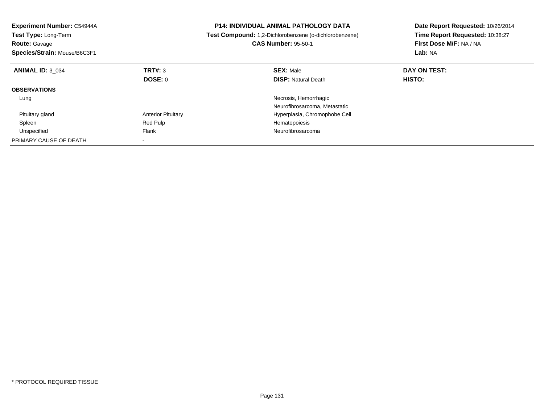| Experiment Number: C54944A<br>Test Type: Long-Term<br><b>Route: Gavage</b><br>Species/Strain: Mouse/B6C3F1 |                           | <b>P14: INDIVIDUAL ANIMAL PATHOLOGY DATA</b><br>Test Compound: 1,2-Dichlorobenzene (o-dichlorobenzene)<br><b>CAS Number: 95-50-1</b> | Date Report Requested: 10/26/2014<br>Time Report Requested: 10:38:27<br>First Dose M/F: NA / NA<br>Lab: NA |
|------------------------------------------------------------------------------------------------------------|---------------------------|--------------------------------------------------------------------------------------------------------------------------------------|------------------------------------------------------------------------------------------------------------|
| <b>ANIMAL ID: 3 034</b>                                                                                    | TRT#: 3                   | <b>SEX: Male</b>                                                                                                                     | DAY ON TEST:                                                                                               |
|                                                                                                            | <b>DOSE: 0</b>            | <b>DISP:</b> Natural Death                                                                                                           | HISTO:                                                                                                     |
| <b>OBSERVATIONS</b>                                                                                        |                           |                                                                                                                                      |                                                                                                            |
| Lung                                                                                                       |                           | Necrosis, Hemorrhagic                                                                                                                |                                                                                                            |
|                                                                                                            |                           | Neurofibrosarcoma, Metastatic                                                                                                        |                                                                                                            |
| Pituitary gland                                                                                            | <b>Anterior Pituitary</b> | Hyperplasia, Chromophobe Cell                                                                                                        |                                                                                                            |
| Spleen                                                                                                     | Red Pulp                  | Hematopoiesis                                                                                                                        |                                                                                                            |
| Unspecified                                                                                                | Flank                     | Neurofibrosarcoma                                                                                                                    |                                                                                                            |
| PRIMARY CAUSE OF DEATH                                                                                     |                           |                                                                                                                                      |                                                                                                            |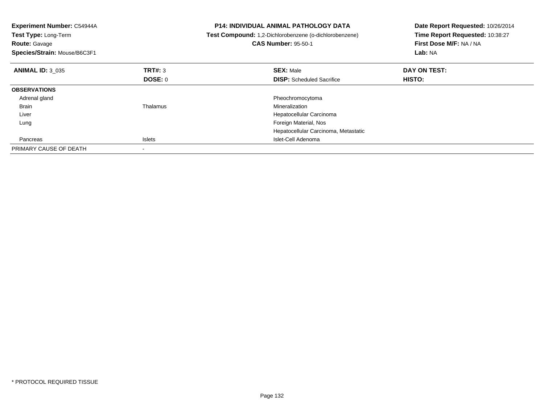| <b>Experiment Number: C54944A</b><br>Test Type: Long-Term<br><b>Route: Gavage</b><br>Species/Strain: Mouse/B6C3F1 |               | <b>P14: INDIVIDUAL ANIMAL PATHOLOGY DATA</b><br>Test Compound: 1,2-Dichlorobenzene (o-dichlorobenzene)<br><b>CAS Number: 95-50-1</b> | Date Report Requested: 10/26/2014<br>Time Report Requested: 10:38:27<br>First Dose M/F: NA / NA<br>Lab: NA |
|-------------------------------------------------------------------------------------------------------------------|---------------|--------------------------------------------------------------------------------------------------------------------------------------|------------------------------------------------------------------------------------------------------------|
| <b>ANIMAL ID: 3 035</b>                                                                                           | TRT#: 3       | <b>SEX: Male</b>                                                                                                                     | DAY ON TEST:                                                                                               |
|                                                                                                                   | DOSE: 0       | <b>DISP:</b> Scheduled Sacrifice                                                                                                     | HISTO:                                                                                                     |
| <b>OBSERVATIONS</b>                                                                                               |               |                                                                                                                                      |                                                                                                            |
| Adrenal gland                                                                                                     |               | Pheochromocytoma                                                                                                                     |                                                                                                            |
| <b>Brain</b>                                                                                                      | Thalamus      | Mineralization                                                                                                                       |                                                                                                            |
| Liver                                                                                                             |               | Hepatocellular Carcinoma                                                                                                             |                                                                                                            |
| Lung                                                                                                              |               | Foreign Material, Nos                                                                                                                |                                                                                                            |
|                                                                                                                   |               | Hepatocellular Carcinoma, Metastatic                                                                                                 |                                                                                                            |
| Pancreas                                                                                                          | <b>Islets</b> | Islet-Cell Adenoma                                                                                                                   |                                                                                                            |
| PRIMARY CAUSE OF DEATH                                                                                            |               |                                                                                                                                      |                                                                                                            |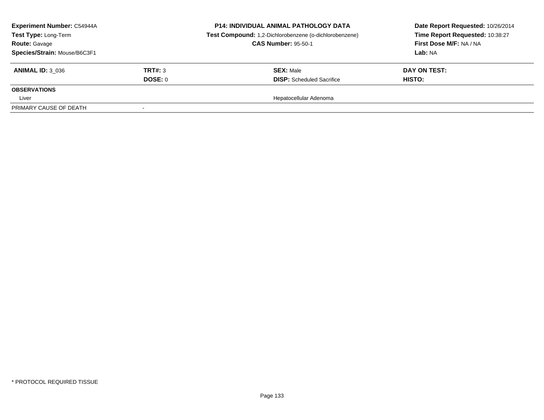| <b>Experiment Number: C54944A</b><br>Test Type: Long-Term<br><b>Route: Gavage</b><br>Species/Strain: Mouse/B6C3F1 |                           | <b>P14: INDIVIDUAL ANIMAL PATHOLOGY DATA</b><br>Test Compound: 1,2-Dichlorobenzene (o-dichlorobenzene)<br><b>CAS Number: 95-50-1</b> | Date Report Requested: 10/26/2014<br>Time Report Requested: 10:38:27<br>First Dose M/F: NA / NA<br><b>Lab: NA</b> |
|-------------------------------------------------------------------------------------------------------------------|---------------------------|--------------------------------------------------------------------------------------------------------------------------------------|-------------------------------------------------------------------------------------------------------------------|
| <b>ANIMAL ID: 3 036</b>                                                                                           | TRT#: 3<br><b>DOSE: 0</b> | <b>SEX: Male</b><br><b>DISP:</b> Scheduled Sacrifice                                                                                 | DAY ON TEST:<br><b>HISTO:</b>                                                                                     |
| <b>OBSERVATIONS</b>                                                                                               |                           |                                                                                                                                      |                                                                                                                   |
| Liver<br>PRIMARY CAUSE OF DEATH                                                                                   |                           | Hepatocellular Adenoma                                                                                                               |                                                                                                                   |
|                                                                                                                   |                           |                                                                                                                                      |                                                                                                                   |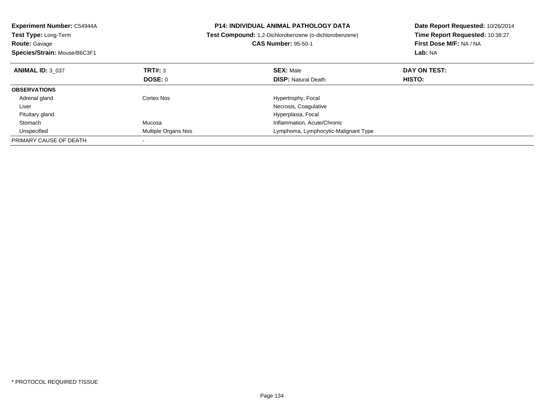| Experiment Number: C54944A<br><b>Test Type: Long-Term</b><br><b>Route: Gavage</b><br>Species/Strain: Mouse/B6C3F1 |                     | <b>P14: INDIVIDUAL ANIMAL PATHOLOGY DATA</b><br>Test Compound: 1,2-Dichlorobenzene (o-dichlorobenzene)<br><b>CAS Number: 95-50-1</b> | Date Report Requested: 10/26/2014<br>Time Report Requested: 10:38:27<br>First Dose M/F: NA / NA<br>Lab: NA |
|-------------------------------------------------------------------------------------------------------------------|---------------------|--------------------------------------------------------------------------------------------------------------------------------------|------------------------------------------------------------------------------------------------------------|
| <b>ANIMAL ID: 3 037</b>                                                                                           | TRT#: 3             | <b>SEX: Male</b>                                                                                                                     | DAY ON TEST:                                                                                               |
|                                                                                                                   | DOSE: 0             | <b>DISP: Natural Death</b>                                                                                                           | HISTO:                                                                                                     |
| <b>OBSERVATIONS</b>                                                                                               |                     |                                                                                                                                      |                                                                                                            |
| Adrenal gland                                                                                                     | Cortex Nos          | Hypertrophy, Focal                                                                                                                   |                                                                                                            |
| Liver                                                                                                             |                     | Necrosis, Coagulative                                                                                                                |                                                                                                            |
| Pituitary gland                                                                                                   |                     | Hyperplasia, Focal                                                                                                                   |                                                                                                            |
| Stomach                                                                                                           | Mucosa              | Inflammation, Acute/Chronic                                                                                                          |                                                                                                            |
| Unspecified                                                                                                       | Multiple Organs Nos | Lymphoma, Lymphocytic-Malignant Type                                                                                                 |                                                                                                            |
| PRIMARY CAUSE OF DEATH                                                                                            |                     |                                                                                                                                      |                                                                                                            |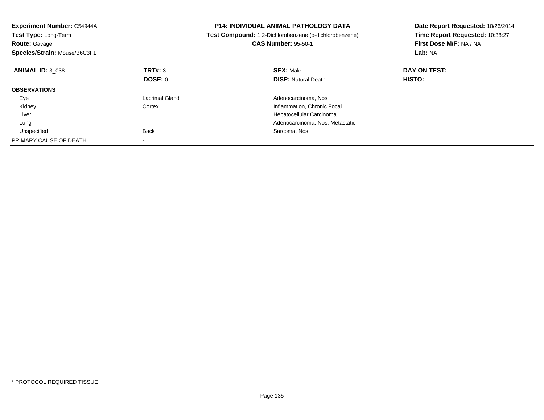| Experiment Number: C54944A<br>Test Type: Long-Term<br><b>Route: Gavage</b><br>Species/Strain: Mouse/B6C3F1 |                | <b>P14: INDIVIDUAL ANIMAL PATHOLOGY DATA</b><br>Test Compound: 1,2-Dichlorobenzene (o-dichlorobenzene)<br><b>CAS Number: 95-50-1</b> | Date Report Requested: 10/26/2014<br>Time Report Requested: 10:38:27<br>First Dose M/F: NA / NA<br>Lab: NA |
|------------------------------------------------------------------------------------------------------------|----------------|--------------------------------------------------------------------------------------------------------------------------------------|------------------------------------------------------------------------------------------------------------|
| <b>ANIMAL ID: 3 038</b>                                                                                    | <b>TRT#: 3</b> | <b>SEX: Male</b>                                                                                                                     | DAY ON TEST:                                                                                               |
|                                                                                                            | DOSE: 0        | <b>DISP:</b> Natural Death                                                                                                           | HISTO:                                                                                                     |
| <b>OBSERVATIONS</b>                                                                                        |                |                                                                                                                                      |                                                                                                            |
| Eye                                                                                                        | Lacrimal Gland | Adenocarcinoma, Nos                                                                                                                  |                                                                                                            |
| Kidney                                                                                                     | Cortex         | Inflammation, Chronic Focal                                                                                                          |                                                                                                            |
| Liver                                                                                                      |                | Hepatocellular Carcinoma                                                                                                             |                                                                                                            |
| Lung                                                                                                       |                | Adenocarcinoma, Nos, Metastatic                                                                                                      |                                                                                                            |
| Unspecified                                                                                                | Back           | Sarcoma, Nos                                                                                                                         |                                                                                                            |
| PRIMARY CAUSE OF DEATH                                                                                     |                |                                                                                                                                      |                                                                                                            |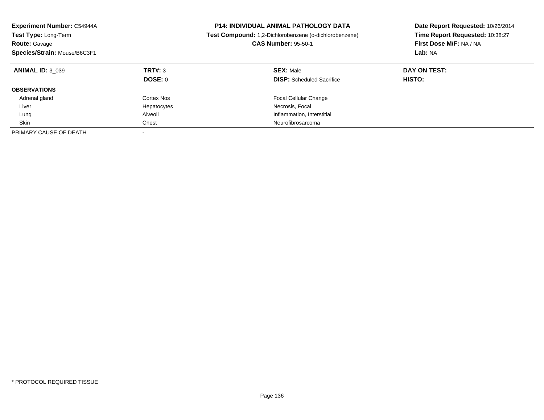| <b>Experiment Number: C54944A</b><br><b>Test Type: Long-Term</b><br><b>Route: Gavage</b><br>Species/Strain: Mouse/B6C3F1 |                    | <b>P14: INDIVIDUAL ANIMAL PATHOLOGY DATA</b><br>Test Compound: 1,2-Dichlorobenzene (o-dichlorobenzene)<br><b>CAS Number: 95-50-1</b> | Date Report Requested: 10/26/2014<br>Time Report Requested: 10:38:27<br>First Dose M/F: NA / NA<br>Lab: NA |
|--------------------------------------------------------------------------------------------------------------------------|--------------------|--------------------------------------------------------------------------------------------------------------------------------------|------------------------------------------------------------------------------------------------------------|
| <b>ANIMAL ID: 3 039</b>                                                                                                  | TRT#: 3<br>DOSE: 0 | <b>SEX: Male</b><br><b>DISP:</b> Scheduled Sacrifice                                                                                 | DAY ON TEST:<br>HISTO:                                                                                     |
| <b>OBSERVATIONS</b>                                                                                                      |                    |                                                                                                                                      |                                                                                                            |
| Adrenal gland                                                                                                            | Cortex Nos         | <b>Focal Cellular Change</b>                                                                                                         |                                                                                                            |
| Liver                                                                                                                    | Hepatocytes        | Necrosis, Focal                                                                                                                      |                                                                                                            |
| Lung                                                                                                                     | Alveoli            | Inflammation, Interstitial                                                                                                           |                                                                                                            |
| Skin                                                                                                                     | Chest              | Neurofibrosarcoma                                                                                                                    |                                                                                                            |
| PRIMARY CAUSE OF DEATH                                                                                                   |                    |                                                                                                                                      |                                                                                                            |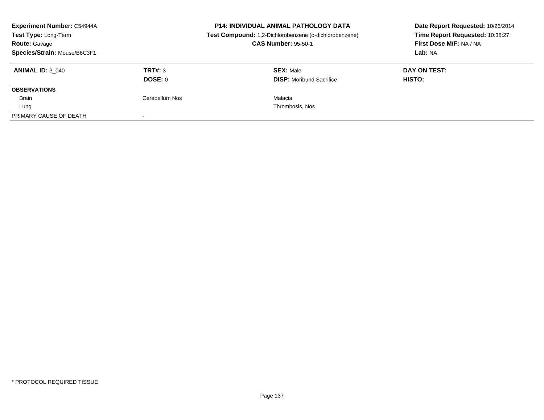| <b>Experiment Number: C54944A</b> |                | <b>P14: INDIVIDUAL ANIMAL PATHOLOGY DATA</b>           | Date Report Requested: 10/26/2014 |
|-----------------------------------|----------------|--------------------------------------------------------|-----------------------------------|
| Test Type: Long-Term              |                | Test Compound: 1,2-Dichlorobenzene (o-dichlorobenzene) | Time Report Requested: 10:38:27   |
| <b>Route: Gavage</b>              |                | <b>CAS Number: 95-50-1</b>                             | First Dose M/F: NA / NA           |
| Species/Strain: Mouse/B6C3F1      |                |                                                        | Lab: NA                           |
| <b>ANIMAL ID: 3 040</b>           | TRT#: 3        | <b>SEX: Male</b>                                       | DAY ON TEST:                      |
|                                   | DOSE: 0        | <b>DISP:</b> Moribund Sacrifice                        | HISTO:                            |
| <b>OBSERVATIONS</b>               |                |                                                        |                                   |
| Brain                             | Cerebellum Nos | Malacia                                                |                                   |
| Lung                              |                | Thrombosis, Nos                                        |                                   |
| PRIMARY CAUSE OF DEATH            |                |                                                        |                                   |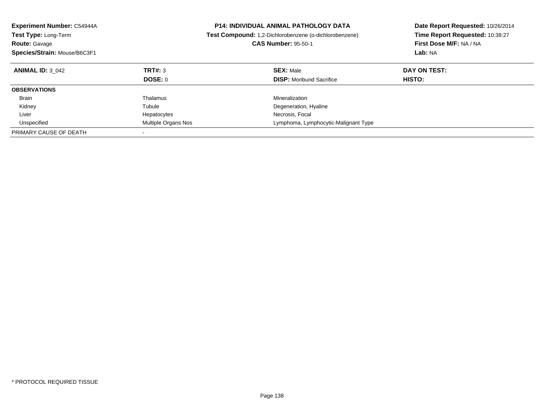| <b>Experiment Number: C54944A</b><br><b>Test Type: Long-Term</b><br><b>Route: Gavage</b><br>Species/Strain: Mouse/B6C3F1 |                     | <b>P14: INDIVIDUAL ANIMAL PATHOLOGY DATA</b><br><b>Test Compound:</b> 1,2-Dichlorobenzene (o-dichlorobenzene)<br><b>CAS Number: 95-50-1</b> | Date Report Requested: 10/26/2014<br>Time Report Requested: 10:38:27<br>First Dose M/F: NA / NA<br>Lab: NA |
|--------------------------------------------------------------------------------------------------------------------------|---------------------|---------------------------------------------------------------------------------------------------------------------------------------------|------------------------------------------------------------------------------------------------------------|
| <b>ANIMAL ID: 3 042</b>                                                                                                  | TRT#: 3             | <b>SEX: Male</b>                                                                                                                            | DAY ON TEST:                                                                                               |
|                                                                                                                          | <b>DOSE: 0</b>      | <b>DISP:</b> Moribund Sacrifice                                                                                                             | <b>HISTO:</b>                                                                                              |
| <b>OBSERVATIONS</b>                                                                                                      |                     |                                                                                                                                             |                                                                                                            |
| Brain                                                                                                                    | Thalamus            | Mineralization                                                                                                                              |                                                                                                            |
| Kidney                                                                                                                   | Tubule              | Degeneration, Hyaline                                                                                                                       |                                                                                                            |
| Liver                                                                                                                    | Hepatocytes         | Necrosis, Focal                                                                                                                             |                                                                                                            |
| Unspecified                                                                                                              | Multiple Organs Nos | Lymphoma, Lymphocytic-Malignant Type                                                                                                        |                                                                                                            |
| PRIMARY CAUSE OF DEATH                                                                                                   |                     |                                                                                                                                             |                                                                                                            |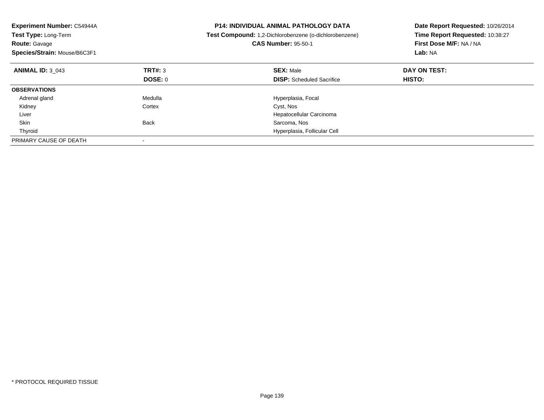| <b>Experiment Number: C54944A</b><br>Test Type: Long-Term<br><b>Route: Gavage</b><br>Species/Strain: Mouse/B6C3F1 |                | <b>P14: INDIVIDUAL ANIMAL PATHOLOGY DATA</b><br>Test Compound: 1,2-Dichlorobenzene (o-dichlorobenzene)<br><b>CAS Number: 95-50-1</b> | Date Report Requested: 10/26/2014<br>Time Report Requested: 10:38:27<br>First Dose M/F: NA / NA<br>Lab: NA |
|-------------------------------------------------------------------------------------------------------------------|----------------|--------------------------------------------------------------------------------------------------------------------------------------|------------------------------------------------------------------------------------------------------------|
| <b>ANIMAL ID: 3 043</b>                                                                                           | TRT#: 3        | <b>SEX: Male</b>                                                                                                                     | DAY ON TEST:                                                                                               |
|                                                                                                                   | <b>DOSE: 0</b> | <b>DISP:</b> Scheduled Sacrifice                                                                                                     | HISTO:                                                                                                     |
| <b>OBSERVATIONS</b>                                                                                               |                |                                                                                                                                      |                                                                                                            |
| Adrenal gland                                                                                                     | Medulla        | Hyperplasia, Focal                                                                                                                   |                                                                                                            |
| Kidney                                                                                                            | Cortex         | Cyst, Nos                                                                                                                            |                                                                                                            |
| Liver                                                                                                             |                | Hepatocellular Carcinoma                                                                                                             |                                                                                                            |
| Skin                                                                                                              | <b>Back</b>    | Sarcoma, Nos                                                                                                                         |                                                                                                            |
| Thyroid                                                                                                           |                | Hyperplasia, Follicular Cell                                                                                                         |                                                                                                            |
| PRIMARY CAUSE OF DEATH                                                                                            |                |                                                                                                                                      |                                                                                                            |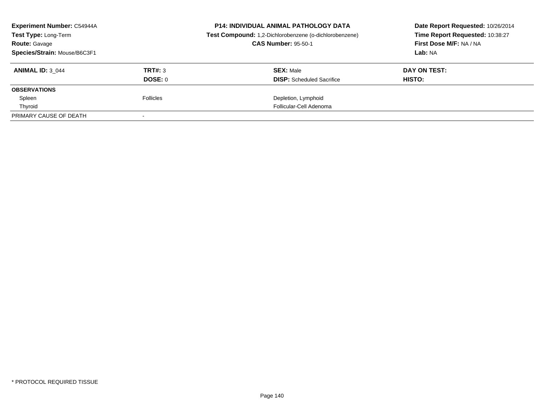| <b>Experiment Number: C54944A</b> |                  | <b>P14: INDIVIDUAL ANIMAL PATHOLOGY DATA</b>           | Date Report Requested: 10/26/2014 |
|-----------------------------------|------------------|--------------------------------------------------------|-----------------------------------|
| Test Type: Long-Term              |                  | Test Compound: 1,2-Dichlorobenzene (o-dichlorobenzene) | Time Report Requested: 10:38:27   |
| <b>Route: Gavage</b>              |                  | <b>CAS Number: 95-50-1</b>                             | First Dose M/F: NA / NA           |
| Species/Strain: Mouse/B6C3F1      |                  |                                                        | Lab: NA                           |
| <b>ANIMAL ID: 3 044</b>           | TRT#: 3          | <b>SEX: Male</b>                                       | DAY ON TEST:                      |
|                                   | DOSE: 0          | <b>DISP:</b> Scheduled Sacrifice                       | HISTO:                            |
| <b>OBSERVATIONS</b>               |                  |                                                        |                                   |
| Spleen                            | <b>Follicles</b> | Depletion, Lymphoid                                    |                                   |
| Thyroid                           |                  | Follicular-Cell Adenoma                                |                                   |
| PRIMARY CAUSE OF DEATH            |                  |                                                        |                                   |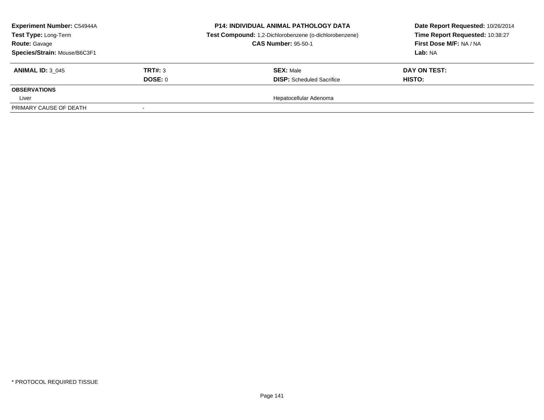| <b>Experiment Number: C54944A</b><br>Test Type: Long-Term<br><b>Route: Gavage</b><br>Species/Strain: Mouse/B6C3F1 |                | <b>P14: INDIVIDUAL ANIMAL PATHOLOGY DATA</b><br>Test Compound: 1,2-Dichlorobenzene (o-dichlorobenzene)<br><b>CAS Number: 95-50-1</b> | Date Report Requested: 10/26/2014<br>Time Report Requested: 10:38:27<br>First Dose M/F: NA / NA<br>Lab: NA |
|-------------------------------------------------------------------------------------------------------------------|----------------|--------------------------------------------------------------------------------------------------------------------------------------|------------------------------------------------------------------------------------------------------------|
| <b>ANIMAL ID: 3 045</b>                                                                                           | <b>TRT#: 3</b> | <b>SEX: Male</b>                                                                                                                     | DAY ON TEST:                                                                                               |
|                                                                                                                   | DOSE: 0        | <b>DISP:</b> Scheduled Sacrifice                                                                                                     | <b>HISTO:</b>                                                                                              |
| <b>OBSERVATIONS</b>                                                                                               |                |                                                                                                                                      |                                                                                                            |
| Liver                                                                                                             |                | Hepatocellular Adenoma                                                                                                               |                                                                                                            |
| PRIMARY CAUSE OF DEATH                                                                                            |                |                                                                                                                                      |                                                                                                            |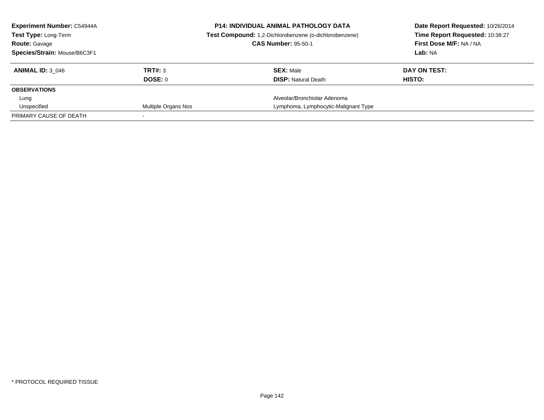| <b>Experiment Number: C54944A</b> |                     | <b>P14: INDIVIDUAL ANIMAL PATHOLOGY DATA</b>           | Date Report Requested: 10/26/2014 |
|-----------------------------------|---------------------|--------------------------------------------------------|-----------------------------------|
| <b>Test Type: Long-Term</b>       |                     | Test Compound: 1,2-Dichlorobenzene (o-dichlorobenzene) | Time Report Requested: 10:38:27   |
| <b>Route: Gavage</b>              |                     | <b>CAS Number: 95-50-1</b>                             | First Dose M/F: NA / NA           |
| Species/Strain: Mouse/B6C3F1      |                     |                                                        | Lab: NA                           |
| <b>ANIMAL ID: 3 046</b>           | TRT#: 3             | <b>SEX: Male</b>                                       | DAY ON TEST:                      |
|                                   | DOSE: 0             | <b>DISP:</b> Natural Death                             | HISTO:                            |
| <b>OBSERVATIONS</b>               |                     |                                                        |                                   |
| Lung                              |                     | Alveolar/Bronchiolar Adenoma                           |                                   |
| Unspecified                       | Multiple Organs Nos | Lymphoma, Lymphocytic-Malignant Type                   |                                   |
| PRIMARY CAUSE OF DEATH            |                     |                                                        |                                   |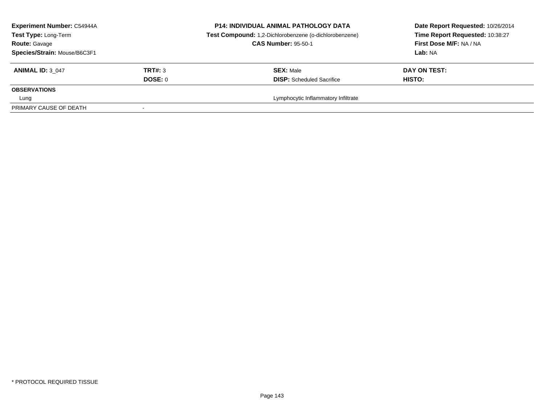| <b>Experiment Number: C54944A</b><br>Test Type: Long-Term<br><b>Route: Gavage</b><br>Species/Strain: Mouse/B6C3F1 |                                  | <b>P14: INDIVIDUAL ANIMAL PATHOLOGY DATA</b><br>Test Compound: 1,2-Dichlorobenzene (o-dichlorobenzene)<br><b>CAS Number: 95-50-1</b> | Date Report Requested: 10/26/2014<br>Time Report Requested: 10:38:27<br>First Dose M/F: NA / NA<br><b>Lab: NA</b> |
|-------------------------------------------------------------------------------------------------------------------|----------------------------------|--------------------------------------------------------------------------------------------------------------------------------------|-------------------------------------------------------------------------------------------------------------------|
| <b>ANIMAL ID: 3 047</b>                                                                                           | <b>TRT#: 3</b><br><b>DOSE: 0</b> | <b>SEX: Male</b><br><b>DISP:</b> Scheduled Sacrifice                                                                                 | DAY ON TEST:<br><b>HISTO:</b>                                                                                     |
| <b>OBSERVATIONS</b>                                                                                               |                                  |                                                                                                                                      |                                                                                                                   |
| Lung                                                                                                              |                                  | Lymphocytic Inflammatory Infiltrate                                                                                                  |                                                                                                                   |
| PRIMARY CAUSE OF DEATH                                                                                            |                                  |                                                                                                                                      |                                                                                                                   |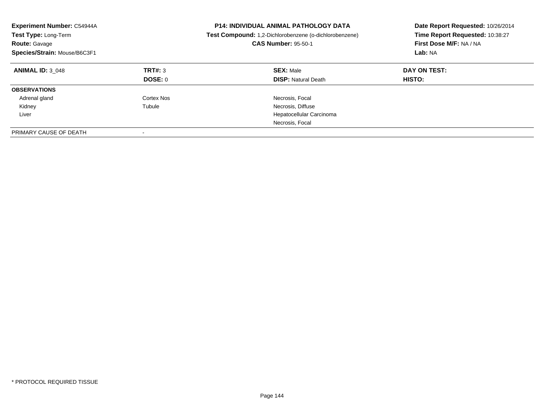| <b>Experiment Number: C54944A</b><br><b>Test Type: Long-Term</b><br><b>Route: Gavage</b><br>Species/Strain: Mouse/B6C3F1 |                    | <b>P14: INDIVIDUAL ANIMAL PATHOLOGY DATA</b><br>Test Compound: 1,2-Dichlorobenzene (o-dichlorobenzene)<br><b>CAS Number: 95-50-1</b> | Date Report Requested: 10/26/2014<br>Time Report Requested: 10:38:27<br>First Dose M/F: NA / NA<br>Lab: NA |
|--------------------------------------------------------------------------------------------------------------------------|--------------------|--------------------------------------------------------------------------------------------------------------------------------------|------------------------------------------------------------------------------------------------------------|
| <b>ANIMAL ID: 3 048</b>                                                                                                  | TRT#: 3<br>DOSE: 0 | <b>SEX: Male</b><br><b>DISP:</b> Natural Death                                                                                       | DAY ON TEST:<br>HISTO:                                                                                     |
| <b>OBSERVATIONS</b>                                                                                                      |                    |                                                                                                                                      |                                                                                                            |
| Adrenal gland                                                                                                            | Cortex Nos         | Necrosis, Focal                                                                                                                      |                                                                                                            |
| Kidney                                                                                                                   | Tubule             | Necrosis, Diffuse                                                                                                                    |                                                                                                            |
| Liver                                                                                                                    |                    | Hepatocellular Carcinoma                                                                                                             |                                                                                                            |
|                                                                                                                          |                    | Necrosis, Focal                                                                                                                      |                                                                                                            |
| PRIMARY CAUSE OF DEATH                                                                                                   |                    |                                                                                                                                      |                                                                                                            |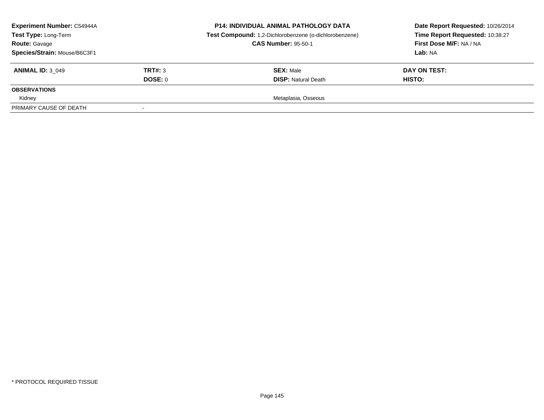| <b>Experiment Number: C54944A</b><br>Test Type: Long-Term<br><b>Route: Gavage</b><br>Species/Strain: Mouse/B6C3F1 |         | <b>P14: INDIVIDUAL ANIMAL PATHOLOGY DATA</b><br>Test Compound: 1,2-Dichlorobenzene (o-dichlorobenzene)<br><b>CAS Number: 95-50-1</b> | Date Report Requested: 10/26/2014<br>Time Report Requested: 10:38:27<br>First Dose M/F: NA / NA<br>Lab: NA |  |  |
|-------------------------------------------------------------------------------------------------------------------|---------|--------------------------------------------------------------------------------------------------------------------------------------|------------------------------------------------------------------------------------------------------------|--|--|
| <b>ANIMAL ID: 3 049</b>                                                                                           | TRT#: 3 | <b>SEX: Male</b>                                                                                                                     | DAY ON TEST:                                                                                               |  |  |
|                                                                                                                   | DOSE: 0 | <b>DISP:</b> Natural Death                                                                                                           | HISTO:                                                                                                     |  |  |
| <b>OBSERVATIONS</b>                                                                                               |         |                                                                                                                                      |                                                                                                            |  |  |
| Kidney                                                                                                            |         | Metaplasia, Osseous                                                                                                                  |                                                                                                            |  |  |
| PRIMARY CAUSE OF DEATH                                                                                            |         |                                                                                                                                      |                                                                                                            |  |  |